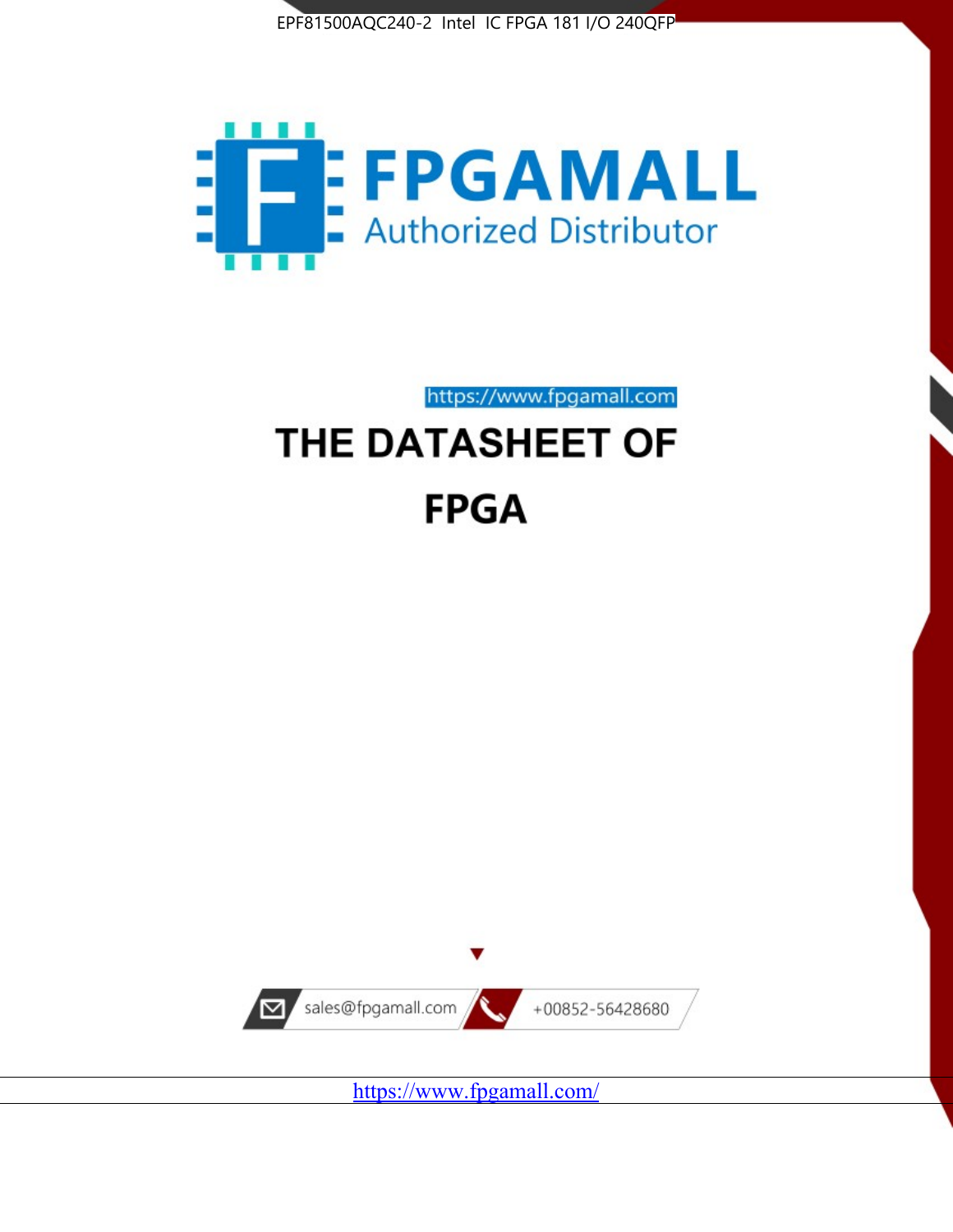



https://www.fpgamall.com

# THE DATASHEET OF **FPGA**



<https://www.fpgamall.com/>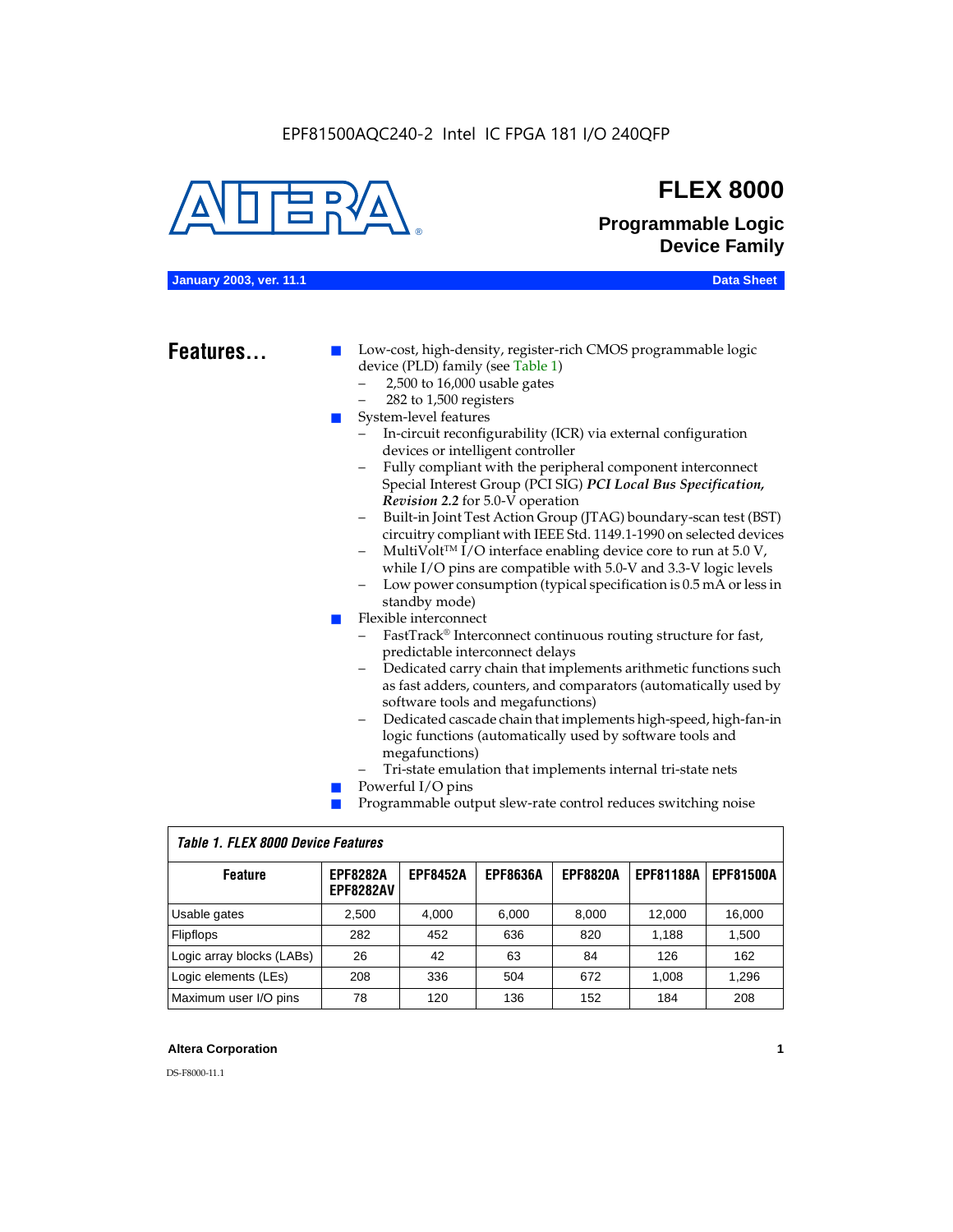

## **FLEX 8000**

**Programmable Logic Device Family**

## **January 2003, ver. 11.1 Data Sheet**

## Features...

Low-cost, high-density, register-rich CMOS programmable logic device (PLD) family (see Table 1)

- 2,500 to 16,000 usable gates
- 282 to 1,500 registers
- System-level features
	- In-circuit reconfigurability (ICR) via external configuration devices or intelligent controller
	- Fully compliant with the peripheral component interconnect Special Interest Group (PCI SIG) *PCI Local Bus Specification, Revision 2.2* for 5.0-V operation
	- Built-in Joint Test Action Group (JTAG) boundary-scan test (BST) circuitry compliant with IEEE Std. 1149.1-1990 on selected devices
	- MultiVolt<sup>™</sup> I/O interface enabling device core to run at  $5.0 V$ , while I/O pins are compatible with 5.0-V and 3.3-V logic levels
	- Low power consumption (typical specification is 0.5 mA or less in standby mode)
- Flexible interconnect
	- FastTrack<sup>®</sup> Interconnect continuous routing structure for fast, predictable interconnect delays
	- Dedicated carry chain that implements arithmetic functions such as fast adders, counters, and comparators (automatically used by software tools and megafunctions)
	- Dedicated cascade chain that implements high-speed, high-fan-in logic functions (automatically used by software tools and megafunctions)
	- Tri-state emulation that implements internal tri-state nets
- Powerful I/O pins
- Programmable output slew-rate control reduces switching noise

| <b>Feature</b>            | <b>EPF8282A</b><br><b>EPF8282AV</b> | <b>EPF8452A</b> | <b>EPF8636A</b> | <b>EPF8820A</b> | <b>EPF81188A</b> | <b>EPF81500A</b> |  |  |  |  |
|---------------------------|-------------------------------------|-----------------|-----------------|-----------------|------------------|------------------|--|--|--|--|
| Usable gates              | 2,500                               | 4.000           | 6,000           | 8,000           | 12.000           | 16,000           |  |  |  |  |
| Flipflops                 | 282                                 | 452             | 636             | 820             | 1.188            | 1,500            |  |  |  |  |
| Logic array blocks (LABs) | 26                                  | 42              | 63              | 84              | 126              | 162              |  |  |  |  |
| Logic elements (LEs)      | 208                                 | 336             | 504             | 672             | 1.008            | 1,296            |  |  |  |  |
| Maximum user I/O pins     | 78                                  | 120             | 136             | 152             | 184              | 208              |  |  |  |  |

## *Table 1. FLEX 8000 Device Features*

## **Altera Corporation 1**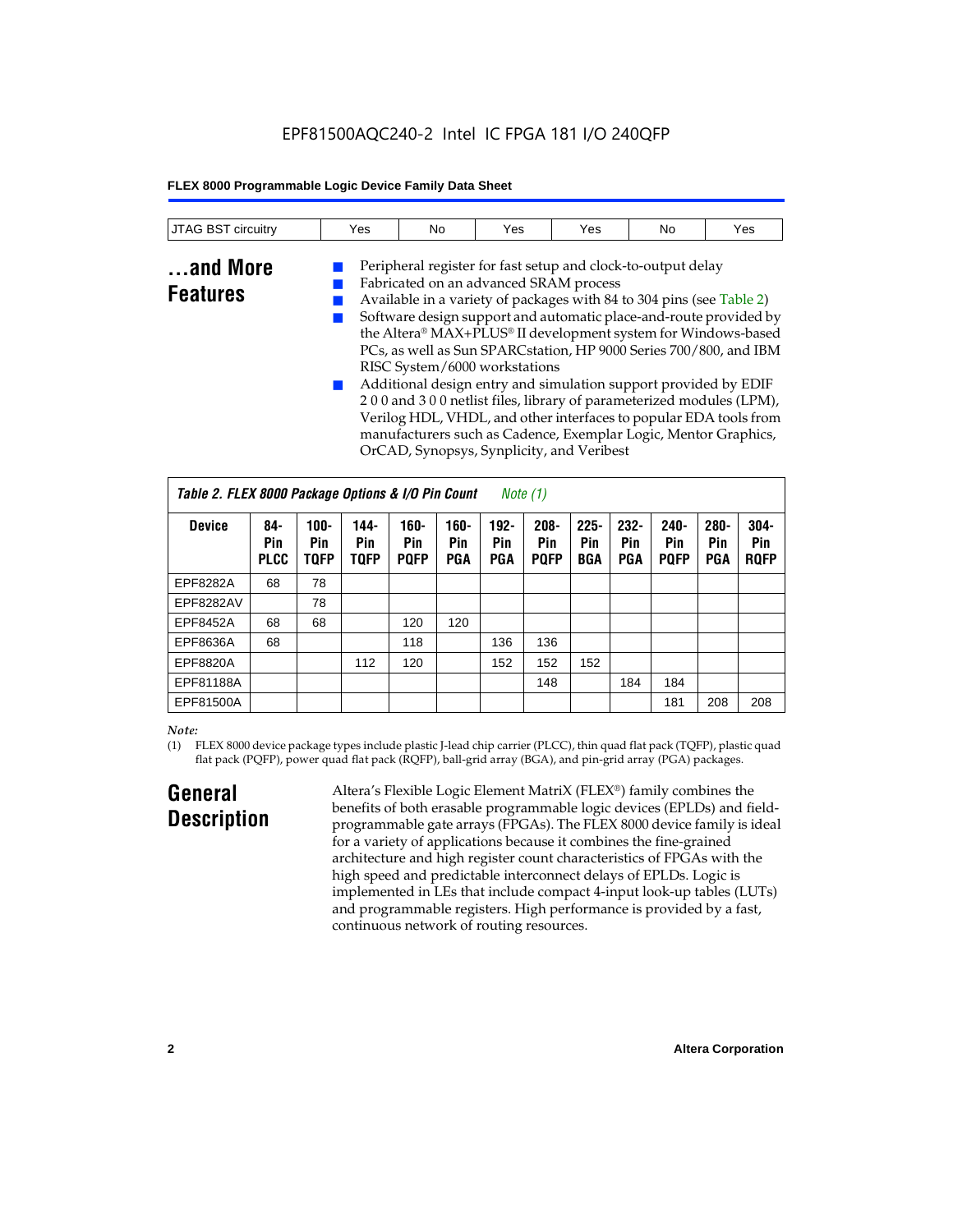| JTAG BST<br>circuitry | Yes | No | Yes | Yes | No | Yes |
|-----------------------|-----|----|-----|-----|----|-----|
|                       |     |    |     |     |    |     |

## **...and More Features**

Fabricated on an advanced SRAM process ■ Available in a variety of packages with 84 to 304 pins (see Table 2) Software design support and automatic place-and-route provided by the Altera® MAX+PLUS® II development system for Windows-based PCs, as well as Sun SPARCstation, HP 9000 Series 700/800, and IBM RISC System/6000 workstations Additional design entry and simulation support provided by EDIF

Peripheral register for fast setup and clock-to-output delay

2 0 0 and 3 0 0 netlist files, library of parameterized modules (LPM), Verilog HDL, VHDL, and other interfaces to popular EDA tools from manufacturers such as Cadence, Exemplar Logic, Mentor Graphics, OrCAD, Synopsys, Synplicity, and Veribest

| Table 2. FLEX 8000 Package Options & I/O Pin Count<br>Note $(1)$ |                           |                               |                            |                            |                              |                       |                               |                              |                              |                               |                              |                               |
|------------------------------------------------------------------|---------------------------|-------------------------------|----------------------------|----------------------------|------------------------------|-----------------------|-------------------------------|------------------------------|------------------------------|-------------------------------|------------------------------|-------------------------------|
| <b>Device</b>                                                    | 84-<br>Pin<br><b>PLCC</b> | $100 -$<br>Pin<br><b>TQFP</b> | 144-<br>Pin<br><b>TQFP</b> | 160-<br>Pin<br><b>POFP</b> | $160 -$<br>Pin<br><b>PGA</b> | $192 -$<br>Pin<br>PGA | $208 -$<br>Pin<br><b>POFP</b> | $225 -$<br>Pin<br><b>BGA</b> | $232 -$<br>Pin<br><b>PGA</b> | $240 -$<br>Pin<br><b>PQFP</b> | $280 -$<br>Pin<br><b>PGA</b> | $304 -$<br>Pin<br><b>ROFP</b> |
| EPF8282A                                                         | 68                        | 78                            |                            |                            |                              |                       |                               |                              |                              |                               |                              |                               |
| EPF8282AV                                                        |                           | 78                            |                            |                            |                              |                       |                               |                              |                              |                               |                              |                               |
| EPF8452A                                                         | 68                        | 68                            |                            | 120                        | 120                          |                       |                               |                              |                              |                               |                              |                               |
| EPF8636A                                                         | 68                        |                               |                            | 118                        |                              | 136                   | 136                           |                              |                              |                               |                              |                               |
| EPF8820A                                                         |                           |                               | 112                        | 120                        |                              | 152                   | 152                           | 152                          |                              |                               |                              |                               |
| EPF81188A                                                        |                           |                               |                            |                            |                              |                       | 148                           |                              | 184                          | 184                           |                              |                               |
| EPF81500A                                                        |                           |                               |                            |                            |                              |                       |                               |                              |                              | 181                           | 208                          | 208                           |

## *Note:*

(1) FLEX 8000 device package types include plastic J-lead chip carrier (PLCC), thin quad flat pack (TQFP), plastic quad flat pack (PQFP), power quad flat pack (RQFP), ball-grid array (BGA), and pin-grid array (PGA) packages.

## **General Description**

Altera's Flexible Logic Element MatriX (FLEX®) family combines the benefits of both erasable programmable logic devices (EPLDs) and fieldprogrammable gate arrays (FPGAs). The FLEX 8000 device family is ideal for a variety of applications because it combines the fine-grained architecture and high register count characteristics of FPGAs with the high speed and predictable interconnect delays of EPLDs. Logic is implemented in LEs that include compact 4-input look-up tables (LUTs) and programmable registers. High performance is provided by a fast, continuous network of routing resources.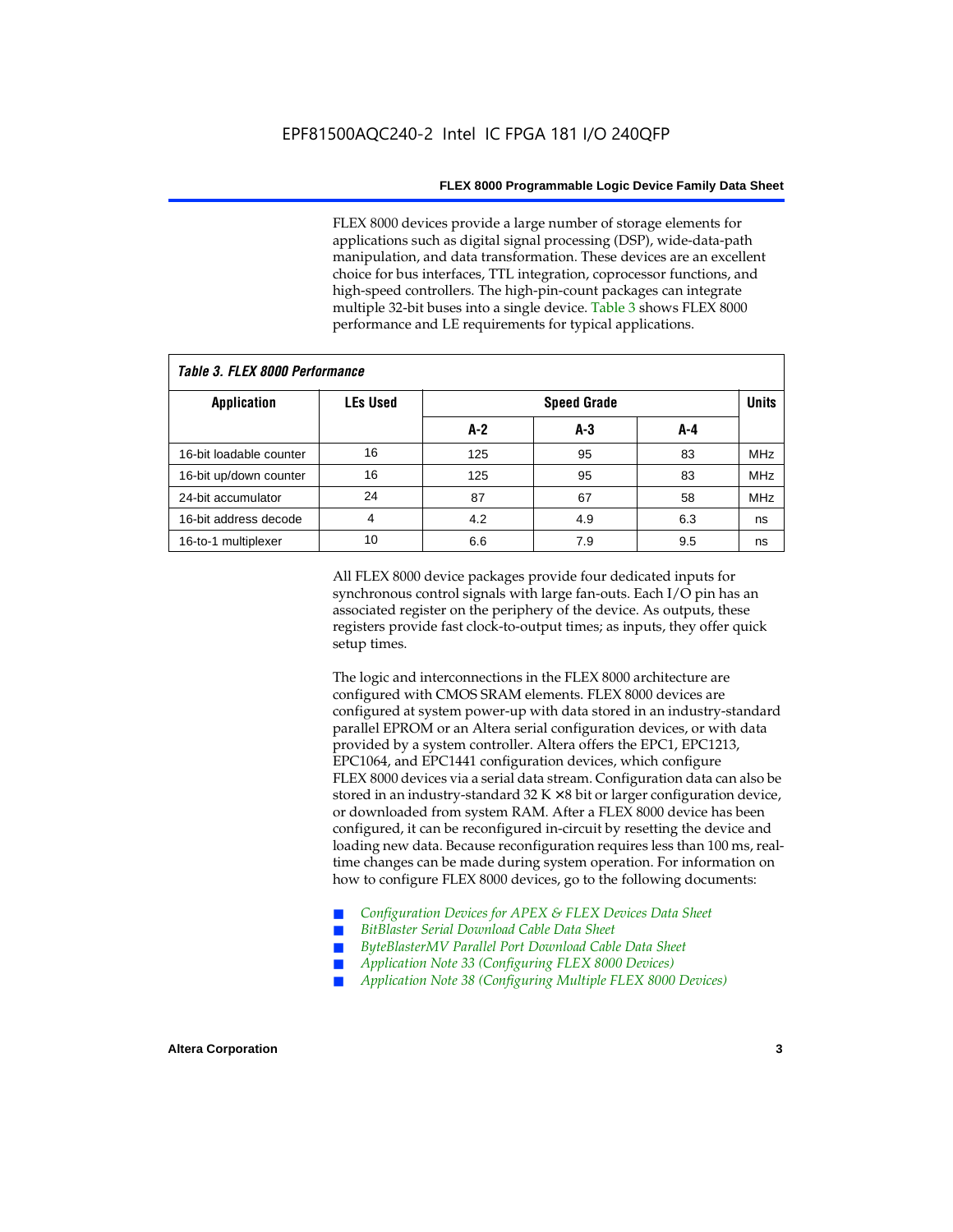FLEX 8000 devices provide a large number of storage elements for applications such as digital signal processing (DSP), wide-data-path manipulation, and data transformation. These devices are an excellent choice for bus interfaces, TTL integration, coprocessor functions, and high-speed controllers. The high-pin-count packages can integrate multiple 32-bit buses into a single device. Table 3 shows FLEX 8000 performance and LE requirements for typical applications.

| Tadie J. Flea Quuu Feituitiiaiige |                 |       |                    |     |            |  |  |  |  |  |  |
|-----------------------------------|-----------------|-------|--------------------|-----|------------|--|--|--|--|--|--|
| <b>Application</b>                | <b>LEs Used</b> |       | <b>Speed Grade</b> |     |            |  |  |  |  |  |  |
|                                   |                 | $A-2$ | A-3                | A-4 |            |  |  |  |  |  |  |
| 16-bit loadable counter           | 16              | 125   | 95                 | 83  | <b>MHz</b> |  |  |  |  |  |  |
| 16-bit up/down counter            | 16              | 125   | 95                 | 83  | <b>MHz</b> |  |  |  |  |  |  |
| 24-bit accumulator                | 24              | 87    | 67                 | 58  | <b>MHz</b> |  |  |  |  |  |  |
| 16-bit address decode             | 4               | 4.2   | 4.9                | 6.3 | ns         |  |  |  |  |  |  |
| 16-to-1 multiplexer               | 10              | 6.6   | 7.9                | 9.5 | ns         |  |  |  |  |  |  |

## *Table 3. FLEX 8000 Performance*

All FLEX 8000 device packages provide four dedicated inputs for synchronous control signals with large fan-outs. Each I/O pin has an associated register on the periphery of the device. As outputs, these registers provide fast clock-to-output times; as inputs, they offer quick setup times.

The logic and interconnections in the FLEX 8000 architecture are configured with CMOS SRAM elements. FLEX 8000 devices are configured at system power-up with data stored in an industry-standard parallel EPROM or an Altera serial configuration devices, or with data provided by a system controller. Altera offers the EPC1, EPC1213, EPC1064, and EPC1441 configuration devices, which configure FLEX 8000 devices via a serial data stream. Configuration data can also be stored in an industry-standard  $32 K \times 8$  bit or larger configuration device, or downloaded from system RAM. After a FLEX 8000 device has been configured, it can be reconfigured in-circuit by resetting the device and loading new data. Because reconfiguration requires less than 100 ms, realtime changes can be made during system operation. For information on how to configure FLEX 8000 devices, go to the following documents:

- Configuration Devices for APEX & FLEX Devices Data Sheet
- $BitBlaster$  Serial Download Cable Data Sheet
- ByteBlasterMV Parallel Port Download Cable Data Sheet
- *Application Note 33 (Configuring FLEX 8000 Devices)*
- *Application Note 38 (Configuring Multiple FLEX 8000 Devices)*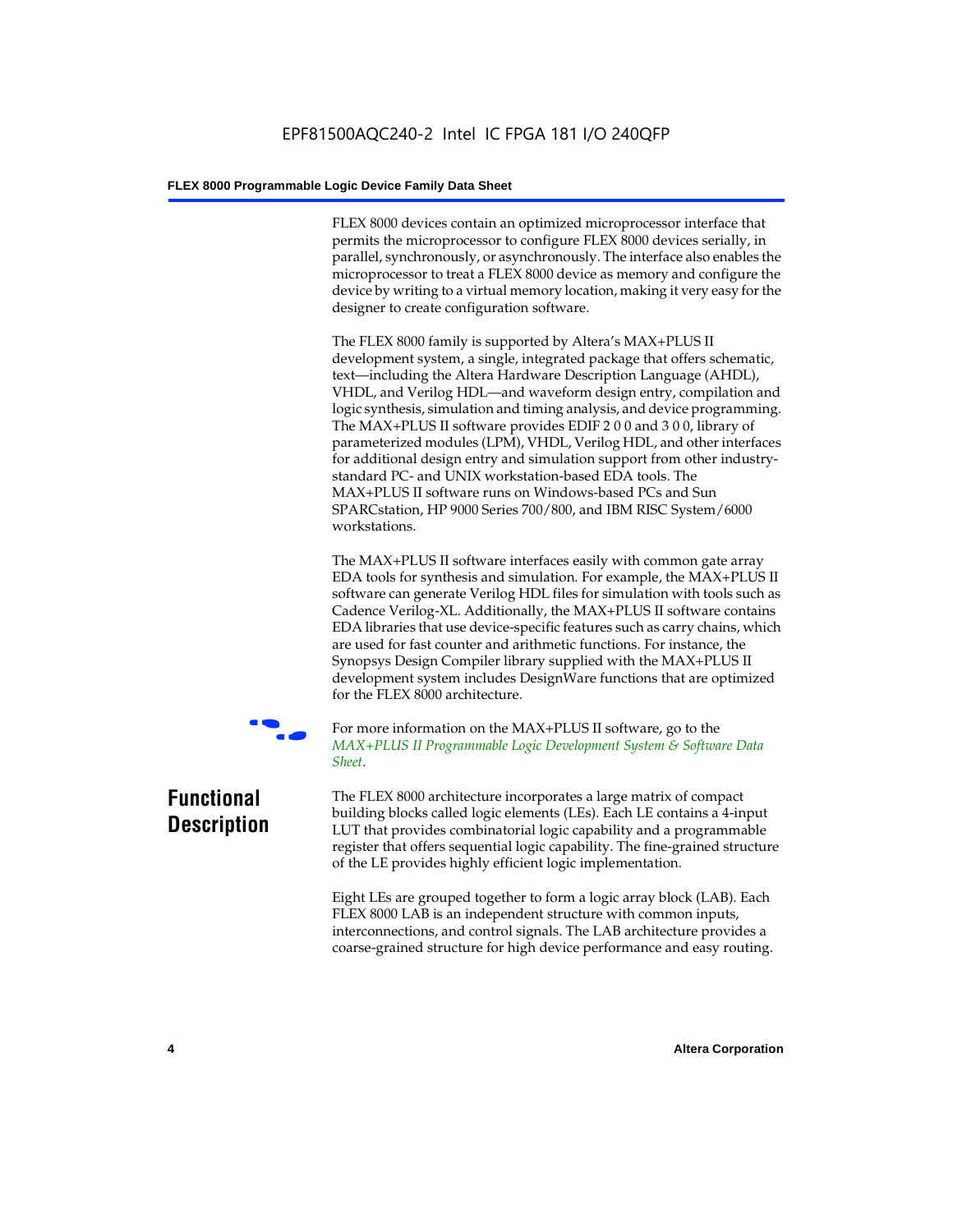FLEX 8000 devices contain an optimized microprocessor interface that permits the microprocessor to configure FLEX 8000 devices serially, in parallel, synchronously, or asynchronously. The interface also enables the microprocessor to treat a FLEX 8000 device as memory and configure the device by writing to a virtual memory location, making it very easy for the designer to create configuration software.

The FLEX 8000 family is supported by Altera's MAX+PLUS II development system, a single, integrated package that offers schematic, text—including the Altera Hardware Description Language (AHDL), VHDL, and Verilog HDL—and waveform design entry, compilation and logic synthesis, simulation and timing analysis, and device programming. The MAX+PLUS II software provides EDIF 2 0 0 and 3 0 0, library of parameterized modules (LPM), VHDL, Verilog HDL, and other interfaces for additional design entry and simulation support from other industrystandard PC- and UNIX workstation-based EDA tools. The MAX+PLUS II software runs on Windows-based PCs and Sun SPARCstation, HP 9000 Series 700/800, and IBM RISC System/6000 workstations.

The MAX+PLUS II software interfaces easily with common gate array EDA tools for synthesis and simulation. For example, the MAX+PLUS II software can generate Verilog HDL files for simulation with tools such as Cadence Verilog-XL. Additionally, the MAX+PLUS II software contains EDA libraries that use device-specific features such as carry chains, which are used for fast counter and arithmetic functions. For instance, the Synopsys Design Compiler library supplied with the MAX+PLUS II development system includes DesignWare functions that are optimized for the FLEX 8000 architecture.



For more information on the MAX+PLUS II software, go to the *MAX+PLUS II Programmable Logic Development System & Software Data Sheet*.

## **Functional Description**

The FLEX 8000 architecture incorporates a large matrix of compact building blocks called logic elements (LEs). Each LE contains a 4-input LUT that provides combinatorial logic capability and a programmable register that offers sequential logic capability. The fine-grained structure of the LE provides highly efficient logic implementation.

Eight LEs are grouped together to form a logic array block (LAB). Each FLEX 8000 LAB is an independent structure with common inputs, interconnections, and control signals. The LAB architecture provides a coarse-grained structure for high device performance and easy routing.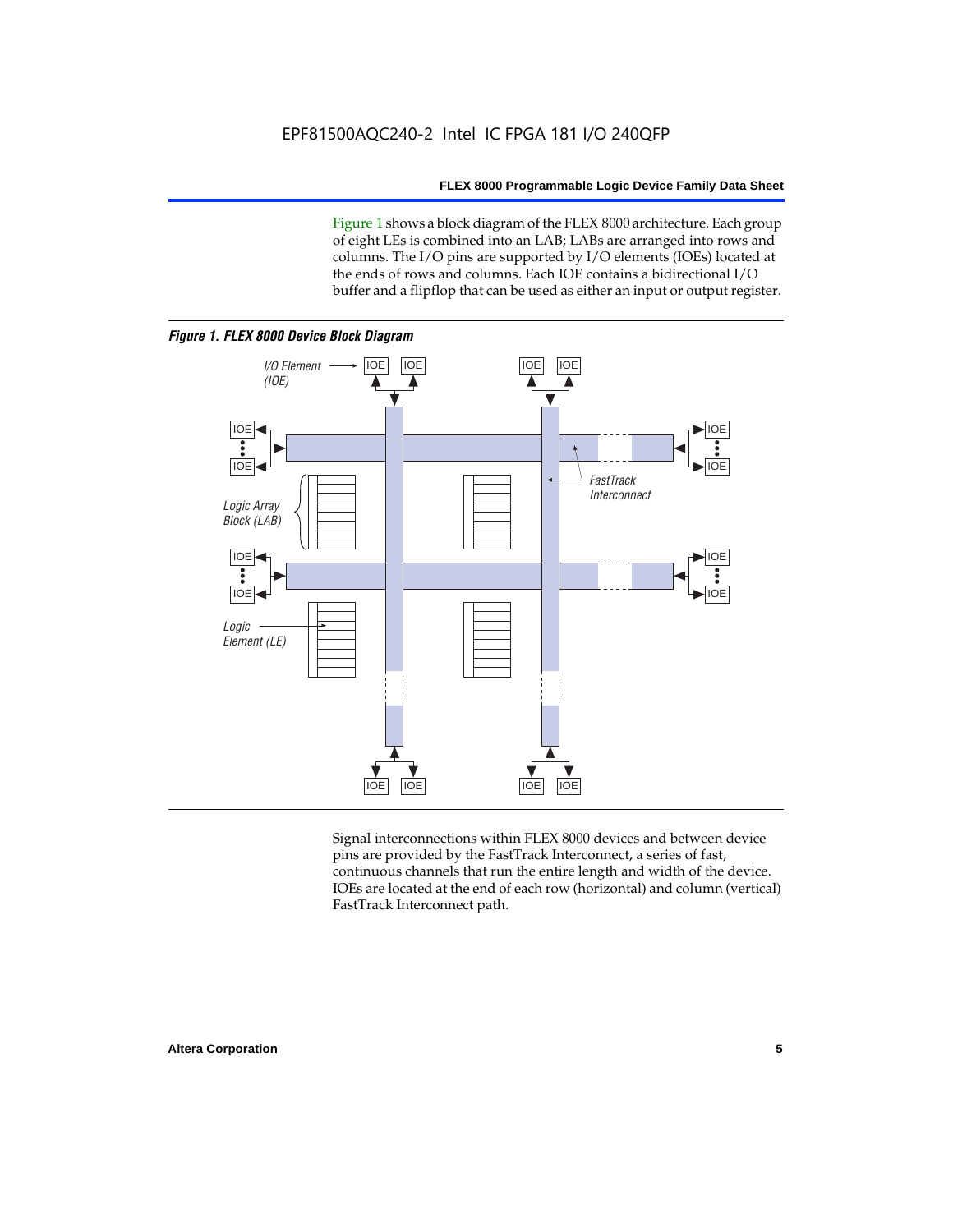Figure 1 shows a block diagram of the FLEX 8000 architecture. Each group of eight LEs is combined into an LAB; LABs are arranged into rows and columns. The I/O pins are supported by I/O elements (IOEs) located at the ends of rows and columns. Each IOE contains a bidirectional I/O buffer and a flipflop that can be used as either an input or output register.



Signal interconnections within FLEX 8000 devices and between device pins are provided by the FastTrack Interconnect, a series of fast, continuous channels that run the entire length and width of the device. IOEs are located at the end of each row (horizontal) and column (vertical) FastTrack Interconnect path.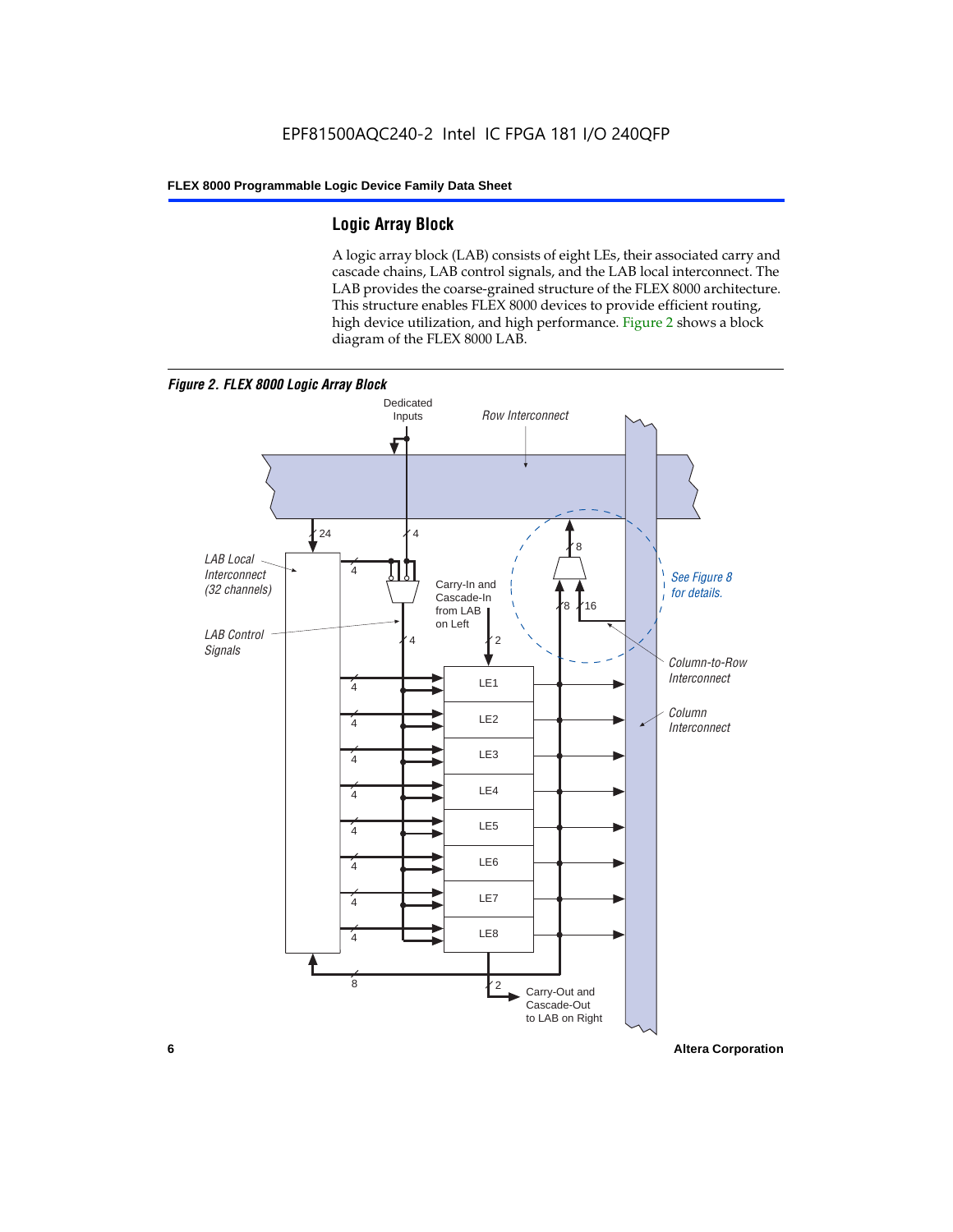## **Logic Array Block**

A logic array block (LAB) consists of eight LEs, their associated carry and cascade chains, LAB control signals, and the LAB local interconnect. The LAB provides the coarse-grained structure of the FLEX 8000 architecture. This structure enables FLEX 8000 devices to provide efficient routing, high device utilization, and high performance. Figure 2 shows a block diagram of the FLEX 8000 LAB.



**6 Altera Corporation**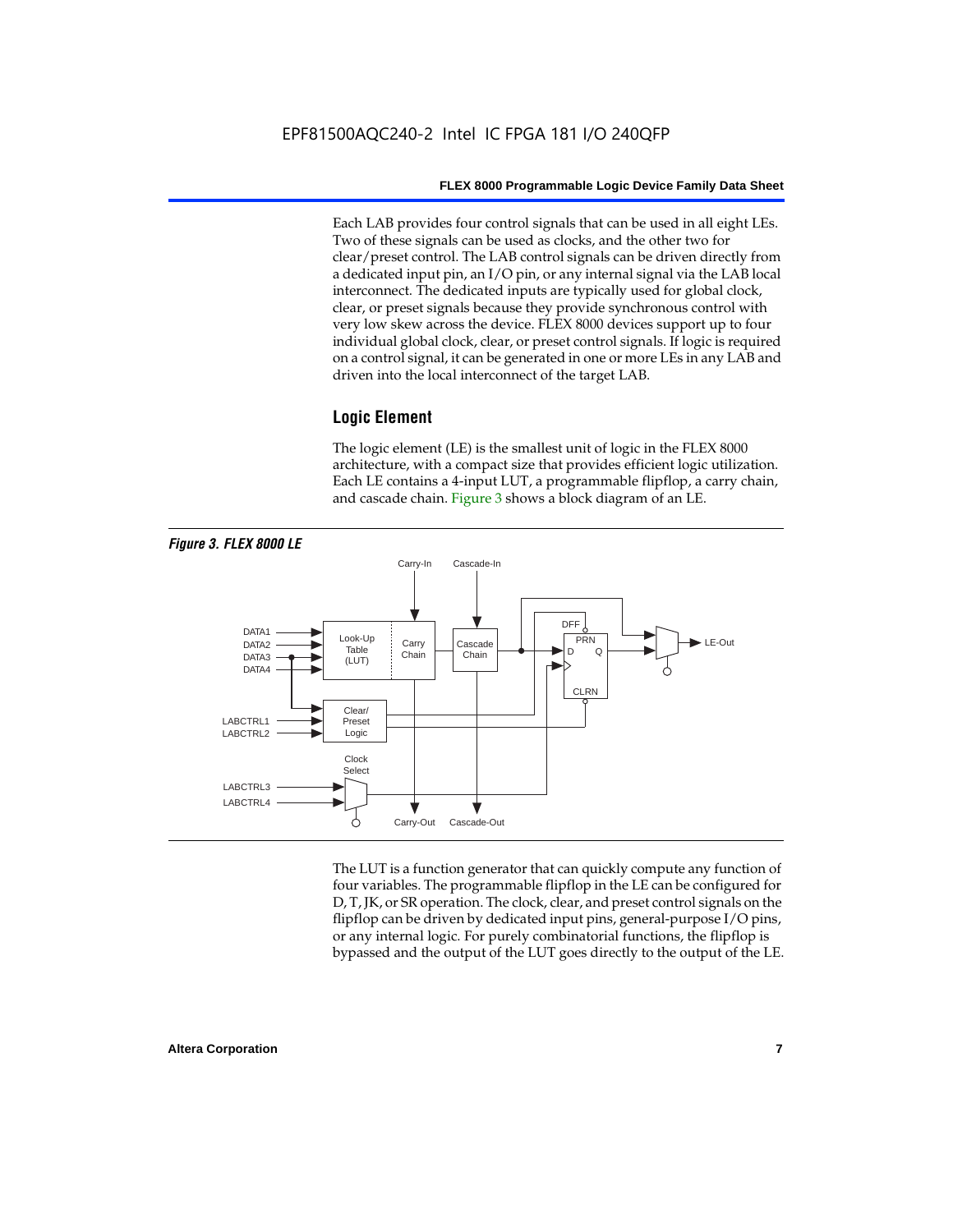Each LAB provides four control signals that can be used in all eight LEs. Two of these signals can be used as clocks, and the other two for clear/preset control. The LAB control signals can be driven directly from a dedicated input pin, an I/O pin, or any internal signal via the LAB local interconnect. The dedicated inputs are typically used for global clock, clear, or preset signals because they provide synchronous control with very low skew across the device. FLEX 8000 devices support up to four individual global clock, clear, or preset control signals. If logic is required on a control signal, it can be generated in one or more LEs in any LAB and driven into the local interconnect of the target LAB.

## **Logic Element**

The logic element (LE) is the smallest unit of logic in the FLEX 8000 architecture, with a compact size that provides efficient logic utilization. Each LE contains a 4-input LUT, a programmable flipflop, a carry chain, and cascade chain. Figure 3 shows a block diagram of an LE.



The LUT is a function generator that can quickly compute any function of four variables. The programmable flipflop in the LE can be configured for D, T, JK, or SR operation. The clock, clear, and preset control signals on the flipflop can be driven by dedicated input pins, general-purpose I/O pins, or any internal logic. For purely combinatorial functions, the flipflop is bypassed and the output of the LUT goes directly to the output of the LE.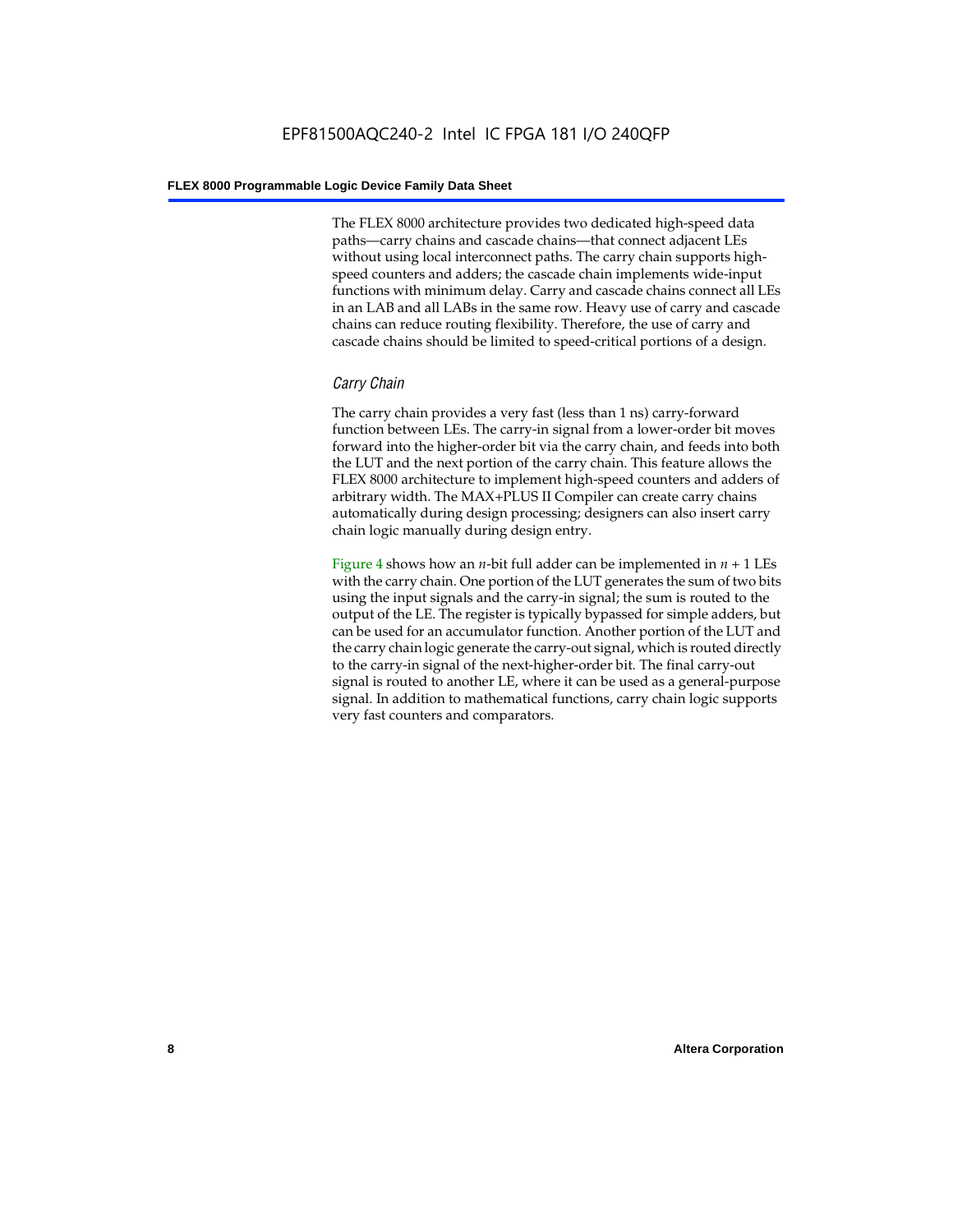The FLEX 8000 architecture provides two dedicated high-speed data paths—carry chains and cascade chains—that connect adjacent LEs without using local interconnect paths. The carry chain supports highspeed counters and adders; the cascade chain implements wide-input functions with minimum delay. Carry and cascade chains connect all LEs in an LAB and all LABs in the same row. Heavy use of carry and cascade chains can reduce routing flexibility. Therefore, the use of carry and cascade chains should be limited to speed-critical portions of a design.

## *Carry Chain*

The carry chain provides a very fast (less than 1 ns) carry-forward function between LEs. The carry-in signal from a lower-order bit moves forward into the higher-order bit via the carry chain, and feeds into both the LUT and the next portion of the carry chain. This feature allows the FLEX 8000 architecture to implement high-speed counters and adders of arbitrary width. The MAX+PLUS II Compiler can create carry chains automatically during design processing; designers can also insert carry chain logic manually during design entry.

Figure 4 shows how an *n*-bit full adder can be implemented in *n* + 1 LEs with the carry chain. One portion of the LUT generates the sum of two bits using the input signals and the carry-in signal; the sum is routed to the output of the LE. The register is typically bypassed for simple adders, but can be used for an accumulator function. Another portion of the LUT and the carry chain logic generate the carry-out signal, which is routed directly to the carry-in signal of the next-higher-order bit. The final carry-out signal is routed to another LE, where it can be used as a general-purpose signal. In addition to mathematical functions, carry chain logic supports very fast counters and comparators.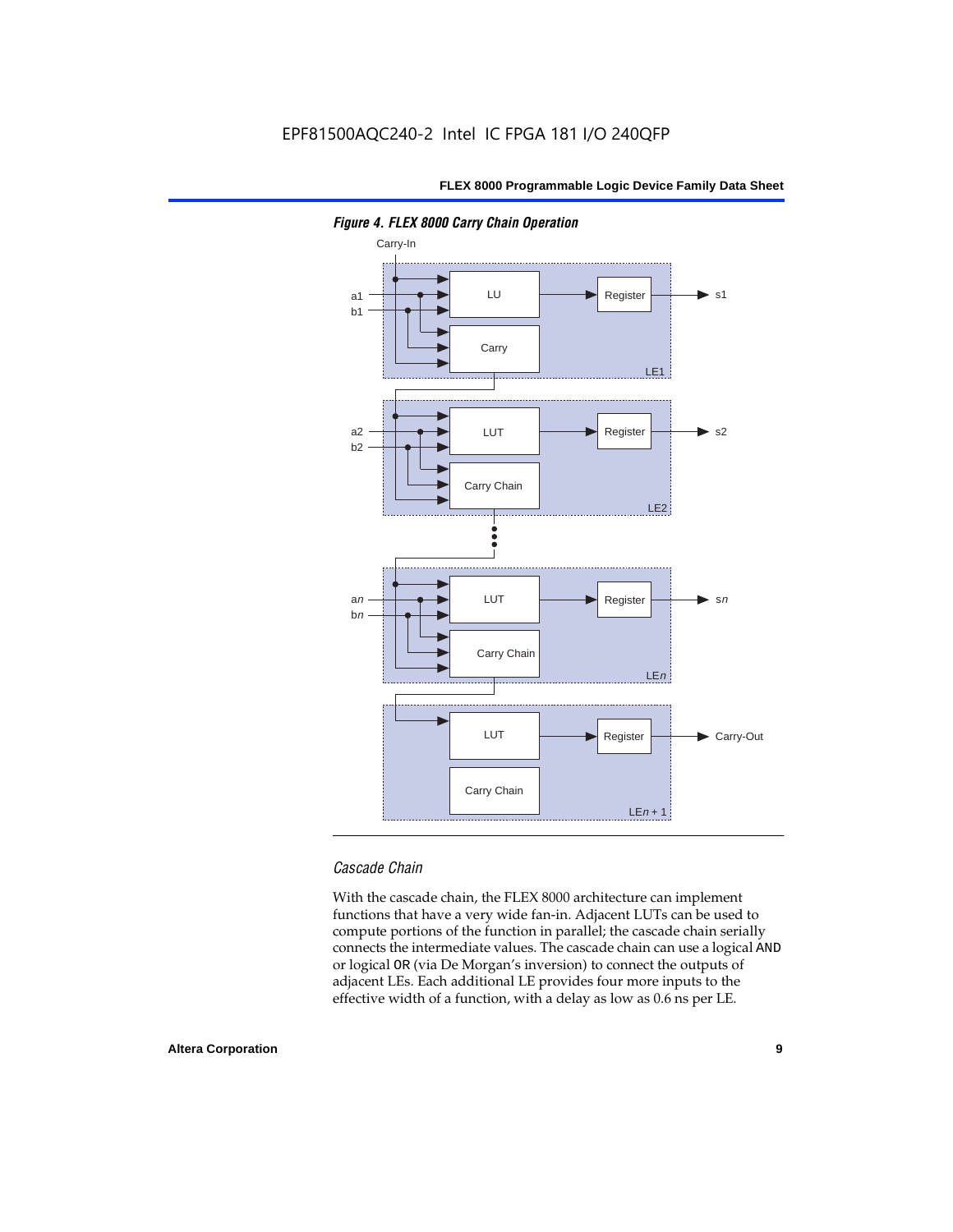

*Figure 4. FLEX 8000 Carry Chain Operation*

## *Cascade Chain*

With the cascade chain, the FLEX 8000 architecture can implement functions that have a very wide fan-in. Adjacent LUTs can be used to compute portions of the function in parallel; the cascade chain serially connects the intermediate values. The cascade chain can use a logical AND or logical OR (via De Morgan's inversion) to connect the outputs of adjacent LEs. Each additional LE provides four more inputs to the effective width of a function, with a delay as low as 0.6 ns per LE.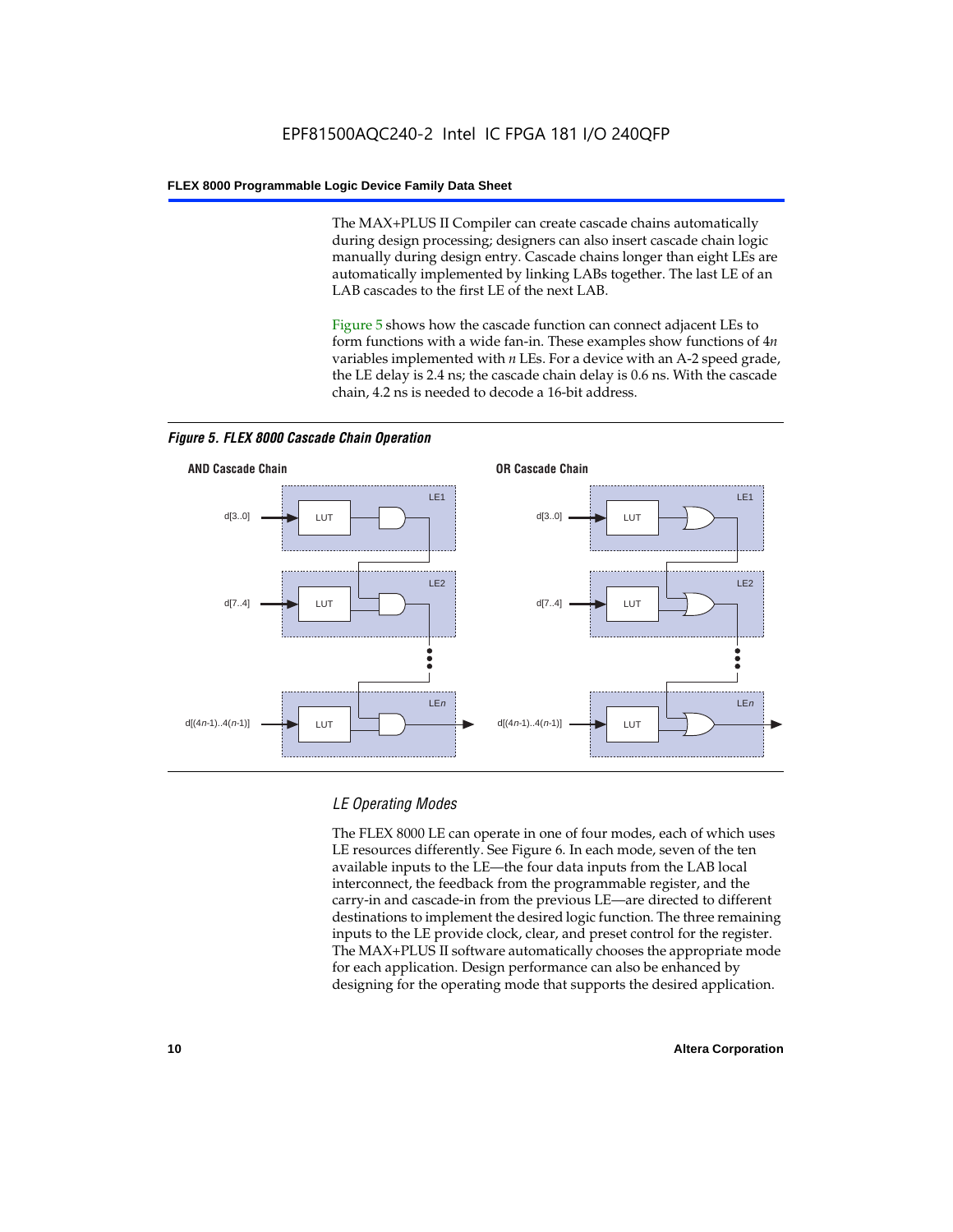The MAX+PLUS II Compiler can create cascade chains automatically during design processing; designers can also insert cascade chain logic manually during design entry. Cascade chains longer than eight LEs are automatically implemented by linking LABs together. The last LE of an LAB cascades to the first LE of the next LAB.

Figure 5 shows how the cascade function can connect adjacent LEs to form functions with a wide fan-in. These examples show functions of 4*n* variables implemented with *n* LEs. For a device with an A-2 speed grade, the LE delay is 2.4 ns; the cascade chain delay is 0.6 ns. With the cascade chain, 4.2 ns is needed to decode a 16-bit address.



*Figure 5. FLEX 8000 Cascade Chain Operation*

## *LE Operating Modes*

The FLEX 8000 LE can operate in one of four modes, each of which uses LE resources differently. See Figure 6. In each mode, seven of the ten available inputs to the LE—the four data inputs from the LAB local interconnect, the feedback from the programmable register, and the carry-in and cascade-in from the previous LE—are directed to different destinations to implement the desired logic function. The three remaining inputs to the LE provide clock, clear, and preset control for the register. The MAX+PLUS II software automatically chooses the appropriate mode for each application. Design performance can also be enhanced by designing for the operating mode that supports the desired application.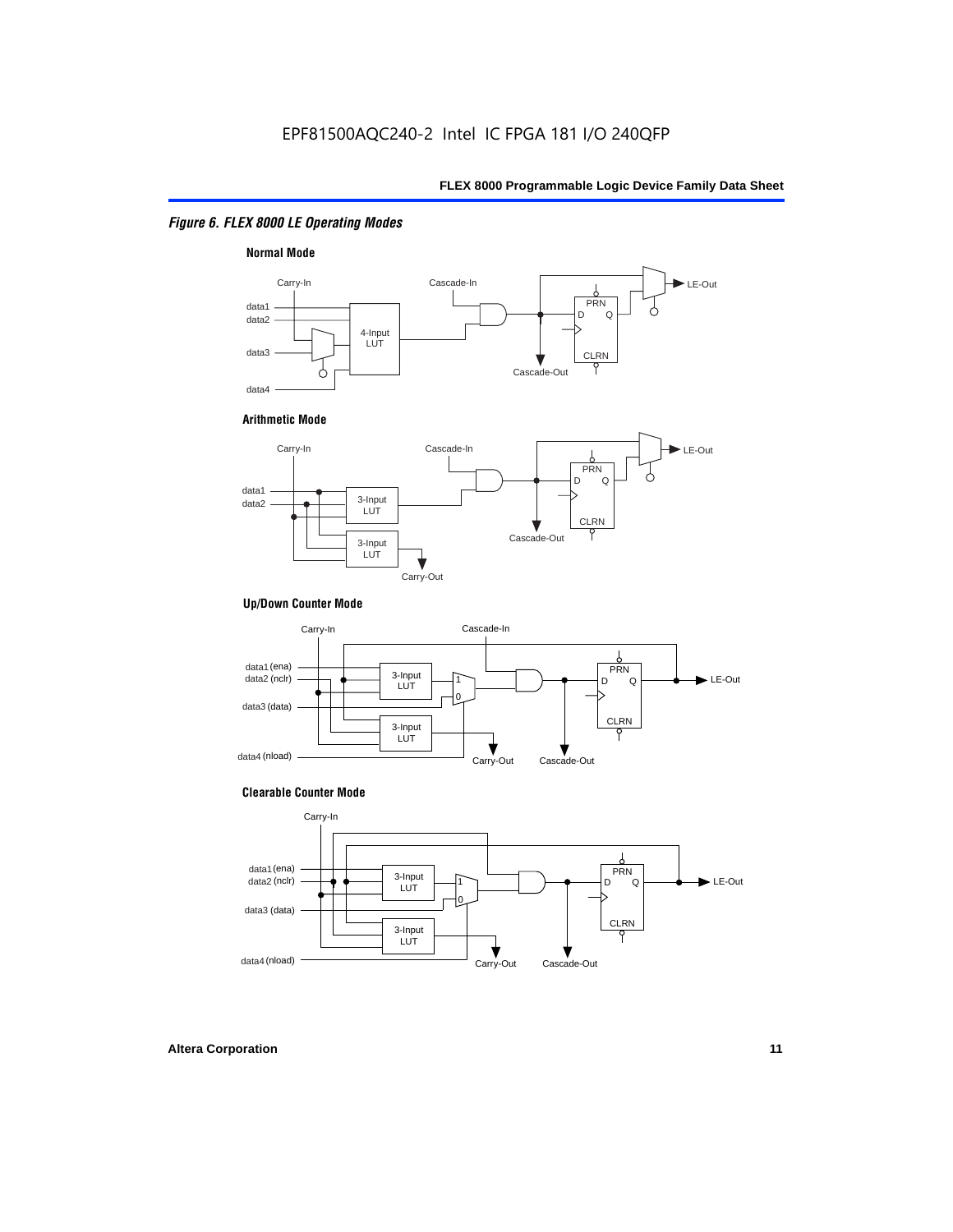## *Figure 6. FLEX 8000 LE Operating Modes*



#### **Arithmetic Mode**



## **Up/Down Counter Mode**



#### **Clearable Counter Mode**

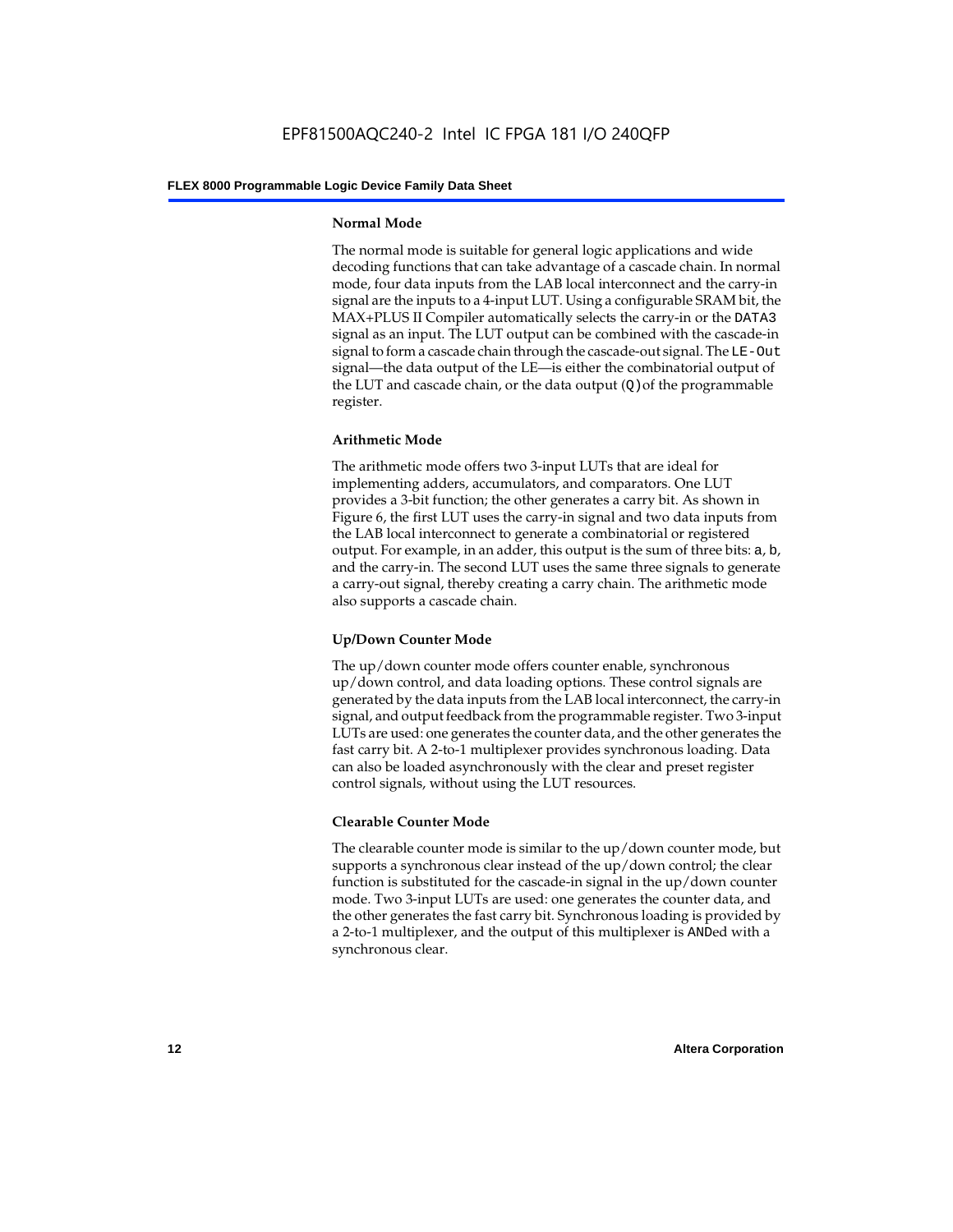## **Normal Mode**

The normal mode is suitable for general logic applications and wide decoding functions that can take advantage of a cascade chain. In normal mode, four data inputs from the LAB local interconnect and the carry-in signal are the inputs to a 4-input LUT. Using a configurable SRAM bit, the MAX+PLUS II Compiler automatically selects the carry-in or the DATA3 signal as an input. The LUT output can be combined with the cascade-in signal to form a cascade chain through the cascade-out signal. The LE-Out signal—the data output of the LE—is either the combinatorial output of the LUT and cascade chain, or the data output  $(Q)$  of the programmable register.

## **Arithmetic Mode**

The arithmetic mode offers two 3-input LUTs that are ideal for implementing adders, accumulators, and comparators. One LUT provides a 3-bit function; the other generates a carry bit. As shown in Figure 6, the first LUT uses the carry-in signal and two data inputs from the LAB local interconnect to generate a combinatorial or registered output. For example, in an adder, this output is the sum of three bits: a, b, and the carry-in. The second LUT uses the same three signals to generate a carry-out signal, thereby creating a carry chain. The arithmetic mode also supports a cascade chain.

## **Up/Down Counter Mode**

The up/down counter mode offers counter enable, synchronous up/down control, and data loading options. These control signals are generated by the data inputs from the LAB local interconnect, the carry-in signal, and output feedback from the programmable register. Two 3-input LUTs are used: one generates the counter data, and the other generates the fast carry bit. A 2-to-1 multiplexer provides synchronous loading. Data can also be loaded asynchronously with the clear and preset register control signals, without using the LUT resources.

## **Clearable Counter Mode**

The clearable counter mode is similar to the up/down counter mode, but supports a synchronous clear instead of the up/down control; the clear function is substituted for the cascade-in signal in the up/down counter mode. Two 3-input LUTs are used: one generates the counter data, and the other generates the fast carry bit. Synchronous loading is provided by a 2-to-1 multiplexer, and the output of this multiplexer is ANDed with a synchronous clear.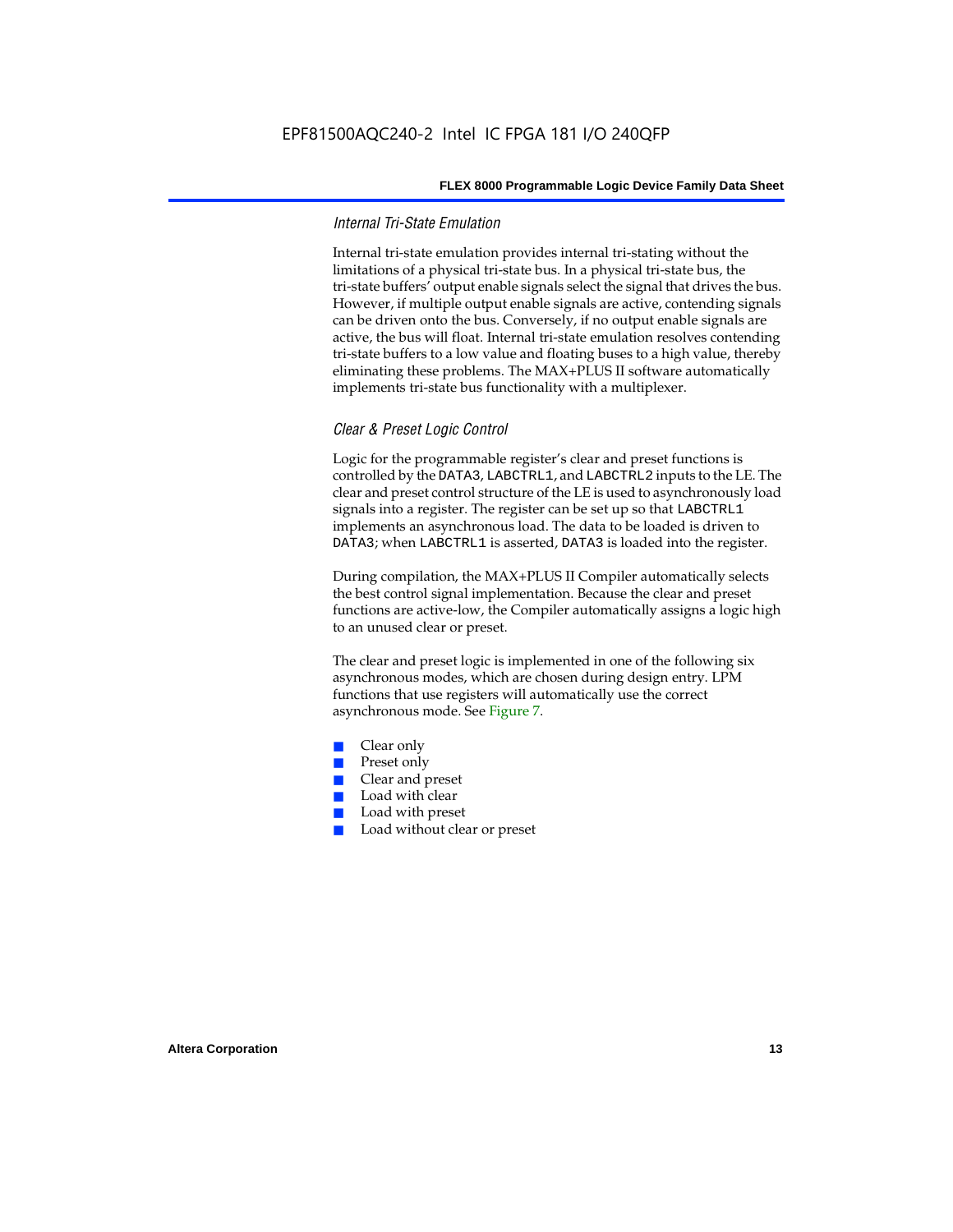## *Internal Tri-State Emulation*

Internal tri-state emulation provides internal tri-stating without the limitations of a physical tri-state bus. In a physical tri-state bus, the tri-state buffers' output enable signals select the signal that drives the bus. However, if multiple output enable signals are active, contending signals can be driven onto the bus. Conversely, if no output enable signals are active, the bus will float. Internal tri-state emulation resolves contending tri-state buffers to a low value and floating buses to a high value, thereby eliminating these problems. The MAX+PLUS II software automatically implements tri-state bus functionality with a multiplexer.

## *Clear & Preset Logic Control*

Logic for the programmable register's clear and preset functions is controlled by the DATA3, LABCTRL1, and LABCTRL2 inputs to the LE. The clear and preset control structure of the LE is used to asynchronously load signals into a register. The register can be set up so that LABCTRL1 implements an asynchronous load. The data to be loaded is driven to DATA3; when LABCTRL1 is asserted, DATA3 is loaded into the register.

During compilation, the MAX+PLUS II Compiler automatically selects the best control signal implementation. Because the clear and preset functions are active-low, the Compiler automatically assigns a logic high to an unused clear or preset.

The clear and preset logic is implemented in one of the following six asynchronous modes, which are chosen during design entry. LPM functions that use registers will automatically use the correct asynchronous mode. See Figure 7.

- Clear only
- Preset only
- Clear and preset
- Load with clear
- Load with preset
- Load without clear or preset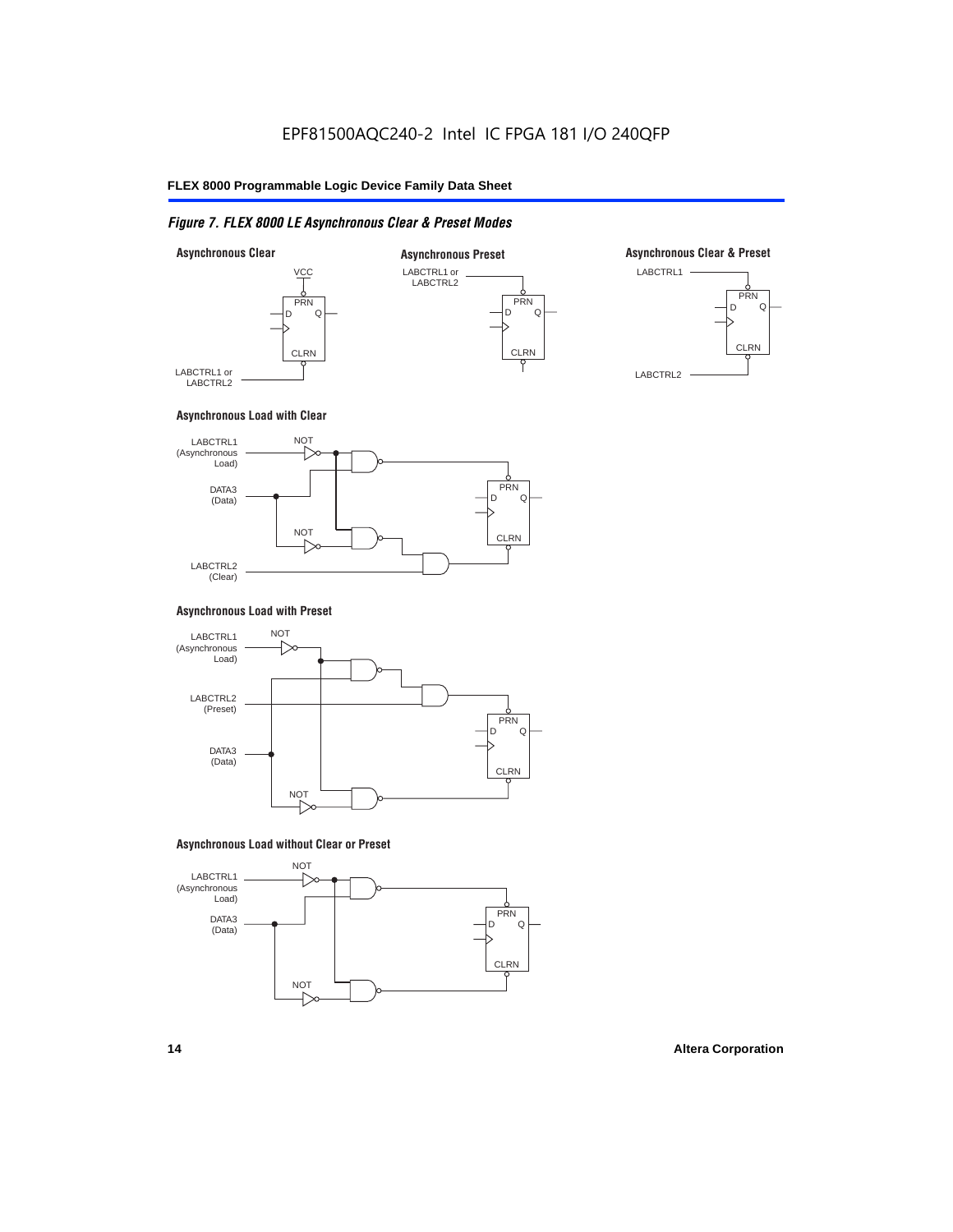## *Figure 7. FLEX 8000 LE Asynchronous Clear & Preset Modes*



## **Asynchronous Load with Clear**



## **Asynchronous Load with Preset**



## **Asynchronous Load without Clear or Preset**

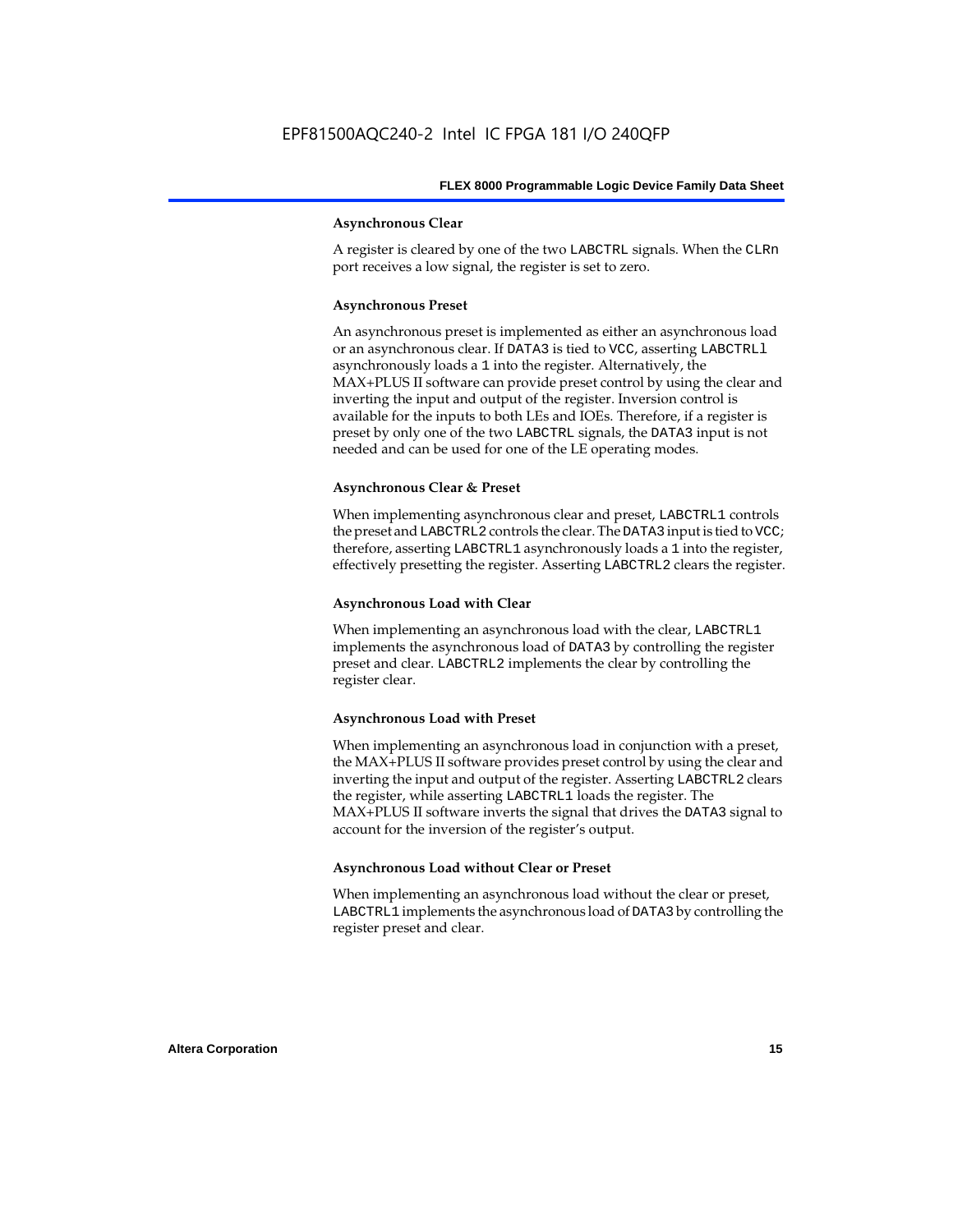## **Asynchronous Clear**

A register is cleared by one of the two LABCTRL signals. When the CLRn port receives a low signal, the register is set to zero.

## **Asynchronous Preset**

An asynchronous preset is implemented as either an asynchronous load or an asynchronous clear. If DATA3 is tied to VCC, asserting LABCTRLl asynchronously loads a 1 into the register. Alternatively, the MAX+PLUS II software can provide preset control by using the clear and inverting the input and output of the register. Inversion control is available for the inputs to both LEs and IOEs. Therefore, if a register is preset by only one of the two LABCTRL signals, the DATA3 input is not needed and can be used for one of the LE operating modes.

## **Asynchronous Clear & Preset**

When implementing asynchronous clear and preset, LABCTRL1 controls the preset and LABCTRL2 controls the clear. The DATA3 input is tied to VCC; therefore, asserting LABCTRL1 asynchronously loads a 1 into the register, effectively presetting the register. Asserting LABCTRL2 clears the register.

## **Asynchronous Load with Clear**

When implementing an asynchronous load with the clear, LABCTRL1 implements the asynchronous load of DATA3 by controlling the register preset and clear. LABCTRL2 implements the clear by controlling the register clear.

#### **Asynchronous Load with Preset**

When implementing an asynchronous load in conjunction with a preset, the MAX+PLUS II software provides preset control by using the clear and inverting the input and output of the register. Asserting LABCTRL2 clears the register, while asserting LABCTRL1 loads the register. The MAX+PLUS II software inverts the signal that drives the DATA3 signal to account for the inversion of the register's output.

## **Asynchronous Load without Clear or Preset**

When implementing an asynchronous load without the clear or preset, LABCTRL1 implements the asynchronous load of DATA3 by controlling the register preset and clear.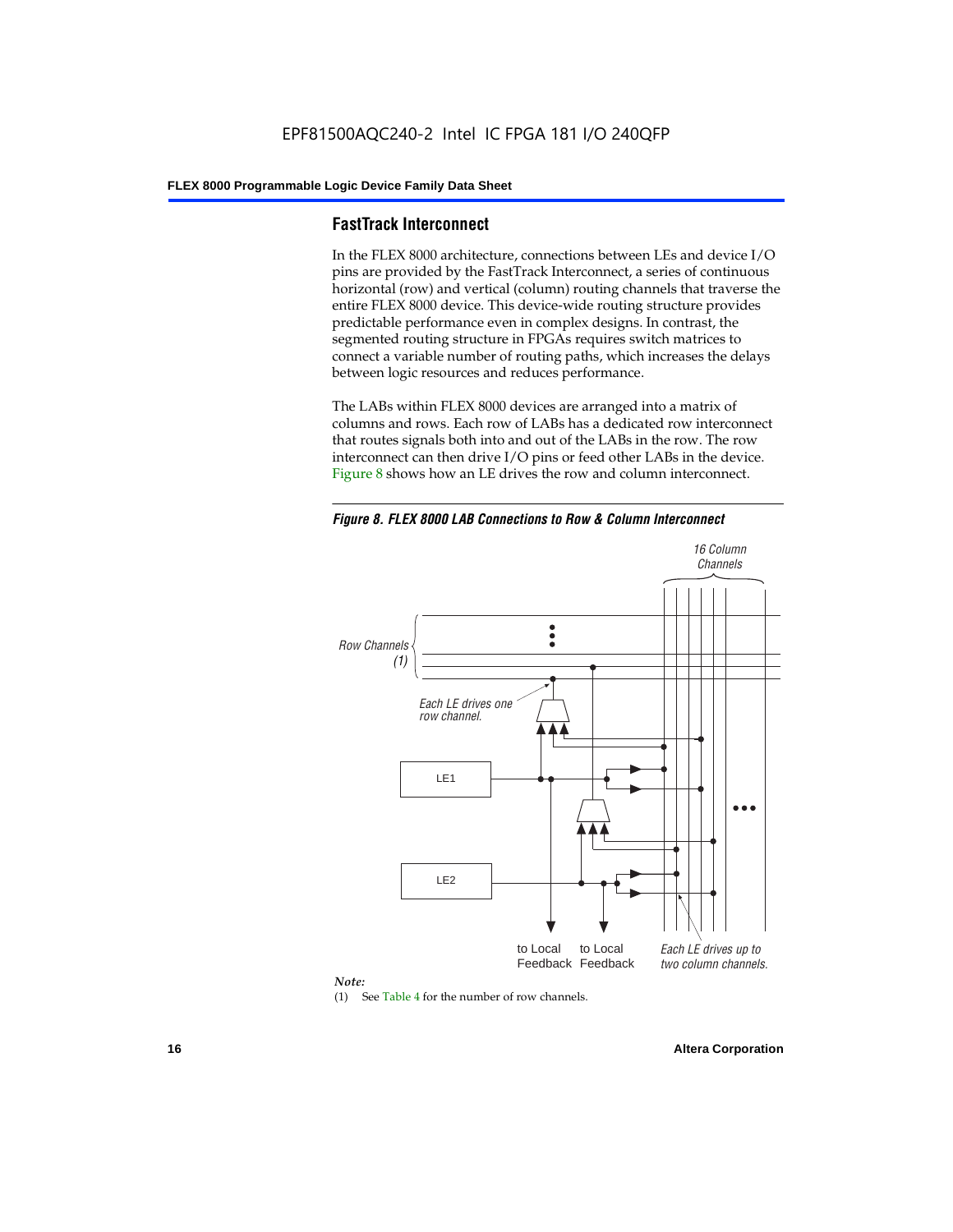## **FastTrack Interconnect**

In the FLEX 8000 architecture, connections between LEs and device I/O pins are provided by the FastTrack Interconnect, a series of continuous horizontal (row) and vertical (column) routing channels that traverse the entire FLEX 8000 device. This device-wide routing structure provides predictable performance even in complex designs. In contrast, the segmented routing structure in FPGAs requires switch matrices to connect a variable number of routing paths, which increases the delays between logic resources and reduces performance.

The LABs within FLEX 8000 devices are arranged into a matrix of columns and rows. Each row of LABs has a dedicated row interconnect that routes signals both into and out of the LABs in the row. The row interconnect can then drive I/O pins or feed other LABs in the device. Figure 8 shows how an LE drives the row and column interconnect.

*Figure 8. FLEX 8000 LAB Connections to Row & Column Interconnect*





(1) See Table 4 for the number of row channels.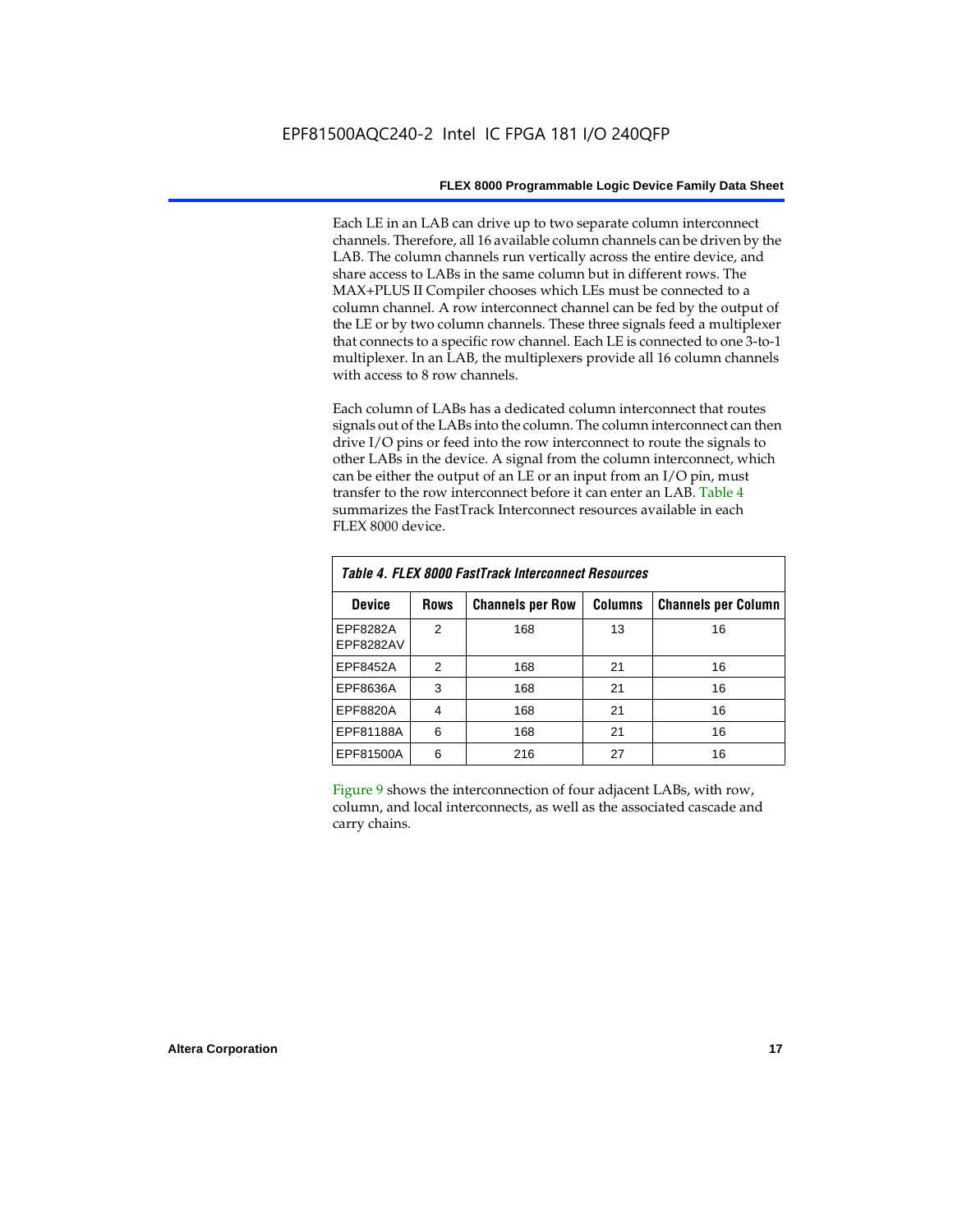Each LE in an LAB can drive up to two separate column interconnect channels. Therefore, all 16 available column channels can be driven by the LAB. The column channels run vertically across the entire device, and share access to LABs in the same column but in different rows. The MAX+PLUS II Compiler chooses which LEs must be connected to a column channel. A row interconnect channel can be fed by the output of the LE or by two column channels. These three signals feed a multiplexer that connects to a specific row channel. Each LE is connected to one 3-to-1 multiplexer. In an LAB, the multiplexers provide all 16 column channels with access to 8 row channels.

Each column of LABs has a dedicated column interconnect that routes signals out of the LABs into the column. The column interconnect can then drive I/O pins or feed into the row interconnect to route the signals to other LABs in the device. A signal from the column interconnect, which can be either the output of an LE or an input from an I/O pin, must transfer to the row interconnect before it can enter an LAB. Table 4 summarizes the FastTrack Interconnect resources available in each FLEX 8000 device.

| Table 4. FLEX 8000 FastTrack Interconnect Resources |               |                         |                |                            |  |  |  |  |  |  |
|-----------------------------------------------------|---------------|-------------------------|----------------|----------------------------|--|--|--|--|--|--|
| <b>Device</b>                                       | <b>Rows</b>   | <b>Channels per Row</b> | <b>Columns</b> | <b>Channels per Column</b> |  |  |  |  |  |  |
| EPF8282A<br>EPF8282AV                               | $\mathcal{P}$ | 168                     | 13             | 16                         |  |  |  |  |  |  |
| EPF8452A                                            | $\mathcal{P}$ | 168                     | 21             | 16                         |  |  |  |  |  |  |
| EPF8636A                                            | 3             | 168                     | 21             | 16                         |  |  |  |  |  |  |
| EPF8820A                                            | 4             | 168                     | 21             | 16                         |  |  |  |  |  |  |
| EPF81188A                                           | 6             | 168                     | 21             | 16                         |  |  |  |  |  |  |
| EPF81500A                                           | 6             | 216                     | 27             | 16                         |  |  |  |  |  |  |

Figure 9 shows the interconnection of four adjacent LABs, with row, column, and local interconnects, as well as the associated cascade and carry chains.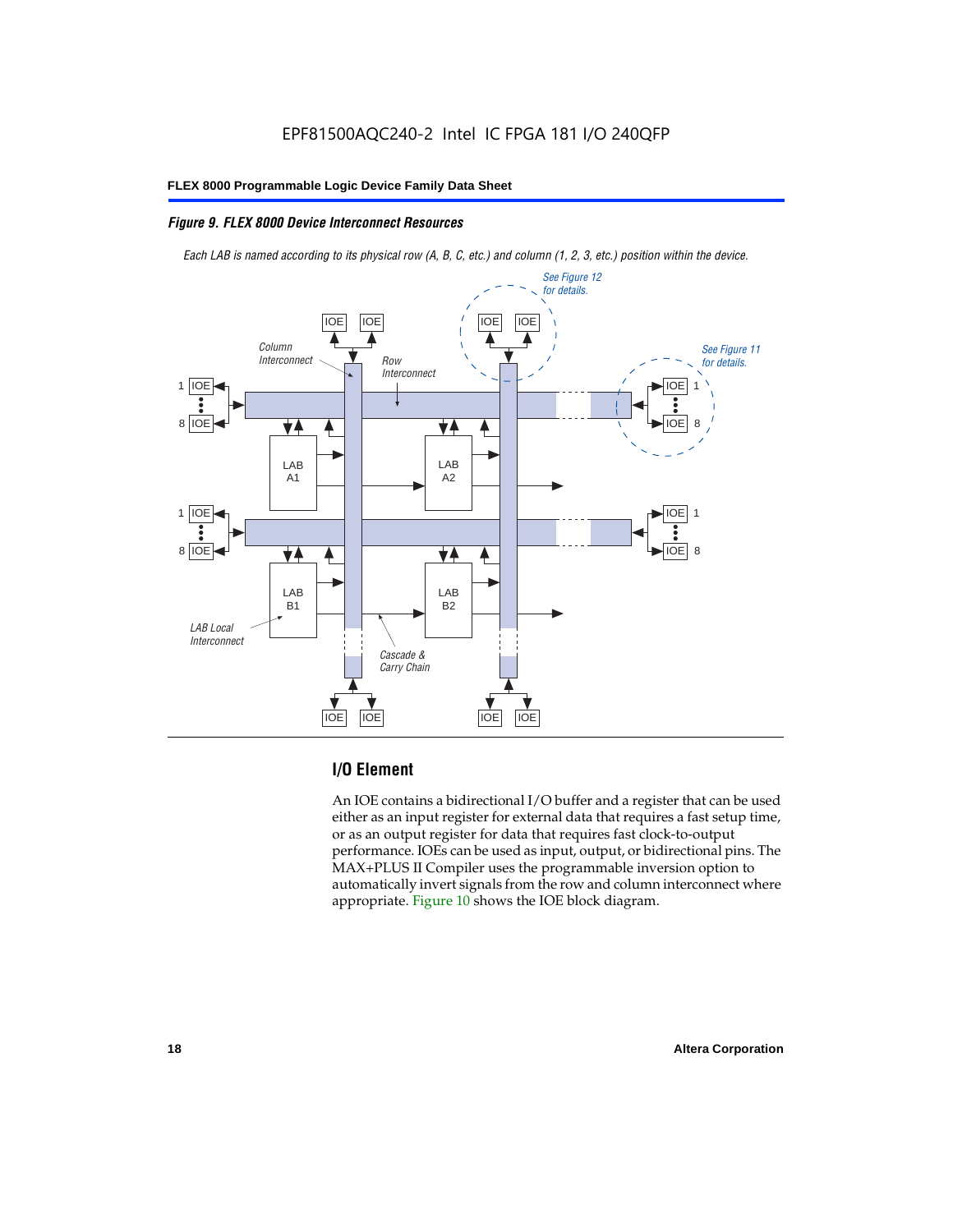## *Figure 9. FLEX 8000 Device Interconnect Resources*

*Each LAB is named according to its physical row (A, B, C, etc.) and column (1, 2, 3, etc.) position within the device.*



## **I/O Element**

An IOE contains a bidirectional I/O buffer and a register that can be used either as an input register for external data that requires a fast setup time, or as an output register for data that requires fast clock-to-output performance. IOEs can be used as input, output, or bidirectional pins. The MAX+PLUS II Compiler uses the programmable inversion option to automatically invert signals from the row and column interconnect where appropriate. Figure 10 shows the IOE block diagram.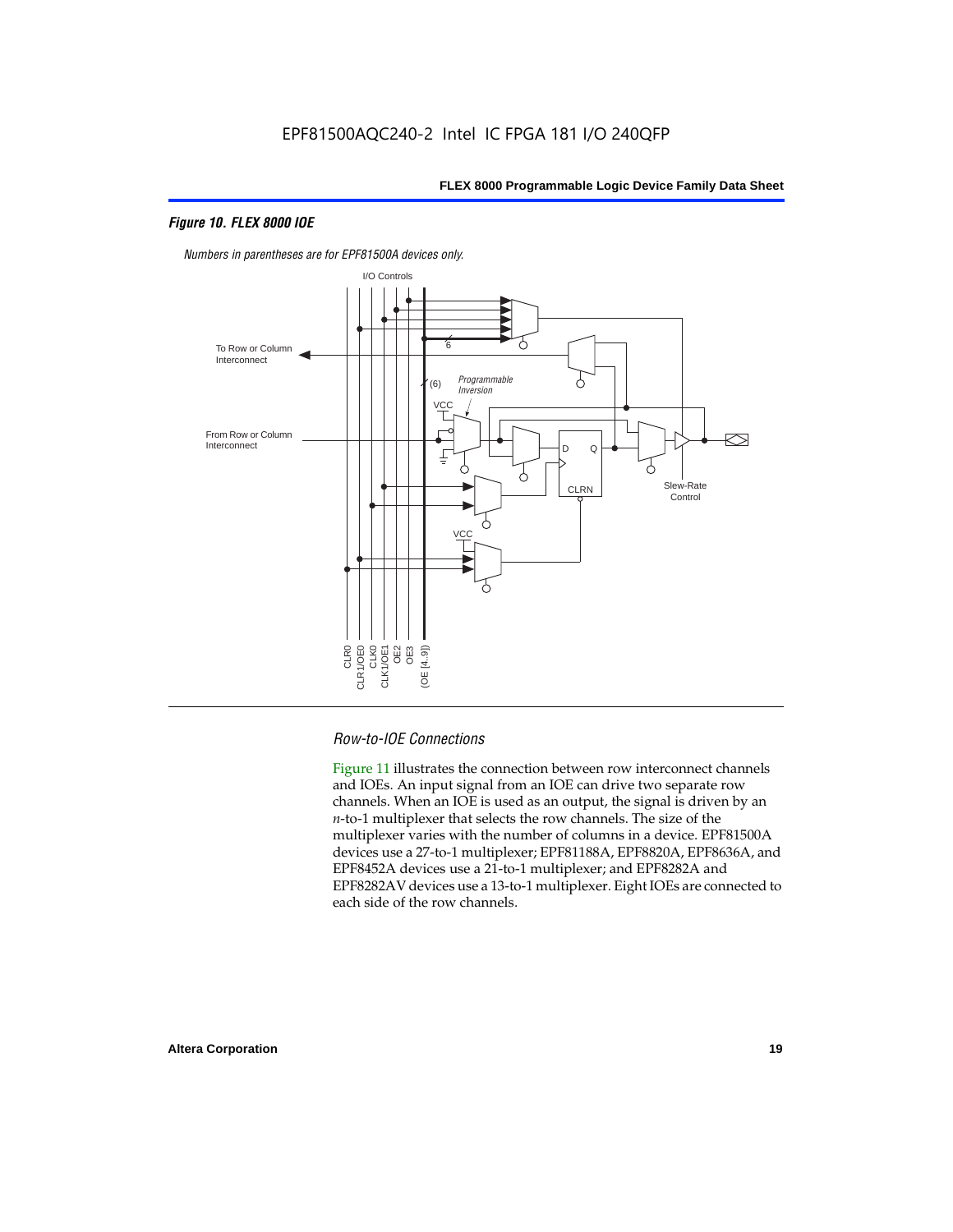## *Figure 10. FLEX 8000 IOE*



*Numbers in parentheses are for EPF81500A devices only.*

## *Row-to-IOE Connections*

Figure 11 illustrates the connection between row interconnect channels and IOEs. An input signal from an IOE can drive two separate row channels. When an IOE is used as an output, the signal is driven by an *n*-to-1 multiplexer that selects the row channels. The size of the multiplexer varies with the number of columns in a device. EPF81500A devices use a 27-to-1 multiplexer; EPF81188A, EPF8820A, EPF8636A, and EPF8452A devices use a 21-to-1 multiplexer; and EPF8282A and EPF8282AV devices use a 13-to-1 multiplexer. Eight IOEs are connected to each side of the row channels.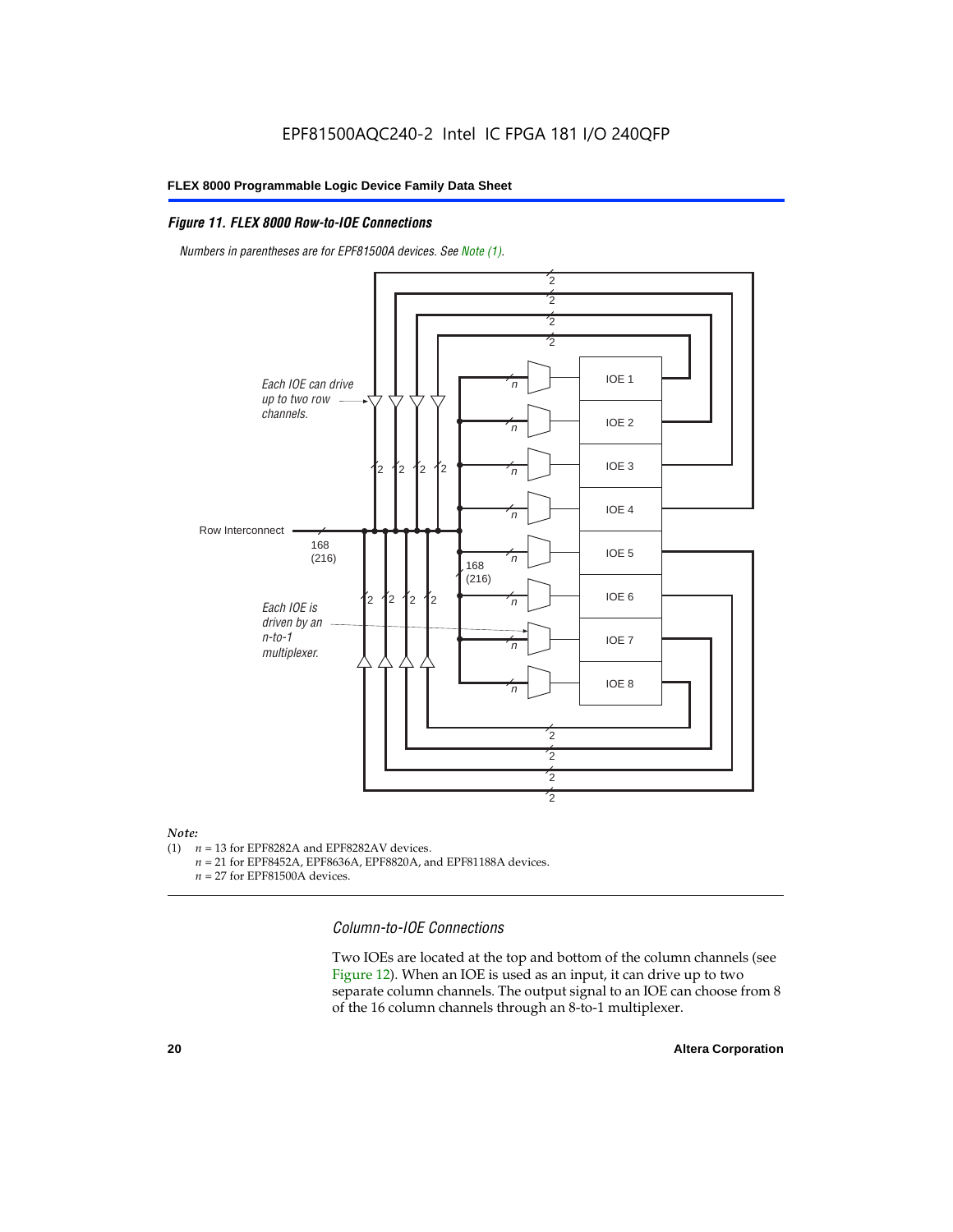## *Figure 11. FLEX 8000 Row-to-IOE Connections*

*Numbers in parentheses are for EPF81500A devices. See Note (1).*



## *Note:*<br>(1) *n*

- $n = 13$  for EPF8282A and EPF8282AV devices.
	- *n* = 21 for EPF8452A, EPF8636A, EPF8820A, and EPF81188A devices.
	- *n* = 27 for EPF81500A devices.

*Column-to-IOE Connections*

Two IOEs are located at the top and bottom of the column channels (see Figure 12). When an IOE is used as an input, it can drive up to two separate column channels. The output signal to an IOE can choose from 8 of the 16 column channels through an 8-to-1 multiplexer.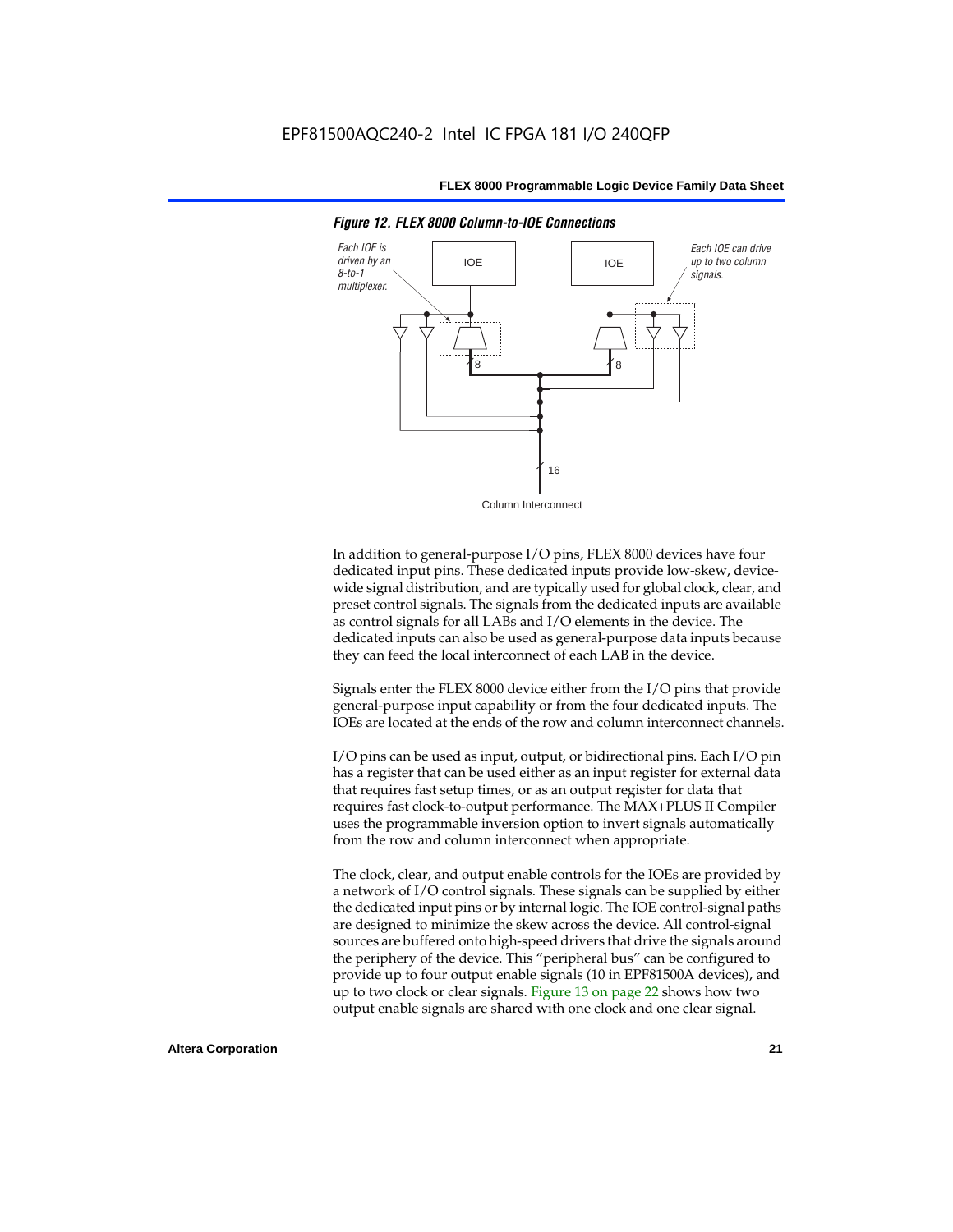

*Figure 12. FLEX 8000 Column-to-IOE Connections*

In addition to general-purpose I/O pins, FLEX 8000 devices have four dedicated input pins. These dedicated inputs provide low-skew, devicewide signal distribution, and are typically used for global clock, clear, and preset control signals. The signals from the dedicated inputs are available as control signals for all LABs and I/O elements in the device. The dedicated inputs can also be used as general-purpose data inputs because they can feed the local interconnect of each LAB in the device.

Signals enter the FLEX 8000 device either from the I/O pins that provide general-purpose input capability or from the four dedicated inputs. The IOEs are located at the ends of the row and column interconnect channels.

I/O pins can be used as input, output, or bidirectional pins. Each I/O pin has a register that can be used either as an input register for external data that requires fast setup times, or as an output register for data that requires fast clock-to-output performance. The MAX+PLUS II Compiler uses the programmable inversion option to invert signals automatically from the row and column interconnect when appropriate.

The clock, clear, and output enable controls for the IOEs are provided by a network of I/O control signals. These signals can be supplied by either the dedicated input pins or by internal logic. The IOE control-signal paths are designed to minimize the skew across the device. All control-signal sources are buffered onto high-speed drivers that drive the signals around the periphery of the device. This "peripheral bus" can be configured to provide up to four output enable signals (10 in EPF81500A devices), and up to two clock or clear signals. Figure 13 on page 22 shows how two output enable signals are shared with one clock and one clear signal.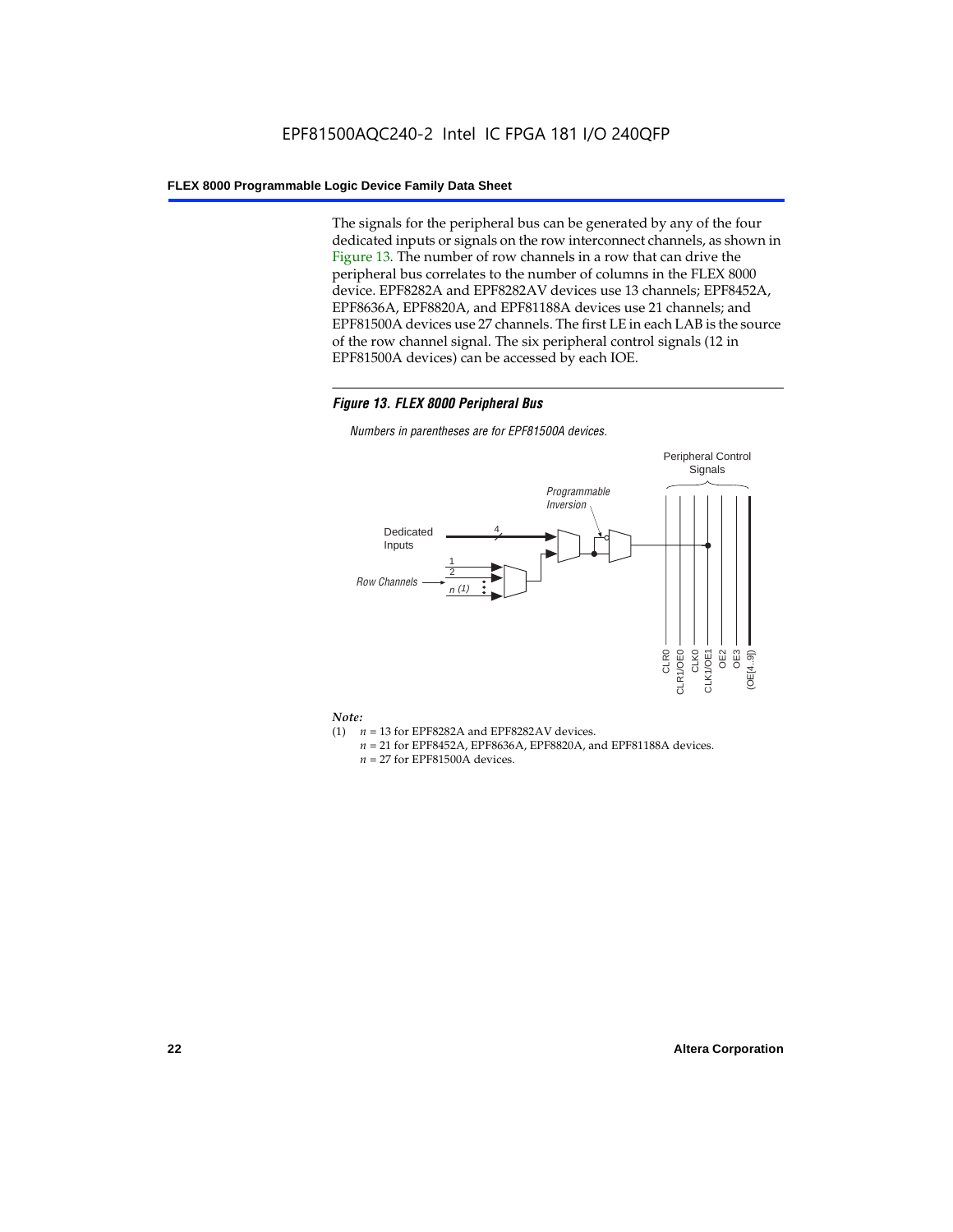The signals for the peripheral bus can be generated by any of the four dedicated inputs or signals on the row interconnect channels, as shown in Figure 13. The number of row channels in a row that can drive the peripheral bus correlates to the number of columns in the FLEX 8000 device. EPF8282A and EPF8282AV devices use 13 channels; EPF8452A, EPF8636A, EPF8820A, and EPF81188A devices use 21 channels; and EPF81500A devices use 27 channels. The first LE in each LAB is the source of the row channel signal. The six peripheral control signals (12 in EPF81500A devices) can be accessed by each IOE.

## *Figure 13. FLEX 8000 Peripheral Bus*

*Numbers in parentheses are for EPF81500A devices.*



#### *Note:*

- (1)  $n = 13$  for EPF8282A and EPF8282AV devices.
	- *n* = 21 for EPF8452A, EPF8636A, EPF8820A, and EPF81188A devices.
	- *n* = 27 for EPF81500A devices.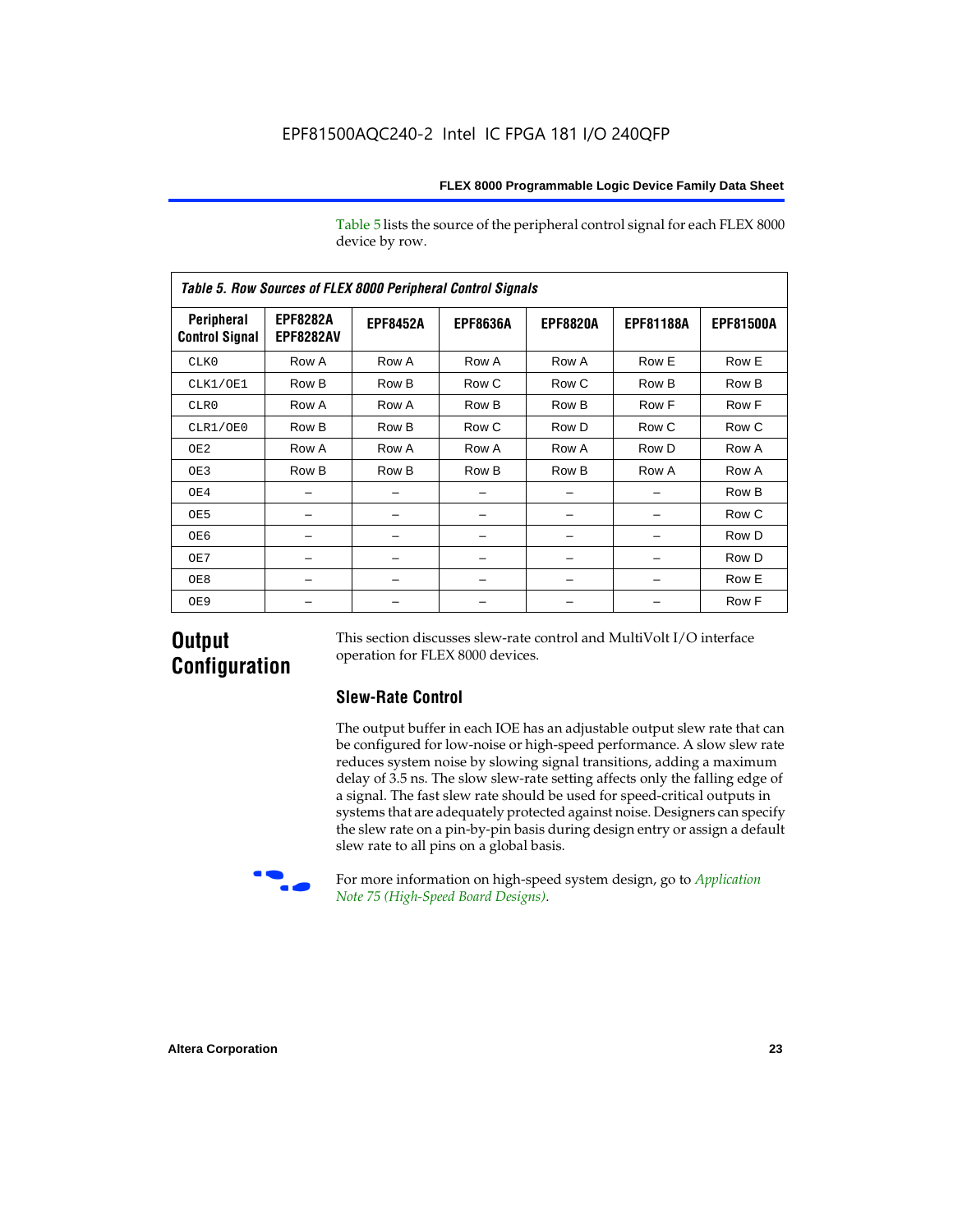Table 5 lists the source of the peripheral control signal for each FLEX 8000 device by row.

| Table 5. Row Sources of FLEX 8000 Peripheral Control Signals |                                     |                 |                 |                 |                  |                  |  |  |  |  |  |
|--------------------------------------------------------------|-------------------------------------|-----------------|-----------------|-----------------|------------------|------------------|--|--|--|--|--|
| Peripheral<br><b>Control Signal</b>                          | <b>EPF8282A</b><br><b>EPF8282AV</b> | <b>EPF8452A</b> | <b>EPF8636A</b> | <b>EPF8820A</b> | <b>EPF81188A</b> | <b>EPF81500A</b> |  |  |  |  |  |
| CLK0                                                         | Row A                               | Row A           | Row A           | Row A           | Row E            | Row E            |  |  |  |  |  |
| CLK1/OE1                                                     | Row B                               | Row B           | Row C           | Row C           | Row B            | Row B            |  |  |  |  |  |
| CLR0                                                         | Row A                               | Row A           | Row B           | Row B           | Row F            | Row F            |  |  |  |  |  |
| CLR1/OE0                                                     | Row B                               | Row B           | Row C           | Row D           | Row C            | Row C            |  |  |  |  |  |
| OE <sub>2</sub>                                              | Row A                               | Row A           | Row A           | Row A           | Row D            | Row A            |  |  |  |  |  |
| OE3                                                          | Row B                               | Row B           | Row B           | Row B           | Row A            | Row A            |  |  |  |  |  |
| OE4                                                          |                                     |                 |                 |                 |                  | Row B            |  |  |  |  |  |
| OE5                                                          |                                     |                 |                 |                 |                  | Row C            |  |  |  |  |  |
| OE6                                                          |                                     |                 |                 |                 |                  | Row D            |  |  |  |  |  |
| OE7                                                          |                                     |                 |                 |                 |                  | Row D            |  |  |  |  |  |
| OE8                                                          |                                     |                 |                 |                 |                  | Row E            |  |  |  |  |  |
| OE9                                                          |                                     |                 |                 |                 |                  | Row F            |  |  |  |  |  |

## **Output Configuration**

This section discusses slew-rate control and MultiVolt I/O interface operation for FLEX 8000 devices.

## **Slew-Rate Control**

The output buffer in each IOE has an adjustable output slew rate that can be configured for low-noise or high-speed performance. A slow slew rate reduces system noise by slowing signal transitions, adding a maximum delay of 3.5 ns. The slow slew-rate setting affects only the falling edge of a signal. The fast slew rate should be used for speed-critical outputs in systems that are adequately protected against noise. Designers can specify the slew rate on a pin-by-pin basis during design entry or assign a default slew rate to all pins on a global basis.



f For more information on high-speed system design, go to *Application Note 75 (High-Speed Board Designs)*.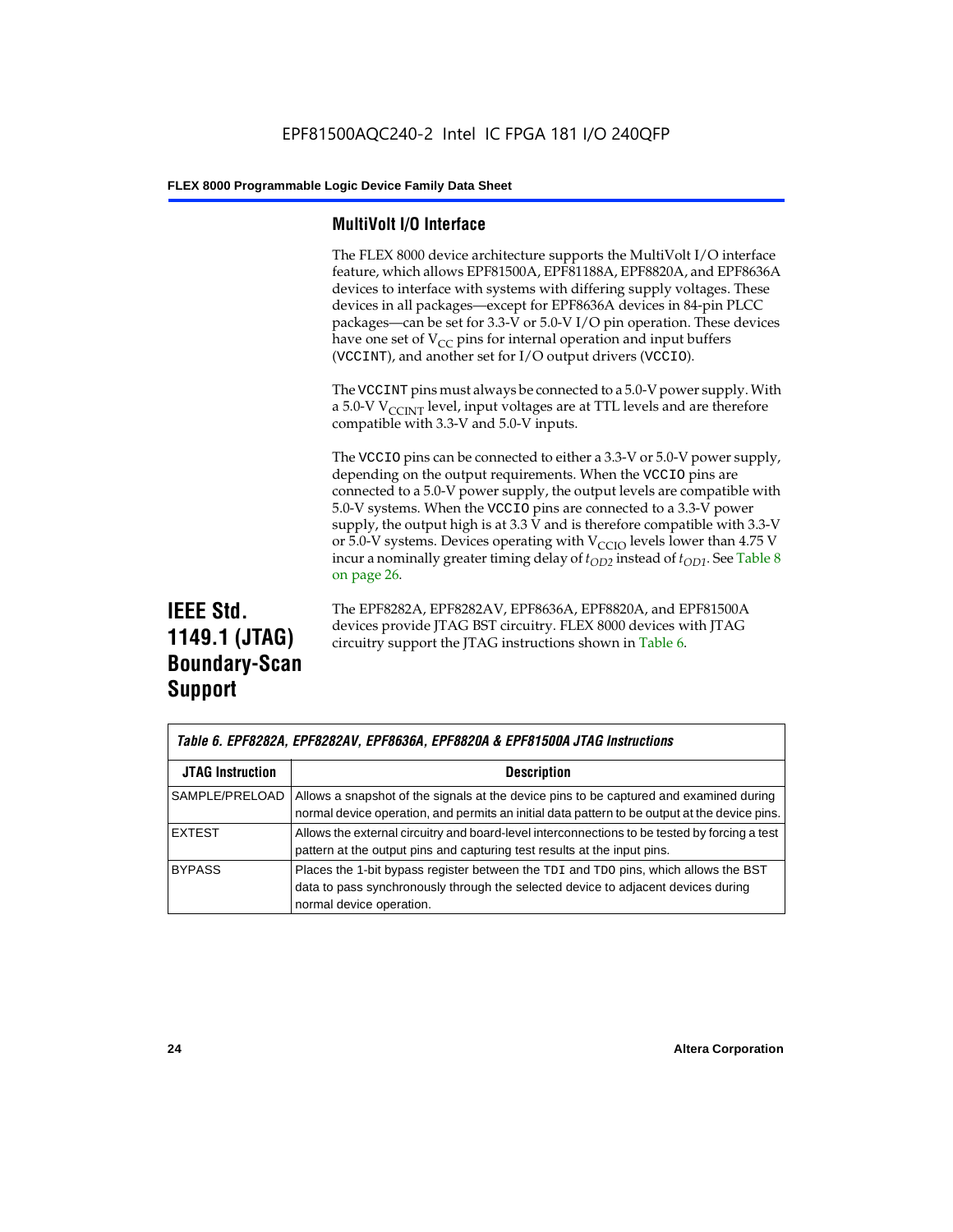## **MultiVolt I/O Interface**

The FLEX 8000 device architecture supports the MultiVolt I/O interface feature, which allows EPF81500A, EPF81188A, EPF8820A, and EPF8636A devices to interface with systems with differing supply voltages. These devices in all packages—except for EPF8636A devices in 84-pin PLCC packages—can be set for 3.3-V or 5.0-V I/O pin operation. These devices have one set of  $V_{CC}$  pins for internal operation and input buffers (VCCINT), and another set for I/O output drivers (VCCIO).

The VCCINT pins must always be connected to a 5.0-V power supply. With a 5.0-V  $V_{\text{CCINT}}$  level, input voltages are at TTL levels and are therefore compatible with 3.3-V and 5.0-V inputs.

The VCCIO pins can be connected to either a 3.3-V or 5.0-V power supply, depending on the output requirements. When the VCCIO pins are connected to a 5.0-V power supply, the output levels are compatible with 5.0-V systems. When the VCCIO pins are connected to a 3.3-V power supply, the output high is at 3.3 V and is therefore compatible with 3.3-V or 5.0-V systems. Devices operating with  $V_{\text{C}CD}$  levels lower than 4.75 V incur a nominally greater timing delay of  $t_{OD2}$  instead of  $t_{OD1}$ . See Table 8 on page 26.

## **IEEE Std. 1149.1 (JTAG) Boundary-Scan Support**

The EPF8282A, EPF8282AV, EPF8636A, EPF8820A, and EPF81500A devices provide JTAG BST circuitry. FLEX 8000 devices with JTAG circuitry support the JTAG instructions shown in Table 6.

| Table 6. EPF8282A, EPF8282AV, EPF8636A, EPF8820A & EPF81500A JTAG Instructions |                                                                                                                                                                                                      |  |  |  |  |  |
|--------------------------------------------------------------------------------|------------------------------------------------------------------------------------------------------------------------------------------------------------------------------------------------------|--|--|--|--|--|
| <b>JTAG Instruction</b>                                                        | <b>Description</b>                                                                                                                                                                                   |  |  |  |  |  |
| SAMPLE/PRELOAD                                                                 | Allows a snapshot of the signals at the device pins to be captured and examined during<br>normal device operation, and permits an initial data pattern to be output at the device pins.              |  |  |  |  |  |
| <b>EXTEST</b>                                                                  | Allows the external circuitry and board-level interconnections to be tested by forcing a test<br>pattern at the output pins and capturing test results at the input pins.                            |  |  |  |  |  |
| <b>BYPASS</b>                                                                  | Places the 1-bit bypass register between the TDI and TDO pins, which allows the BST<br>data to pass synchronously through the selected device to adjacent devices during<br>normal device operation. |  |  |  |  |  |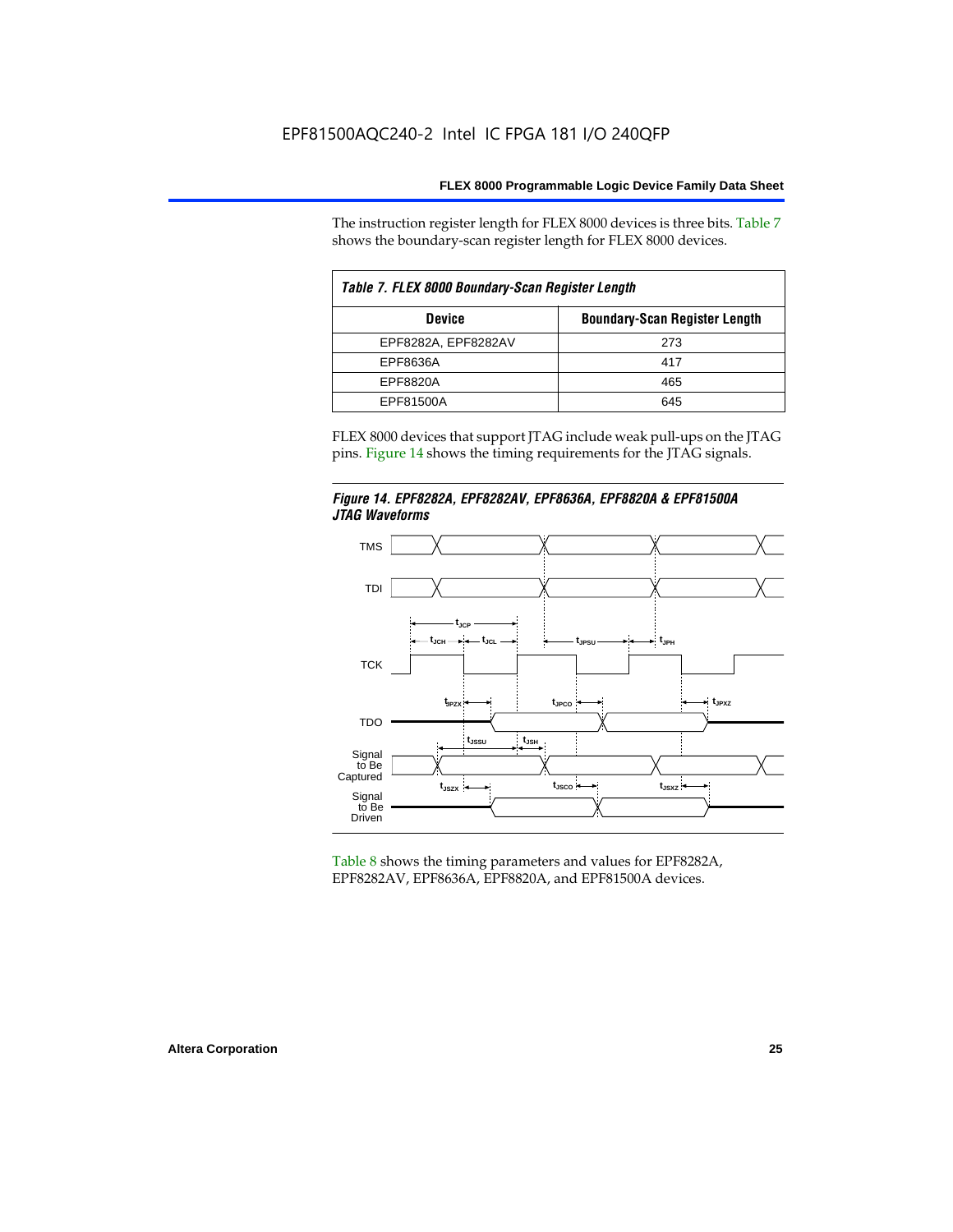The instruction register length for FLEX 8000 devices is three bits. Table 7 shows the boundary-scan register length for FLEX 8000 devices.

| Table 7. FLEX 8000 Boundary-Scan Register Length |                                      |  |  |  |  |  |  |
|--------------------------------------------------|--------------------------------------|--|--|--|--|--|--|
| <b>Device</b>                                    | <b>Boundary-Scan Register Length</b> |  |  |  |  |  |  |
| EPF8282A, EPF8282AV                              | 273                                  |  |  |  |  |  |  |
| EPF8636A                                         | 417                                  |  |  |  |  |  |  |
| EPF8820A                                         | 465                                  |  |  |  |  |  |  |
| EPF81500A                                        | 645                                  |  |  |  |  |  |  |

FLEX 8000 devices that support JTAG include weak pull-ups on the JTAG pins. Figure 14 shows the timing requirements for the JTAG signals.





Table 8 shows the timing parameters and values for EPF8282A, EPF8282AV, EPF8636A, EPF8820A, and EPF81500A devices.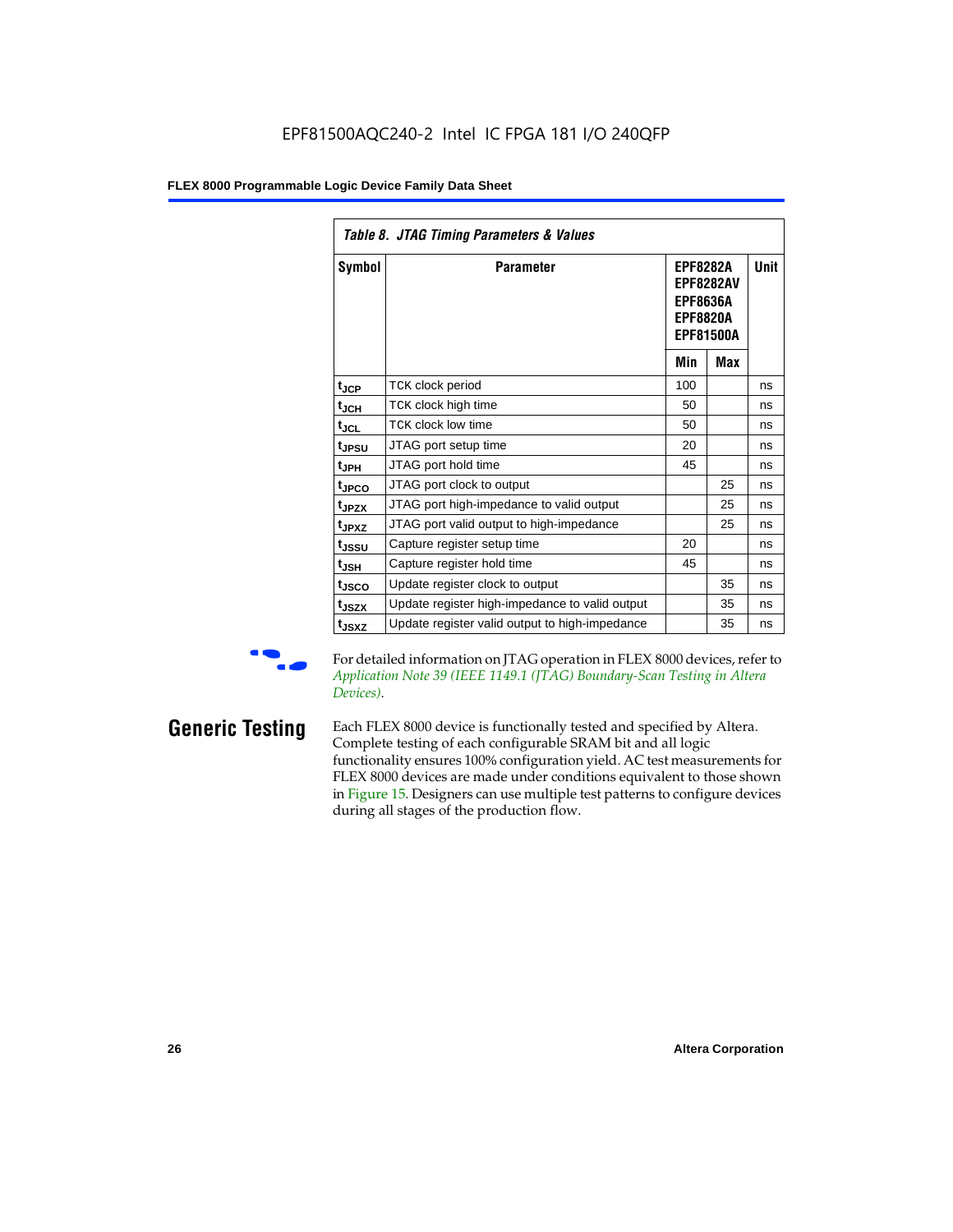| Table 8. JTAG Timing Parameters & Values |                                                |                                                                                               |     |             |  |  |  |  |  |
|------------------------------------------|------------------------------------------------|-----------------------------------------------------------------------------------------------|-----|-------------|--|--|--|--|--|
| Symbol                                   | <b>Parameter</b>                               | <b>EPF8282A</b><br><b>EPF8282AV</b><br><b>EPF8636A</b><br><b>EPF8820A</b><br><b>EPF81500A</b> |     | <b>Unit</b> |  |  |  |  |  |
|                                          |                                                | Min                                                                                           | Max |             |  |  |  |  |  |
| $t_{\rm JCP}$                            | TCK clock period                               | 100                                                                                           |     | ns          |  |  |  |  |  |
| $t_{JCH}$                                | TCK clock high time                            | 50                                                                                            |     | ns          |  |  |  |  |  |
| $t_{JCL}$                                | <b>TCK clock low time</b>                      | 50                                                                                            |     | ns          |  |  |  |  |  |
| t <sub>JPSU</sub>                        | JTAG port setup time                           | 20                                                                                            |     | ns          |  |  |  |  |  |
| t <sub>JPH</sub>                         | JTAG port hold time                            | 45                                                                                            |     | ns          |  |  |  |  |  |
| t <sub>JPCO</sub>                        | JTAG port clock to output                      |                                                                                               | 25  | ns          |  |  |  |  |  |
| t <sub>JPZX</sub>                        | JTAG port high-impedance to valid output       |                                                                                               | 25  | ns          |  |  |  |  |  |
| t <sub>JPXZ</sub>                        | JTAG port valid output to high-impedance       |                                                                                               | 25  | ns          |  |  |  |  |  |
| tjssu                                    | Capture register setup time                    | 20                                                                                            |     | ns          |  |  |  |  |  |
| $t_{JSH}$                                | Capture register hold time                     | 45                                                                                            |     | ns          |  |  |  |  |  |
| t <sub>JSCO</sub>                        | Update register clock to output                |                                                                                               | 35  | ns          |  |  |  |  |  |
| t <sub>JSZX</sub>                        | Update register high-impedance to valid output |                                                                                               | 35  | ns          |  |  |  |  |  |
| t <sub>JSXZ</sub>                        | Update register valid output to high-impedance |                                                                                               | 35  | ns          |  |  |  |  |  |

For detailed information on JTAG operation in FLEX 8000 devices, refer to *Application Note 39 (IEEE 1149.1 (JTAG) Boundary-Scan Testing in Altera Devices)*.

**Generic Testing** Each FLEX 8000 device is functionally tested and specified by Altera. Complete testing of each configurable SRAM bit and all logic functionality ensures 100% configuration yield. AC test measurements for FLEX 8000 devices are made under conditions equivalent to those shown in Figure 15. Designers can use multiple test patterns to configure devices during all stages of the production flow.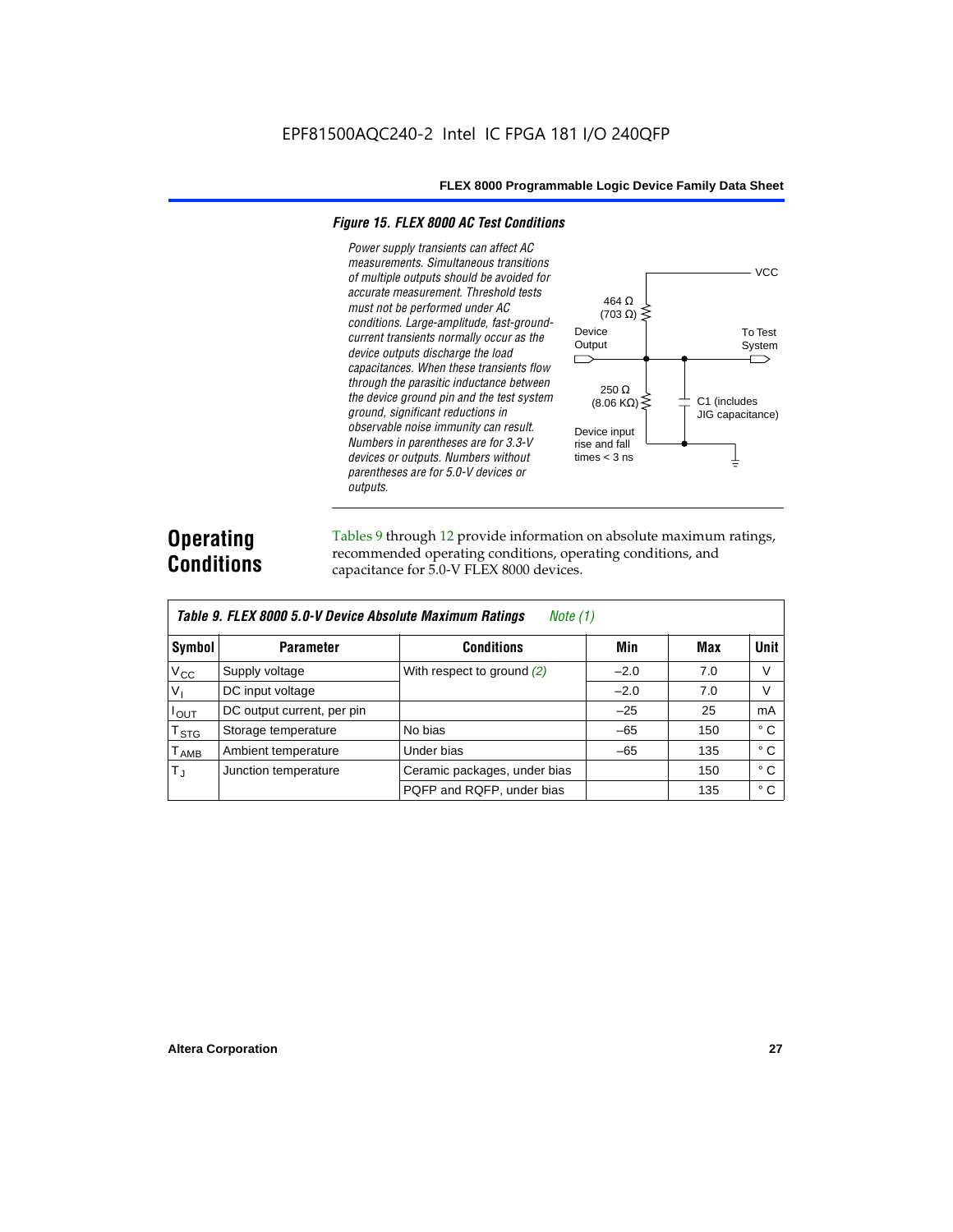#### *Figure 15. FLEX 8000 AC Test Conditions*

*Power supply transients can affect AC measurements. Simultaneous transitions*  **VCC** *of multiple outputs should be avoided for accurate measurement. Threshold tests*  464 Ω *must not be performed under AC*   $(703 \Omega)$ *conditions. Large-amplitude, fast-ground-*Device To Test *current transients normally occur as the*  **Output** System *device outputs discharge the load*   $\Box$ ⌒ *capacitances. When these transients flow through the parasitic inductance between*  250 Ω *the device ground pin and the test system*   $(8.06 \text{ K}\Omega)$ C1 (includes *ground, significant reductions in*  JIG capacitance) *observable noise immunity can result.*  Device input *Numbers in parentheses are for 3.3-V*  rise and fall *devices or outputs. Numbers without*  times  $<$  3 ns ╧ *parentheses are for 5.0-V devices or outputs.*

## **Operating Conditions**

Tables 9 through 12 provide information on absolute maximum ratings, recommended operating conditions, operating conditions, and capacitance for 5.0-V FLEX 8000 devices.

|                  | Table 9. FLEX 8000 5.0-V Device Absolute Maximum Ratings<br>Note (1) |                              |        |     |              |  |  |  |  |  |  |
|------------------|----------------------------------------------------------------------|------------------------------|--------|-----|--------------|--|--|--|--|--|--|
| Symbol           | <b>Parameter</b>                                                     | <b>Conditions</b>            | Min    | Max | <b>Unit</b>  |  |  |  |  |  |  |
| $V_{\rm CC}$     | Supply voltage                                                       | With respect to ground $(2)$ | $-2.0$ | 7.0 | V            |  |  |  |  |  |  |
| $V_{\parallel}$  | DC input voltage                                                     |                              | $-2.0$ | 7.0 | V            |  |  |  |  |  |  |
| $I_{\text{OUT}}$ | DC output current, per pin                                           |                              | $-25$  | 25  | mA           |  |  |  |  |  |  |
| $T_{\,rm STG}$   | Storage temperature                                                  | No bias                      | $-65$  | 150 | $^{\circ}$ C |  |  |  |  |  |  |
| $T_{\sf AMB}$    | Ambient temperature                                                  | Under bias                   | $-65$  | 135 | $^{\circ}$ C |  |  |  |  |  |  |
| $T_{\rm J}$      | Junction temperature                                                 | Ceramic packages, under bias |        | 150 | $^{\circ}$ C |  |  |  |  |  |  |
|                  |                                                                      | PQFP and RQFP, under bias    |        | 135 | $^{\circ}$ C |  |  |  |  |  |  |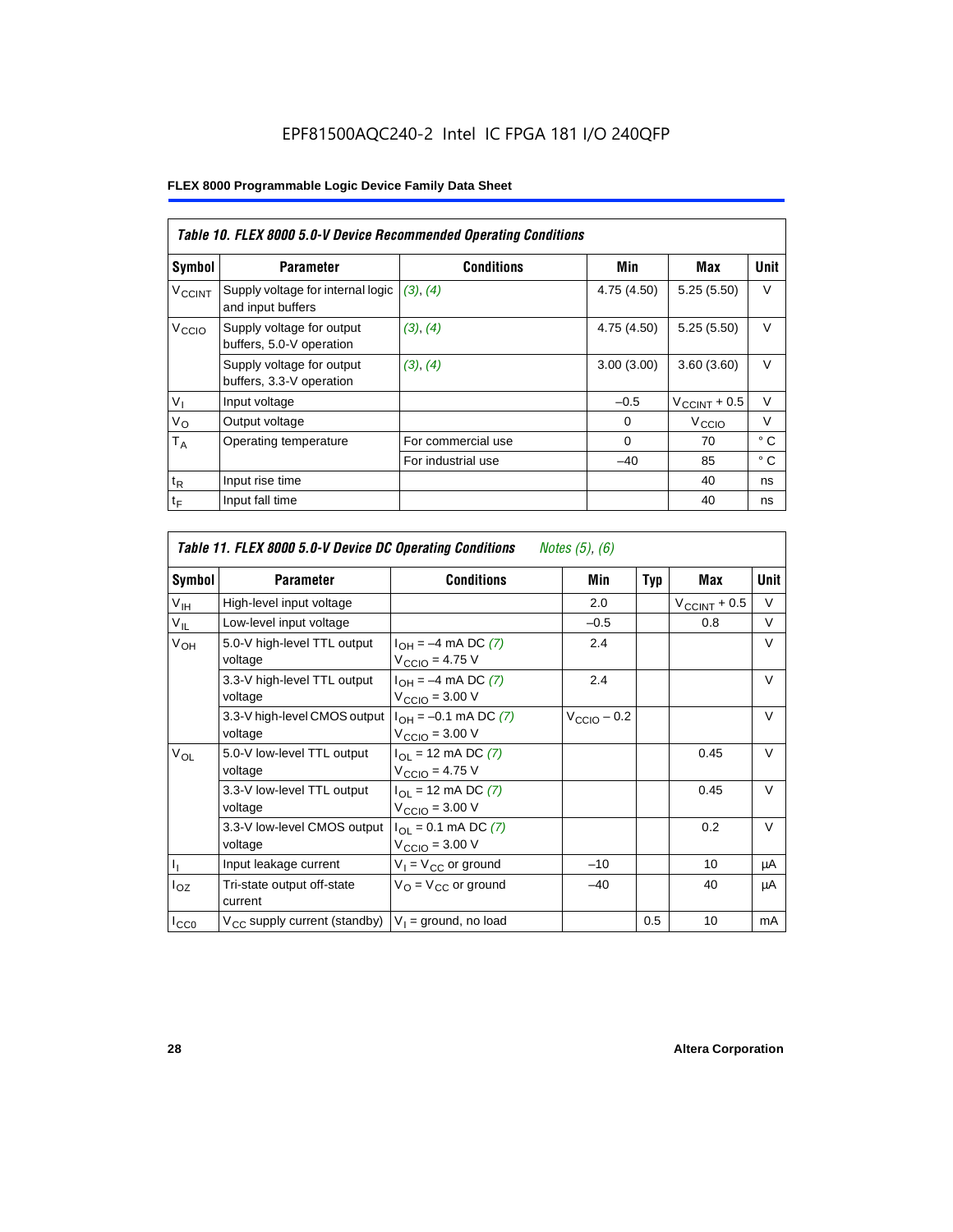|                          |                                                        | Table 10. FLEX 8000 5.0-V Device Recommended Operating Conditions |             |                          |              |
|--------------------------|--------------------------------------------------------|-------------------------------------------------------------------|-------------|--------------------------|--------------|
| Symbol                   | <b>Parameter</b>                                       | <b>Conditions</b>                                                 | Min         | Max                      | Unit         |
| <b>V<sub>CCINT</sub></b> | Supply voltage for internal logic<br>and input buffers | (3), (4)                                                          | 4.75(4.50)  | 5.25(5.50)               | $\vee$       |
| V <sub>CCIO</sub>        | Supply voltage for output<br>buffers, 5.0-V operation  | (3), (4)                                                          | 4.75 (4.50) | 5.25(5.50)               | $\vee$       |
|                          | Supply voltage for output<br>buffers, 3.3-V operation  | (3), (4)                                                          | 3.00(3.00)  | 3.60(3.60)               | $\vee$       |
| $V_{I}$                  | Input voltage                                          |                                                                   | $-0.5$      | $V_{\text{CCINT}} + 0.5$ | $\vee$       |
| $V_{\rm O}$              | Output voltage                                         |                                                                   | 0           | V <sub>ccio</sub>        | $\vee$       |
| $T_A$                    | Operating temperature                                  | For commercial use                                                | $\Omega$    | 70                       | °C           |
|                          |                                                        | For industrial use                                                | $-40$       | 85                       | $^{\circ}$ C |
| $t_{R}$                  | Input rise time                                        |                                                                   |             | 40                       | ns           |
| t <sub>F</sub>           | Input fall time                                        |                                                                   |             | 40                       | ns           |

| Table 11. FLEX 8000 5.0-V Device DC Operating Conditions<br>Notes (5), (6) |                                         |                                                                               |                         |            |                       |             |  |  |  |  |
|----------------------------------------------------------------------------|-----------------------------------------|-------------------------------------------------------------------------------|-------------------------|------------|-----------------------|-------------|--|--|--|--|
| Symbol                                                                     | <b>Parameter</b>                        | <b>Conditions</b>                                                             | Min                     | <b>Typ</b> | Max                   | <b>Unit</b> |  |  |  |  |
| $V_{\text{IH}}$                                                            | High-level input voltage                |                                                                               | 2.0                     |            | $V_{\rm CCINT}$ + 0.5 | V           |  |  |  |  |
| $V_{IL}$                                                                   | Low-level input voltage                 |                                                                               | $-0.5$                  |            | 0.8                   | V           |  |  |  |  |
| V <sub>OH</sub>                                                            | 5.0-V high-level TTL output<br>voltage  | $I_{OH} = -4$ mA DC (7)<br>$V_{\text{CCIO}} = 4.75 V$                         | 2.4                     |            |                       | $\vee$      |  |  |  |  |
|                                                                            | 3.3-V high-level TTL output<br>voltage  | $I_{OH} = -4$ mA DC (7)<br>$V_{\text{CCIO}} = 3.00 \text{ V}$                 | 2.4                     |            |                       | $\vee$      |  |  |  |  |
|                                                                            | 3.3-V high-level CMOS output<br>voltage | $I_{OH} = -0.1$ mA DC (7)<br>$V_{\text{CCIO}} = 3.00 \text{ V}$               | $V_{\text{CCIO}} - 0.2$ |            |                       | V           |  |  |  |  |
| $V_{OL}$                                                                   | 5.0-V low-level TTL output<br>voltage   | $I_{\Omega}$ = 12 mA DC (7)<br>$V_{\text{CCIO}} = 4.75 V$                     |                         |            | 0.45                  | V           |  |  |  |  |
|                                                                            | 3.3-V low-level TTL output<br>voltage   | $I_{\text{OI}} = 12 \text{ mA DC } (7)$<br>$V_{\text{CCIO}} = 3.00 \text{ V}$ |                         |            | 0.45                  | $\vee$      |  |  |  |  |
|                                                                            | 3.3-V low-level CMOS output<br>voltage  | $I_{\Omega I} = 0.1$ mA DC (7)<br>$V_{\text{CCIO}} = 3.00 \text{ V}$          |                         |            | 0.2                   | V           |  |  |  |  |
| $I_1$                                                                      | Input leakage current                   | $V_1 = V_{CC}$ or ground                                                      | $-10$                   |            | 10                    | μA          |  |  |  |  |
| $I_{OZ}$                                                                   | Tri-state output off-state<br>current   | $V_{\Omega}$ = $V_{\Omega}$ or ground                                         | $-40$                   |            | 40                    | μA          |  |  |  |  |
| ICCO                                                                       | $V_{CC}$ supply current (standby)       | $V_1$ = ground, no load                                                       |                         | 0.5        | 10                    | mA          |  |  |  |  |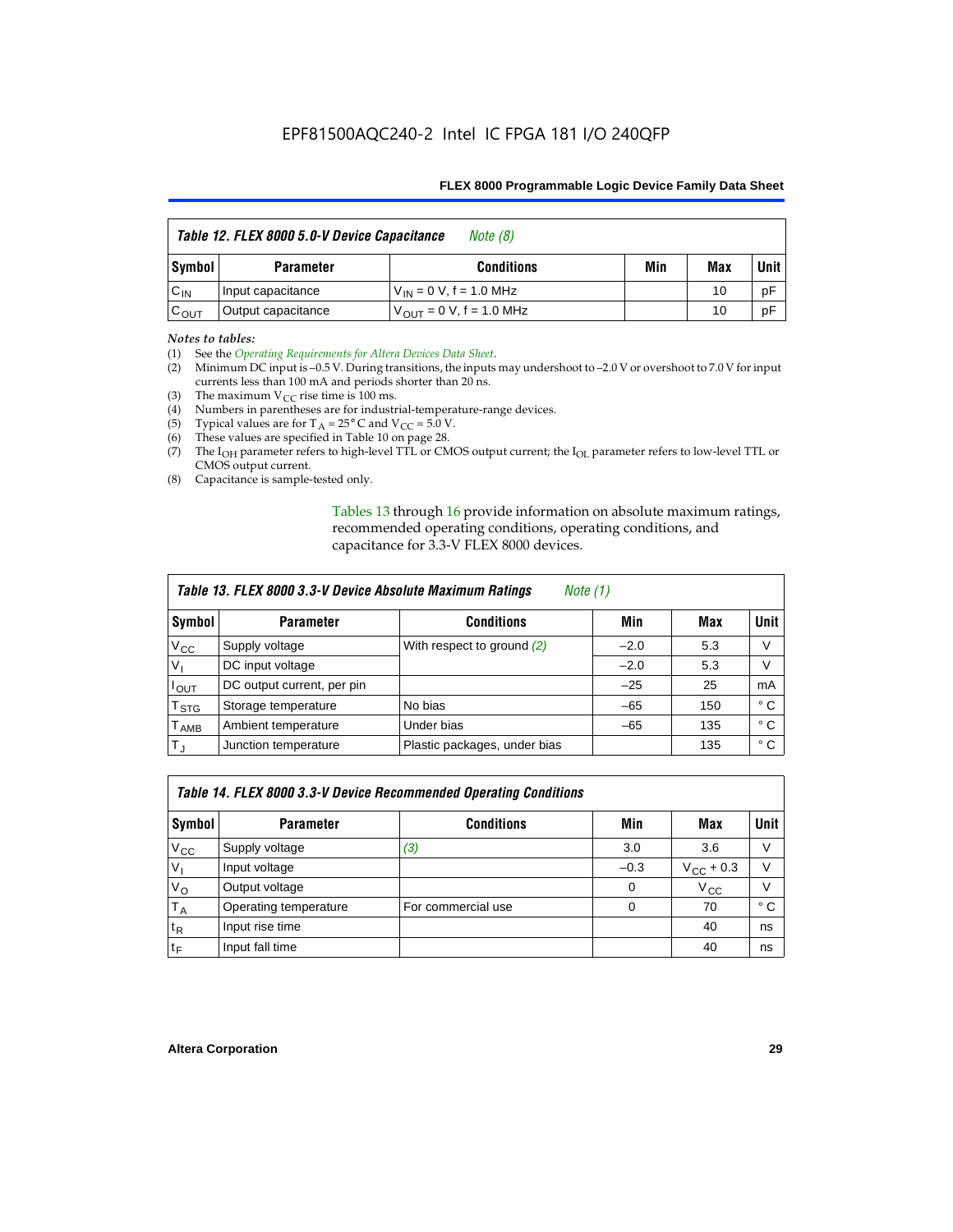| Table 12. FLEX 8000 5.0-V Device Capacitance<br>Note $(8)$ |                    |                               |     |     |        |
|------------------------------------------------------------|--------------------|-------------------------------|-----|-----|--------|
| Symbol                                                     | <b>Parameter</b>   | <b>Conditions</b>             | Min | Max | Unit I |
| $C_{IN}$                                                   | Input capacitance  | $V_{IN} = 0 V$ , f = 1.0 MHz  |     | 10  | pF     |
| $C_{\text{OUT}}$                                           | Output capacitance | $V_{OIII}$ = 0 V, f = 1.0 MHz |     | 10  | pF     |

#### *Notes to tables:*

(1) See the *Operating Requirements for Altera Devices Data Sheet*.

- (2) Minimum DC input is –0.5 V. During transitions, the inputs may undershoot to –2.0 V or overshoot to 7.0 V for input currents less than 100 mA and periods shorter than 20 ns.
- (3) The maximum  $V_{CC}$  rise time is 100 ms.
- (4) Numbers in parentheses are for industrial-temperature-range devices.
- (5) Typical values are for  $T_A = 25^\circ$  C and  $V_{CC} = 5.0$  V.
- (6) These values are specified in Table 10 on page 28.
- (7) The  $I_{OH}$  parameter refers to high-level TTL or CMOS output current; the  $I_{OL}$  parameter refers to low-level TTL or CMOS output current.
- (8) Capacitance is sample-tested only.

Tables 13 through 16 provide information on absolute maximum ratings, recommended operating conditions, operating conditions, and capacitance for 3.3-V FLEX 8000 devices.

|                    | Table 13. FLEX 8000 3.3-V Device Absolute Maximum Ratings<br><i>Note</i> $(1)$ |                              |        |     |              |  |  |
|--------------------|--------------------------------------------------------------------------------|------------------------------|--------|-----|--------------|--|--|
| Symbol             | <b>Parameter</b>                                                               | <b>Conditions</b>            | Min    | Max | <b>Unit</b>  |  |  |
| $V_{\text{CC}}$    | Supply voltage                                                                 | With respect to ground (2)   | $-2.0$ | 5.3 | V            |  |  |
| V <sub>1</sub>     | DC input voltage                                                               |                              | $-2.0$ | 5.3 | V            |  |  |
| $I_{\mathsf{OUT}}$ | DC output current, per pin                                                     |                              | $-25$  | 25  | mA           |  |  |
| T <sub>STG</sub>   | Storage temperature                                                            | No bias                      | $-65$  | 150 | ۰c           |  |  |
| <b>TAMB</b>        | Ambient temperature                                                            | Under bias                   | $-65$  | 135 | $^{\circ}$ C |  |  |
| $T_J$              | Junction temperature                                                           | Plastic packages, under bias |        | 135 | ° C          |  |  |

|              |                       | Table 14. FLEX 8000 3.3-V Device Recommended Operating Conditions |          |                    |        |
|--------------|-----------------------|-------------------------------------------------------------------|----------|--------------------|--------|
| Symbol       | <b>Parameter</b>      | <b>Conditions</b>                                                 | Min      | Max                | Unit I |
| $V_{\rm CC}$ | Supply voltage        | (3)                                                               | 3.0      | 3.6                | V      |
| $V_{1}$      | Input voltage         |                                                                   | $-0.3$   | $V_{\rm CC}$ + 0.3 | $\vee$ |
| $V_{\rm O}$  | Output voltage        |                                                                   | $\Omega$ | $V_{\rm CC}$       | $\vee$ |
| $T_A$        | Operating temperature | For commercial use                                                | 0        | 70                 | ۰c     |
| $t_{R}$      | Input rise time       |                                                                   |          | 40                 | ns     |
| $t_F$        | Input fall time       |                                                                   |          | 40                 | ns     |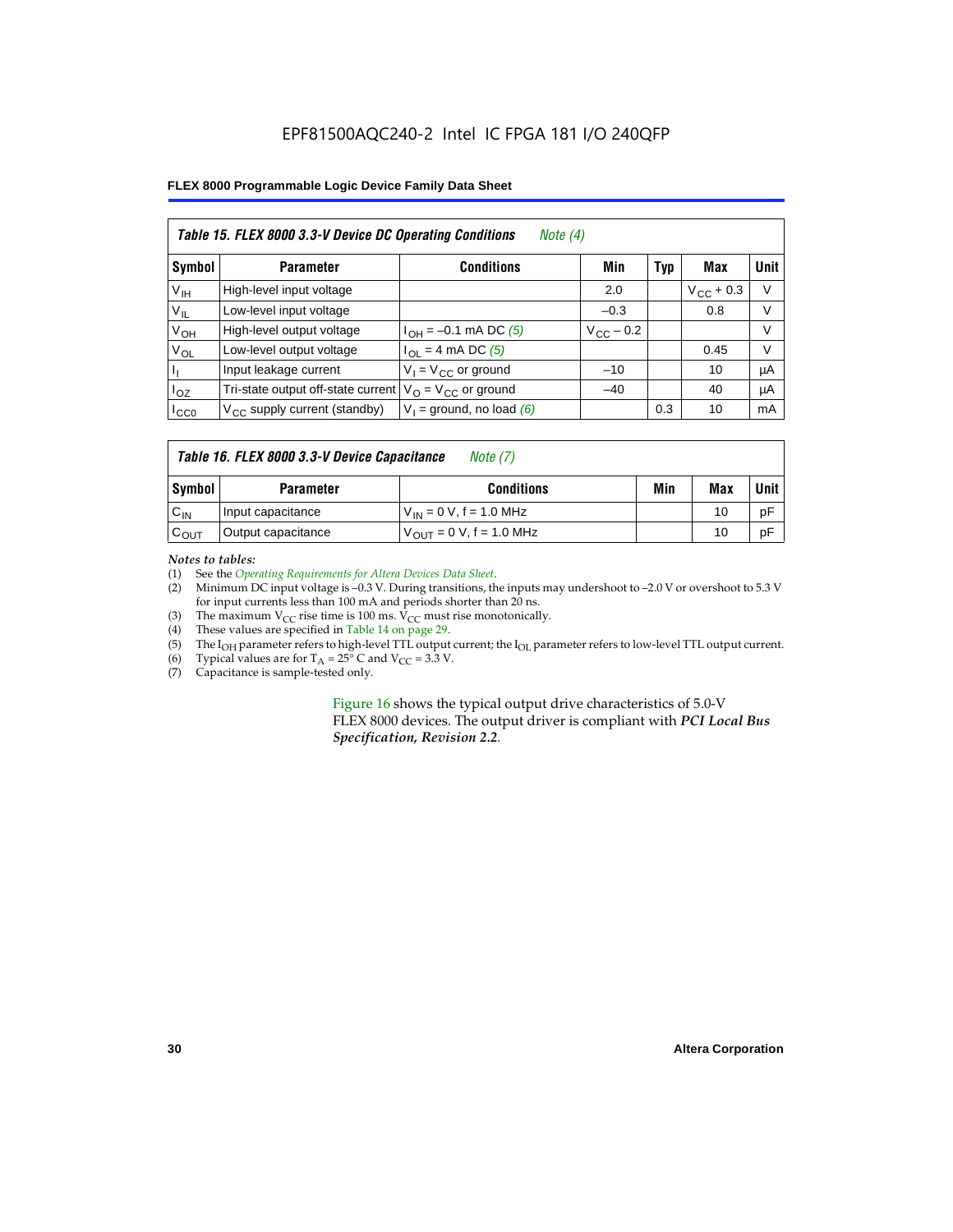## EPF81500AQC240-2 Intel IC FPGA 181 I/O 240QFP

## **FLEX 8000 Programmable Logic Device Family Data Sheet**

|                 | Table 15. FLEX 8000 3.3-V Device DC Operating Conditions<br>Note $(4)$ |                                          |                    |     |                    |             |  |
|-----------------|------------------------------------------------------------------------|------------------------------------------|--------------------|-----|--------------------|-------------|--|
| Symbol          | <b>Parameter</b>                                                       | <b>Conditions</b>                        | Min                | Typ | Max                | <b>Unit</b> |  |
| V <sub>IH</sub> | High-level input voltage                                               |                                          | 2.0                |     | $V_{\rm CC}$ + 0.3 | $\vee$      |  |
| $V_{IL}$        | Low-level input voltage                                                |                                          | $-0.3$             |     | 0.8                | V           |  |
| $V_{OH}$        | High-level output voltage                                              | $I_{OH} = -0.1$ mA DC (5)                | $V_{\rm CC}$ – 0.2 |     |                    | V           |  |
| $V_{OL}$        | Low-level output voltage                                               | $I_{OL}$ = 4 mA DC (5)                   |                    |     | 0.45               | $\vee$      |  |
| Пı              | Input leakage current                                                  | $V_1 = V_{CC}$ or ground                 | $-10$              |     | 10                 | μA          |  |
| $I_{OZ}$        | Tri-state output off-state current                                     | $V_{\text{O}} = V_{\text{CC}}$ or ground | $-40$              |     | 40                 | μA          |  |
| ICCO            | $V_{\text{CC}}$ supply current (standby)                               | $V_1$ = ground, no load (6)              |                    | 0.3 | 10                 | mA          |  |

## *Table 16. FLEX 8000 3.3-V Device Capacitance Note (7)*

| Symbol           | <b>Parameter</b>   | <b>Conditions</b>                   | Min | Max | Unit |
|------------------|--------------------|-------------------------------------|-----|-----|------|
| $C_{IN}$         | Input capacitance  | $V_{IN} = 0 V$ , f = 1.0 MHz        |     | 10  | рF   |
| $c_{\text{OUT}}$ | Output capacitance | $V_{\text{OUT}} = 0 V, f = 1.0 MHz$ |     | 10  | рF   |

#### *Notes to tables:*

(1) See the *Operating Requirements for Altera Devices Data Sheet*.

- (2) Minimum DC input voltage is –0.3 V. During transitions, the inputs may undershoot to –2.0 V or overshoot to 5.3 V for input currents less than 100 mA and periods shorter than 20 ns.
- (3) The maximum  $V_{CC}$  rise time is 100 ms.  $V_{CC}$  must rise monotonically.<br>(4) These values are specified in Table 14 on page 29.
- These values are specified in Table 14 on page 29.
- (5) The I<sub>OH</sub> parameter refers to high-level TTL output current; the I<sub>OL</sub> parameter refers to low-level TTL output current.<br>(6) Typical values are for T<sub>A</sub> = 25° C and V<sub>CC</sub> = 3.3 V.
- (6) Typical values are for  $T_A = 25^\circ$  C and  $V_{CC} = 3.3$  V.<br>(7) Capacitance is sample-tested only.
- Capacitance is sample-tested only.

Figure 16 shows the typical output drive characteristics of 5.0-V FLEX 8000 devices. The output driver is compliant with *PCI Local Bus Specification, Revision 2.2*.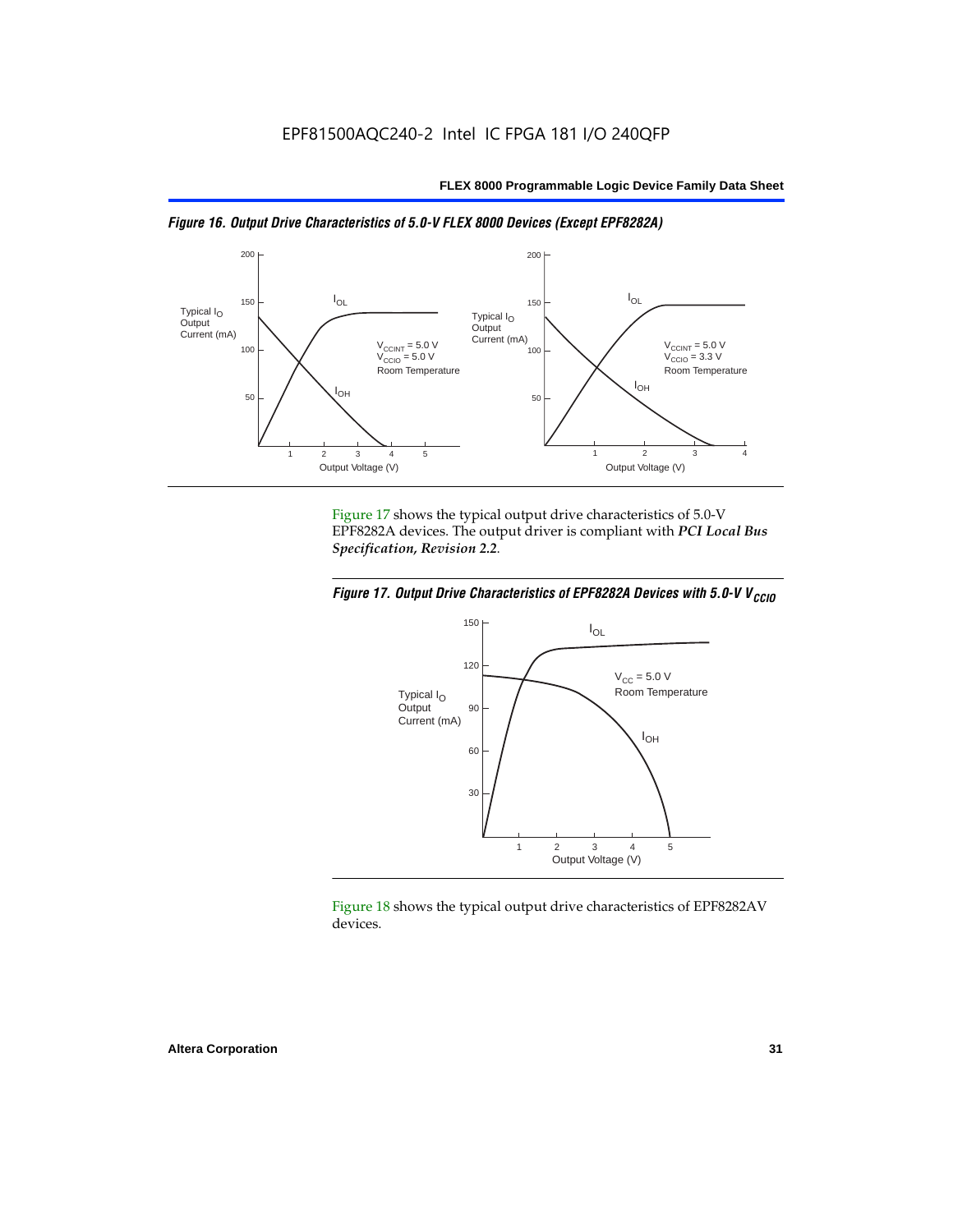



Figure 17 shows the typical output drive characteristics of 5.0-V EPF8282A devices. The output driver is compliant with *PCI Local Bus Specification, Revision 2.2*.





Figure 18 shows the typical output drive characteristics of EPF8282AV devices.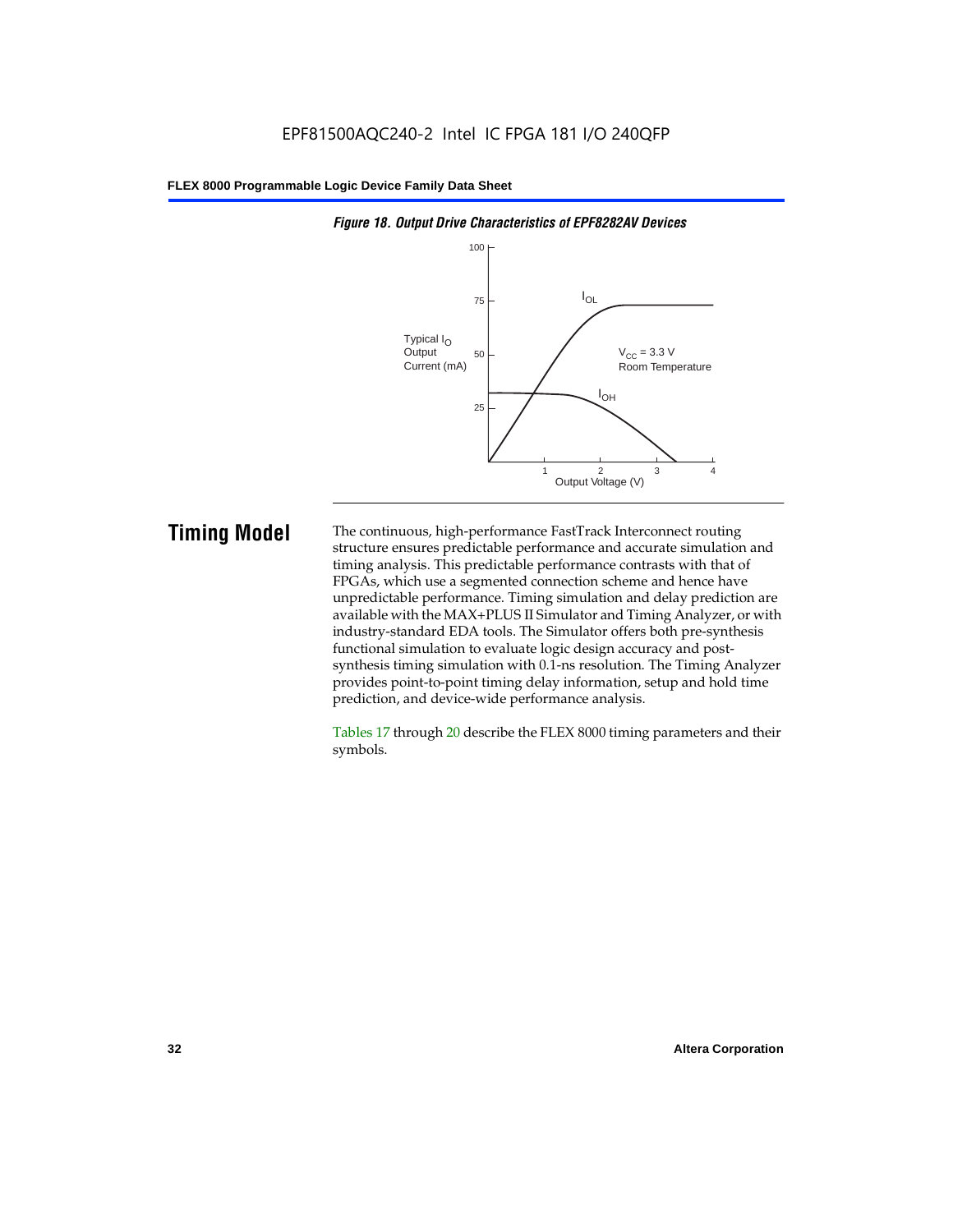

#### *Figure 18. Output Drive Characteristics of EPF8282AV Devices*

**Timing Model** The continuous, high-performance FastTrack Interconnect routing structure ensures predictable performance and accurate simulation and timing analysis. This predictable performance contrasts with that of FPGAs, which use a segmented connection scheme and hence have unpredictable performance. Timing simulation and delay prediction are available with the MAX+PLUS II Simulator and Timing Analyzer, or with industry-standard EDA tools. The Simulator offers both pre-synthesis functional simulation to evaluate logic design accuracy and postsynthesis timing simulation with 0.1-ns resolution. The Timing Analyzer provides point-to-point timing delay information, setup and hold time prediction, and device-wide performance analysis.

> Tables 17 through 20 describe the FLEX 8000 timing parameters and their symbols.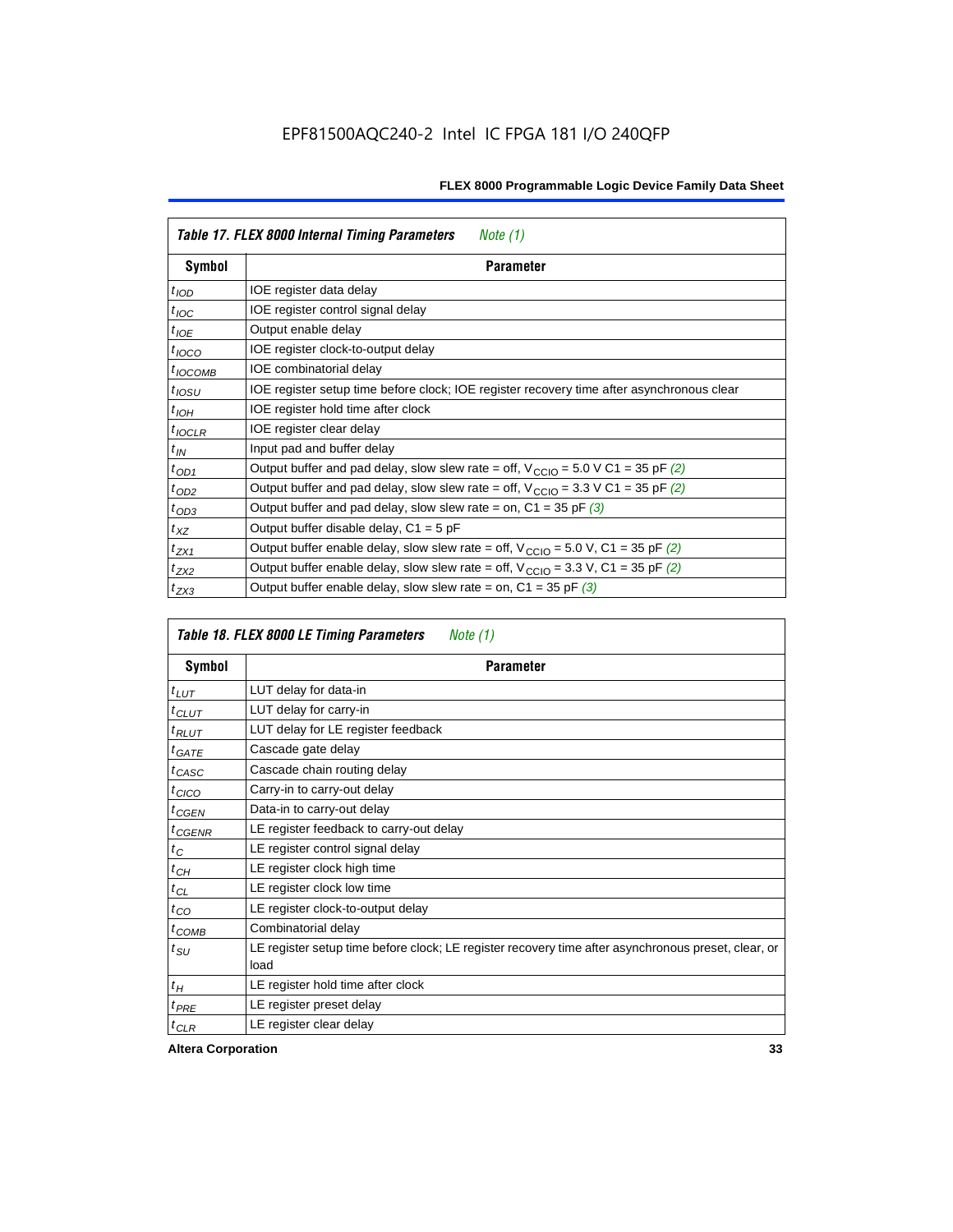|                  | Table 17. FLEX 8000 Internal Timing Parameters<br>Note $(1)$                                                 |
|------------------|--------------------------------------------------------------------------------------------------------------|
| Symbol           | <b>Parameter</b>                                                                                             |
| $t_{\text{IOD}}$ | IOE register data delay                                                                                      |
| $t_{\text{IOC}}$ | IOE register control signal delay                                                                            |
| $t_{IOE}$        | Output enable delay                                                                                          |
| $t_{IOCO}$       | IOE register clock-to-output delay                                                                           |
| $t_{IOCOMB}$     | IOE combinatorial delay                                                                                      |
| $t_{IOSU}$       | IOE register setup time before clock; IOE register recovery time after asynchronous clear                    |
| $t_{IOH}$        | IOE register hold time after clock                                                                           |
| $t_{IOCLR}$      | IOE register clear delay                                                                                     |
| $t_{IN}$         | Input pad and buffer delay                                                                                   |
| $t_{OD1}$        | Output buffer and pad delay, slow slew rate = off, $V_{\text{CCIO}} = 5.0 \text{ V C1} = 35 \text{ pF } (2)$ |
| $t_{OD2}$        | Output buffer and pad delay, slow slew rate = off, $V_{\text{CCIO}} = 3.3 \text{ V C1} = 35 \text{ pF}$ (2)  |
| $t_{OD3}$        | Output buffer and pad delay, slow slew rate = on, $C1 = 35$ pF (3)                                           |
| $t_{XZ}$         | Output buffer disable delay, $C1 = 5$ pF                                                                     |
| $t_{ZX1}$        | Output buffer enable delay, slow slew rate = off, $V_{\text{CCIO}} = 5.0$ V, C1 = 35 pF (2)                  |
| $t_{ZX2}$        | Output buffer enable delay, slow slew rate = off, $V_{\text{CCIO}} = 3.3$ V, C1 = 35 pF (2)                  |
| $t_{ZX3}$        | Output buffer enable delay, slow slew rate = on, $C1 = 35$ pF (3)                                            |

|                 | Table 18. FLEX 8000 LE Timing Parameters<br>Note (1)                                                        |  |  |  |  |
|-----------------|-------------------------------------------------------------------------------------------------------------|--|--|--|--|
| Symbol          | <b>Parameter</b>                                                                                            |  |  |  |  |
| $t_{LUT}$       | LUT delay for data-in                                                                                       |  |  |  |  |
| $t_{CLUT}$      | LUT delay for carry-in                                                                                      |  |  |  |  |
| $t_{RLUT}$      | LUT delay for LE register feedback                                                                          |  |  |  |  |
| $t$ GATE        | Cascade gate delay                                                                                          |  |  |  |  |
| $t_{CASC}$      | Cascade chain routing delay                                                                                 |  |  |  |  |
| $t_{CICO}$      | Carry-in to carry-out delay                                                                                 |  |  |  |  |
| $t_{CGEN}$      | Data-in to carry-out delay                                                                                  |  |  |  |  |
| ${}^{t}$ CGENR  | LE register feedback to carry-out delay                                                                     |  |  |  |  |
| $t_C$           | LE register control signal delay                                                                            |  |  |  |  |
| $t_{CH}$        | LE register clock high time                                                                                 |  |  |  |  |
| $t_{CL}$        | LE register clock low time                                                                                  |  |  |  |  |
| $t_{CO}$        | LE register clock-to-output delay                                                                           |  |  |  |  |
| $t_{COMB}$      | Combinatorial delay                                                                                         |  |  |  |  |
| t <sub>SU</sub> | LE register setup time before clock; LE register recovery time after asynchronous preset, clear, or<br>load |  |  |  |  |
| $t_H$           | LE register hold time after clock                                                                           |  |  |  |  |
| $t_{PRE}$       | LE register preset delay                                                                                    |  |  |  |  |
| $t_{CLR}$       | LE register clear delay                                                                                     |  |  |  |  |

**Altera Corporation 33**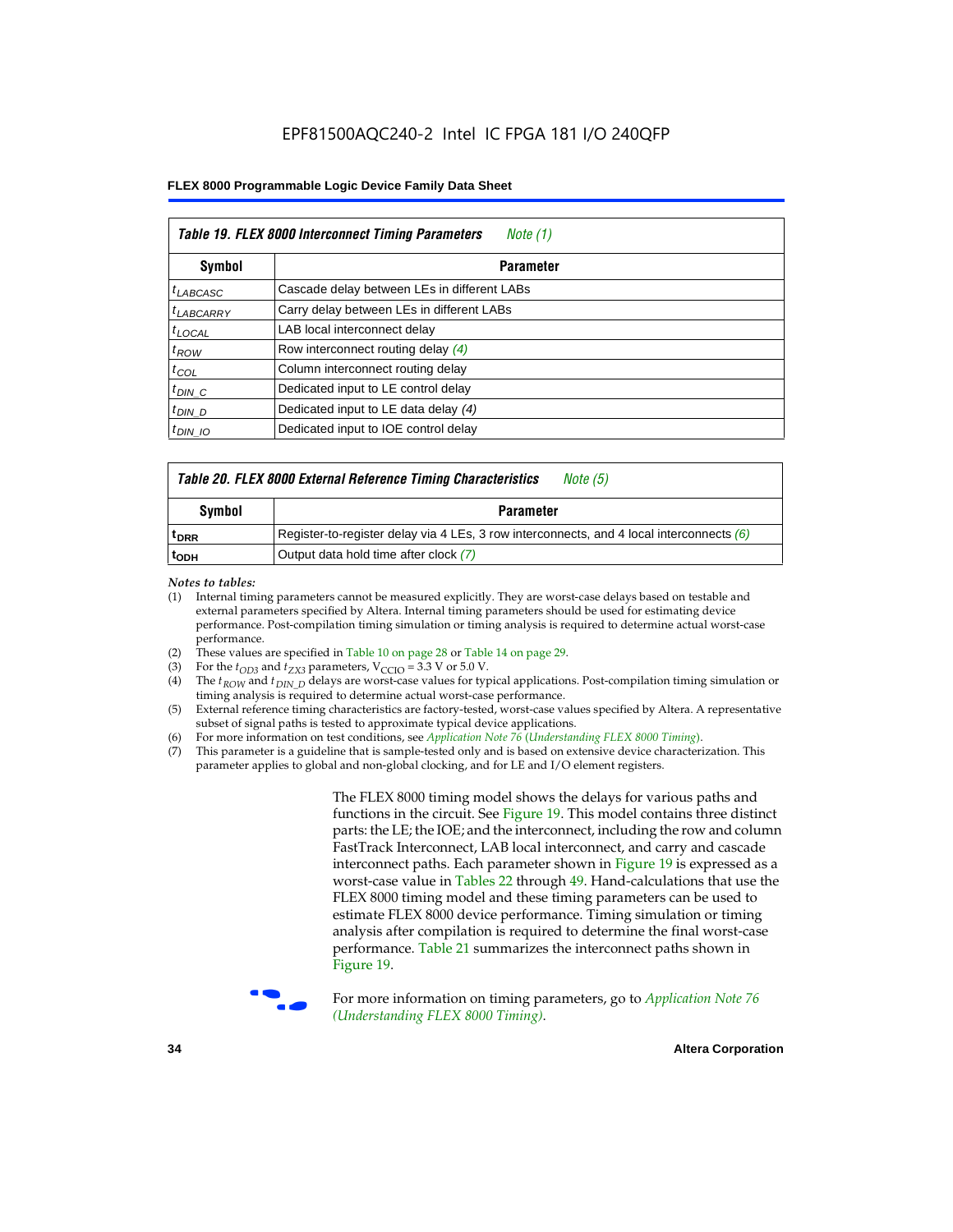|                       | Table 19. FLEX 8000 Interconnect Timing Parameters<br>Note (1) |  |  |  |  |
|-----------------------|----------------------------------------------------------------|--|--|--|--|
| Symbol                | <b>Parameter</b>                                               |  |  |  |  |
| $t_{LABCASC}$         | Cascade delay between LEs in different LABs                    |  |  |  |  |
| <sup>t</sup> LABCARRY | Carry delay between LEs in different LABs                      |  |  |  |  |
| $t_{\text{LOCAL}}$    | LAB local interconnect delay                                   |  |  |  |  |
| $t_{ROW}$             | Row interconnect routing delay (4)                             |  |  |  |  |
| $t_{COL}$             | Column interconnect routing delay                              |  |  |  |  |
| $t_{DIN}$ $C$         | Dedicated input to LE control delay                            |  |  |  |  |
| $t_{DIN}$ D           | Dedicated input to LE data delay (4)                           |  |  |  |  |
| $t_{DIN}$ 10          | Dedicated input to IOE control delay                           |  |  |  |  |

## *Table 20. FLEX 8000 External Reference Timing Characteristics Note (5)*

| Symbol<br><b>Parameter</b> |                                                                                            |  |  |
|----------------------------|--------------------------------------------------------------------------------------------|--|--|
| <sup>T</sup> DRR           | Register-to-register delay via 4 LEs, 3 row interconnects, and 4 local interconnects $(6)$ |  |  |
| <sup>L</sup> ODH           | Output data hold time after clock (7)                                                      |  |  |

*Notes to tables:*

- (1) Internal timing parameters cannot be measured explicitly. They are worst-case delays based on testable and external parameters specified by Altera. Internal timing parameters should be used for estimating device performance. Post-compilation timing simulation or timing analysis is required to determine actual worst-case performance.
- (2) These values are specified in Table 10 on page 28 or Table 14 on page 29.<br>(3) For the  $t_{OD3}$  and  $t_{ZX3}$  parameters,  $V_{CCIO} = 3.3$  V or 5.0 V.
- (3) For the  $t_{OD3}$  and  $t_{ZX3}$  parameters,  $V_{CCIO} = 3.3$  V or 5.0 V.<br>(4) The  $t_{ROM}$  and  $t_{DIN}$   $_D$  delays are worst-case values for type
- The *t<sub>ROW</sub>* and *t<sub>DIN\_D</sub>* delays are worst-case values for typical applications. Post-compilation timing simulation or timing analysis is required to determine actual worst-case performance.
- (5) External reference timing characteristics are factory-tested, worst-case values specified by Altera. A representative subset of signal paths is tested to approximate typical device applications.
- (6) For more information on test conditions, see *Application Note 76* (*Understanding FLEX 8000 Timing*).
- (7) This parameter is a guideline that is sample-tested only and is based on extensive device characterization. This parameter applies to global and non-global clocking, and for LE and I/O element registers.

The FLEX 8000 timing model shows the delays for various paths and functions in the circuit. See Figure 19. This model contains three distinct parts: the LE; the IOE; and the interconnect, including the row and column FastTrack Interconnect, LAB local interconnect, and carry and cascade interconnect paths. Each parameter shown in Figure 19 is expressed as a worst-case value in Tables 22 through 49. Hand-calculations that use the FLEX 8000 timing model and these timing parameters can be used to estimate FLEX 8000 device performance. Timing simulation or timing analysis after compilation is required to determine the final worst-case performance. Table 21 summarizes the interconnect paths shown in Figure 19.



f For more information on timing parameters, go to *Application Note 76 (Understanding FLEX 8000 Timing)*.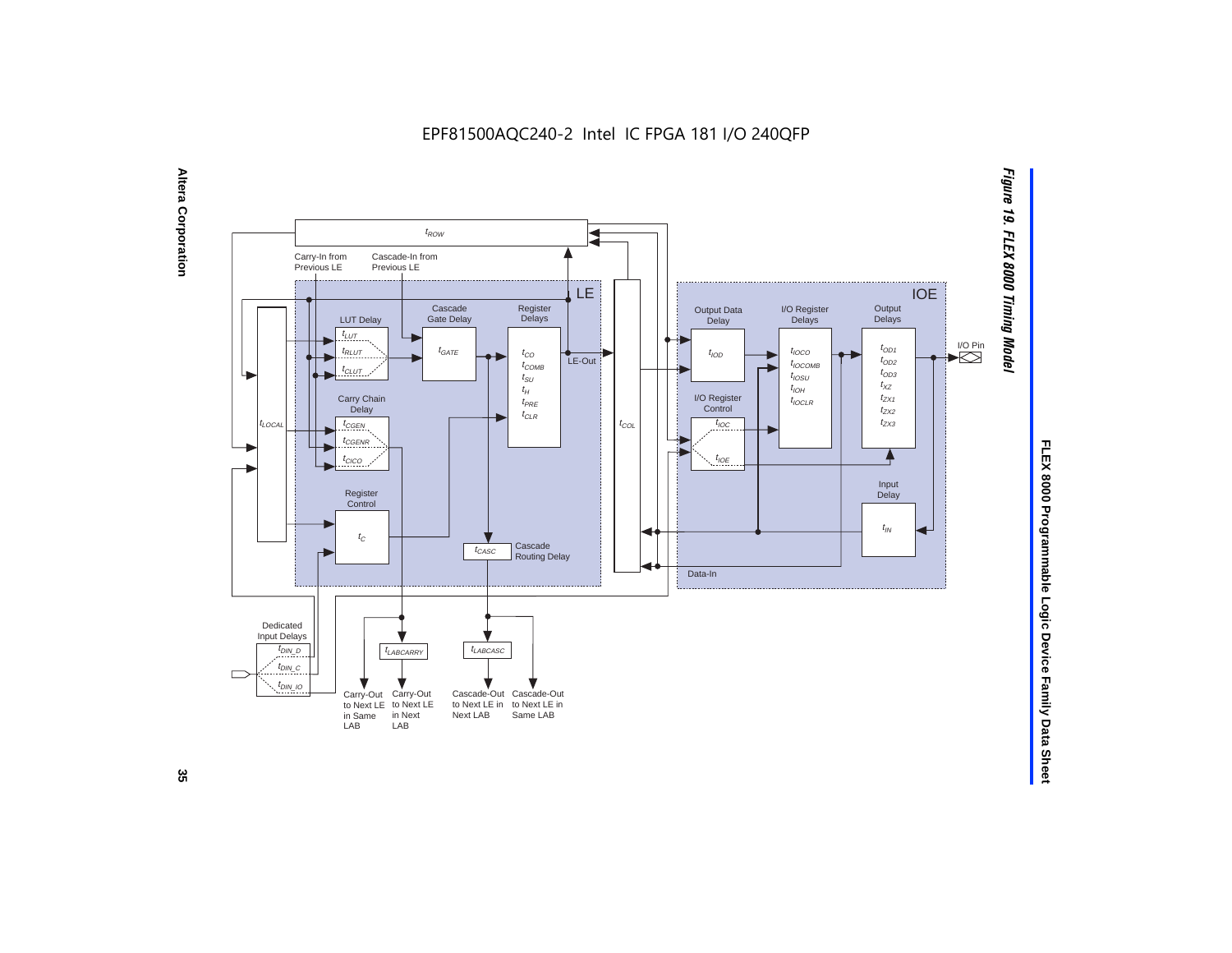EPF81500AQC240-2 Intel IC FPGA 181 I/O 240QFP





FLEX 8000 Programmable Logic Device Family Data Sheet **FLEX 8000 Programmable Logic Device Family Data Sheet**

ပ္တ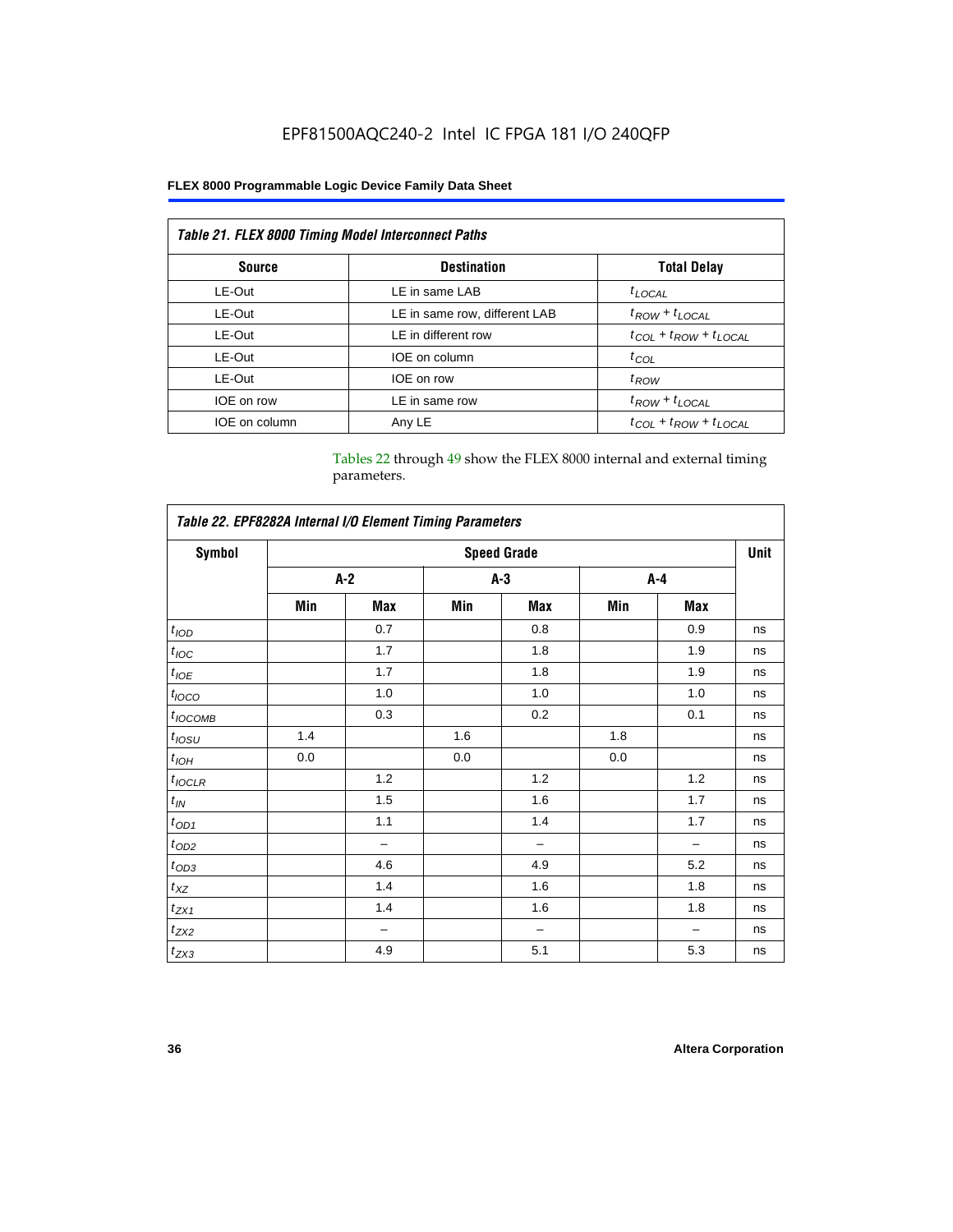## EPF81500AQC240-2 Intel IC FPGA 181 I/O 240QFP

## **FLEX 8000 Programmable Logic Device Family Data Sheet**

| <b>Table 21. FLEX 8000 Timing Model Interconnect Paths</b> |                               |                                 |  |  |
|------------------------------------------------------------|-------------------------------|---------------------------------|--|--|
| <b>Source</b>                                              | <b>Destination</b>            | <b>Total Delay</b>              |  |  |
| LE-Out                                                     | LE in same LAB                | $t_{LOCAL}$                     |  |  |
| LE-Out                                                     | LE in same row, different LAB | $t_{ROW} + t_{LOCAL}$           |  |  |
| LE-Out                                                     | LE in different row           | $t_{COL} + t_{ROW} + t_{LOCAL}$ |  |  |
| LE-Out                                                     | IOE on column                 | $t_{COL}$                       |  |  |
| LE-Out                                                     | IOE on row                    | $t_{ROW}$                       |  |  |
| IOE on row                                                 | LE in same row                | $t_{ROW} + t_{LOCAL}$           |  |  |
| IOE on column                                              | Any LE                        | $t_{COL} + t_{ROW} + t_{LOCAL}$ |  |  |

Tables 22 through 49 show the FLEX 8000 internal and external timing parameters.

| Table 22. EPF8282A Internal I/O Element Timing Parameters |                    |                          |       |     |         |     |    |
|-----------------------------------------------------------|--------------------|--------------------------|-------|-----|---------|-----|----|
| <b>Symbol</b>                                             | <b>Speed Grade</b> |                          |       |     |         |     |    |
|                                                           |                    | $A-2$                    | $A-3$ |     | $A - 4$ |     |    |
|                                                           | Min                | Max                      | Min   | Max | Min     | Max |    |
| t <sub>IOD</sub>                                          |                    | 0.7                      |       | 0.8 |         | 0.9 | ns |
| $t_{\text{IOC}}$                                          |                    | 1.7                      |       | 1.8 |         | 1.9 | ns |
| $t_{IOE}$                                                 |                    | 1.7                      |       | 1.8 |         | 1.9 | ns |
| $t_{IOCO}$                                                |                    | 1.0                      |       | 1.0 |         | 1.0 | ns |
| $t_{IOCOMB}$                                              |                    | 0.3                      |       | 0.2 |         | 0.1 | ns |
| $t_{IOSU}$                                                | 1.4                |                          | 1.6   |     | 1.8     |     | ns |
| $t_{IOH}$                                                 | 0.0                |                          | 0.0   |     | 0.0     |     | ns |
| $t_{IOCLR}$                                               |                    | 1.2                      |       | 1.2 |         | 1.2 | ns |
| $t_{I\!N}$                                                |                    | 1.5                      |       | 1.6 |         | 1.7 | ns |
| $t_{OD1}$                                                 |                    | 1.1                      |       | 1.4 |         | 1.7 | ns |
| $t_{OD2}$                                                 |                    | $\overline{\phantom{0}}$ |       | -   |         |     | ns |
| $t_{0D3}$                                                 |                    | 4.6                      |       | 4.9 |         | 5.2 | ns |
| $t_{XZ}$                                                  |                    | 1.4                      |       | 1.6 |         | 1.8 | ns |
| $t_{ZX1}$                                                 |                    | 1.4                      |       | 1.6 |         | 1.8 | ns |
| $t_{ZX2}$                                                 |                    | -                        |       | -   |         |     | ns |
| $t_{ZX3}$                                                 |                    | 4.9                      |       | 5.1 |         | 5.3 | ns |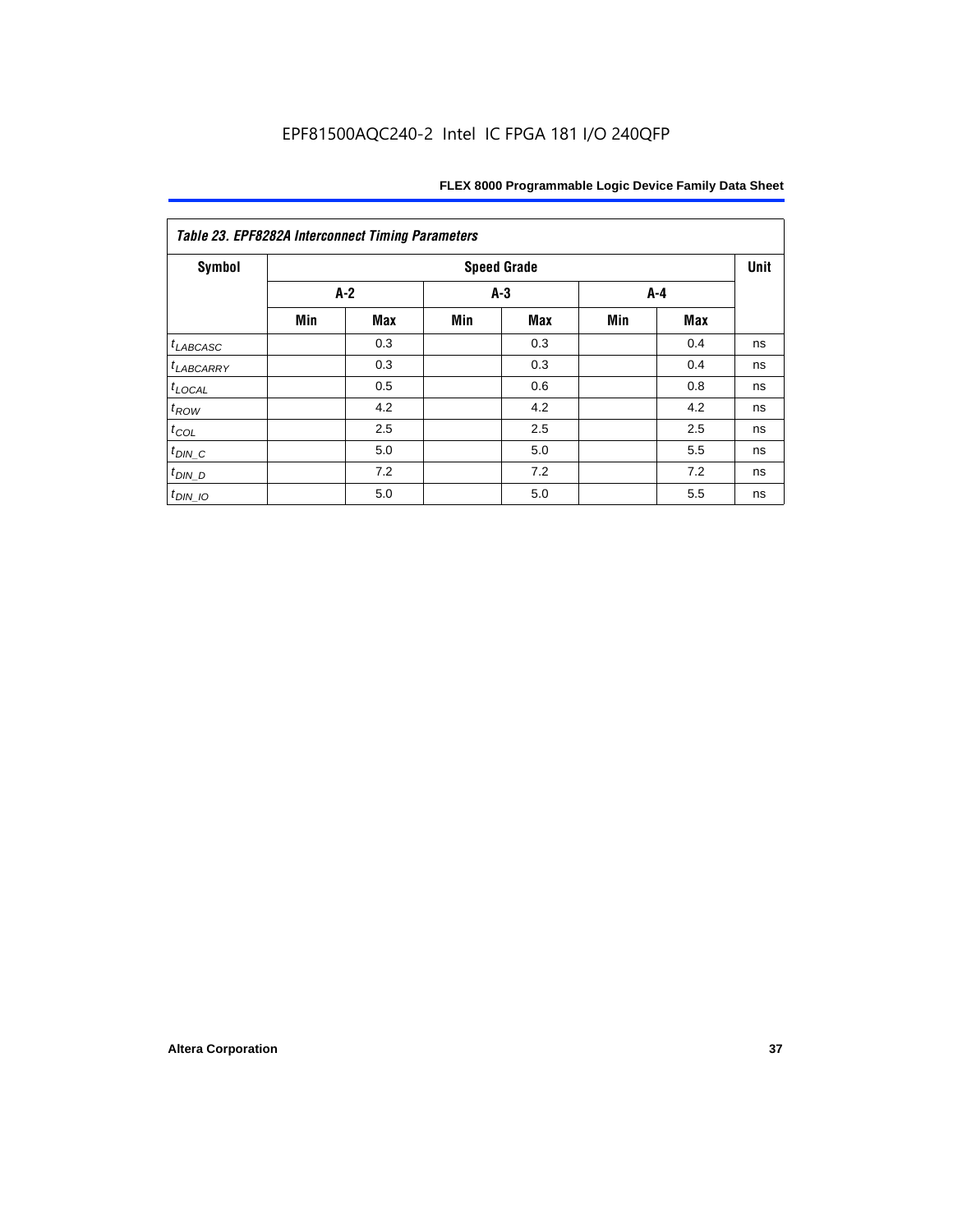| Symbol                |     |            |     | <b>Speed Grade</b> |       |     | Unit |
|-----------------------|-----|------------|-----|--------------------|-------|-----|------|
|                       |     | $A-2$      |     | $A-3$              | $A-4$ |     |      |
|                       | Min | <b>Max</b> | Min | <b>Max</b>         | Min   | Max |      |
| $t_{LABCASC}$         |     | 0.3        |     | 0.3                |       | 0.4 | ns   |
| <sup>t</sup> LABCARRY |     | 0.3        |     | 0.3                |       | 0.4 | ns   |
| $t_{\text{LOCAL}}$    |     | 0.5        |     | 0.6                |       | 0.8 | ns   |
| $t_{ROW}$             |     | 4.2        |     | 4.2                |       | 4.2 | ns   |
| $t_{COL}$             |     | 2.5        |     | 2.5                |       | 2.5 | ns   |
| $t_{DIN\_C}$          |     | 5.0        |     | 5.0                |       | 5.5 | ns   |
| $t_{DIN\_D}$          |     | 7.2        |     | 7.2                |       | 7.2 | ns   |
| $t_{DIN\_IO}$         |     | 5.0        |     | 5.0                |       | 5.5 | ns   |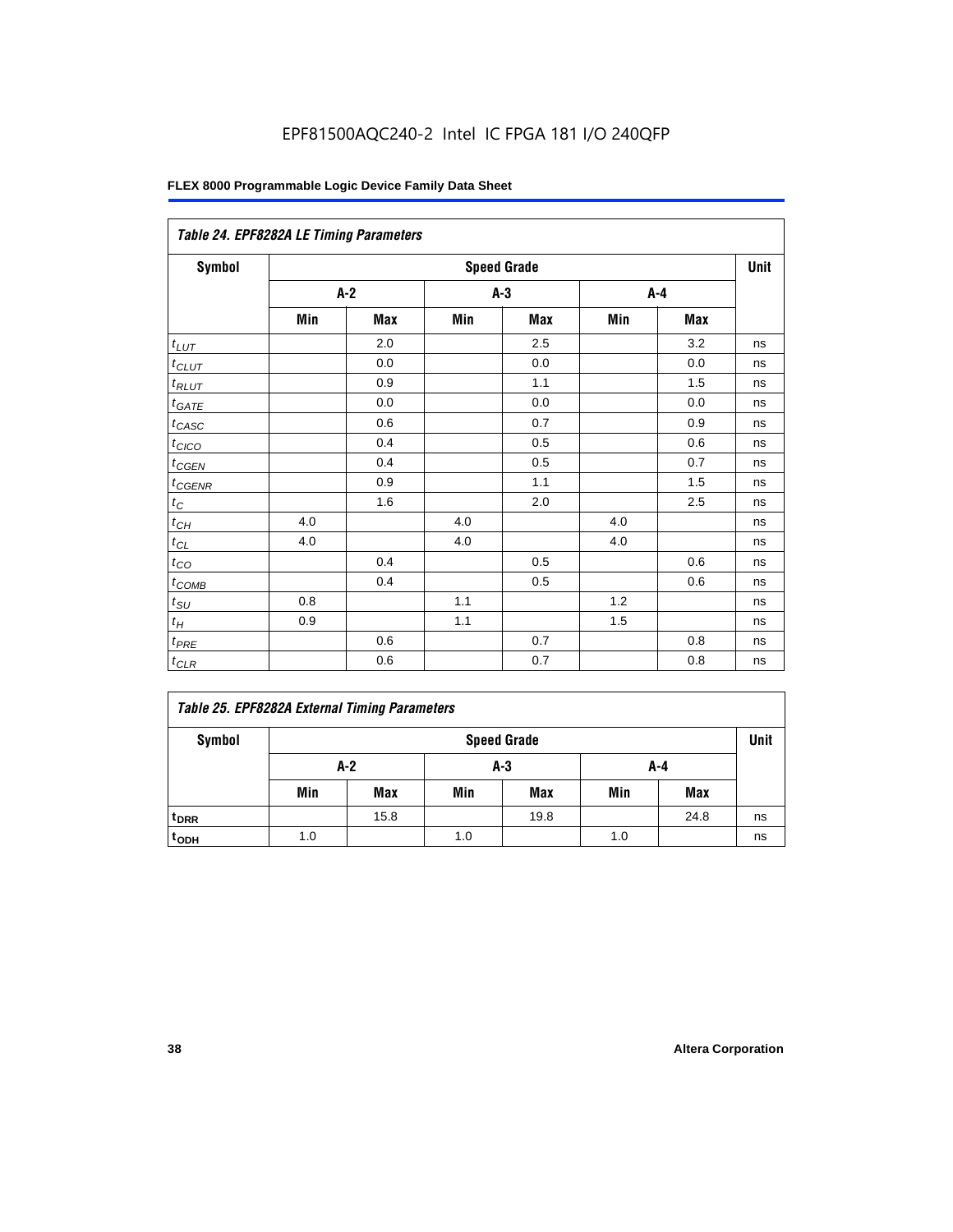| Table 24. EPF8282A LE Timing Parameters |     |       |     |                    |     |       |      |  |  |  |
|-----------------------------------------|-----|-------|-----|--------------------|-----|-------|------|--|--|--|
| Symbol                                  |     |       |     | <b>Speed Grade</b> |     |       | Unit |  |  |  |
|                                         |     | $A-2$ |     | $A-3$              |     | $A-4$ |      |  |  |  |
|                                         | Min | Max   | Min | Max                | Min | Max   |      |  |  |  |
| $t_{L\underline{UT}}$                   |     | 2.0   |     | 2.5                |     | 3.2   | ns   |  |  |  |
| $t$ CLUT                                |     | 0.0   |     | 0.0                |     | 0.0   | ns   |  |  |  |
| $t_{RLUT}$                              |     | 0.9   |     | 1.1                |     | 1.5   | ns   |  |  |  |
| $t_{GATE}$                              |     | 0.0   |     | 0.0                |     | 0.0   | ns   |  |  |  |
| $t_{CASC}$                              |     | 0.6   |     | 0.7                |     | 0.9   | ns   |  |  |  |
| $t_{CICO}$                              |     | 0.4   |     | 0.5                |     | 0.6   | ns   |  |  |  |
| $t_{CGEN}$                              |     | 0.4   |     | 0.5                |     | 0.7   | ns   |  |  |  |
| $t_{CGENR}$                             |     | 0.9   |     | 1.1                |     | 1.5   | ns   |  |  |  |
| $t_C\,$                                 |     | 1.6   |     | 2.0                |     | 2.5   | ns   |  |  |  |
| $t_{CH}$                                | 4.0 |       | 4.0 |                    | 4.0 |       | ns   |  |  |  |
| $t_{CL}$                                | 4.0 |       | 4.0 |                    | 4.0 |       | ns   |  |  |  |
| $t_{CQ}$                                |     | 0.4   |     | 0.5                |     | 0.6   | ns   |  |  |  |
| $t_{\text{COMB}}$                       |     | 0.4   |     | 0.5                |     | 0.6   | ns   |  |  |  |
| $t_{\text{SU}}$                         | 0.8 |       | 1.1 |                    | 1.2 |       | ns   |  |  |  |
| $t_H\,$                                 | 0.9 |       | 1.1 |                    | 1.5 |       | ns   |  |  |  |
| $t_{PRE}$                               |     | 0.6   |     | 0.7                |     | 0.8   | ns   |  |  |  |
| $t_{CLR}$                               |     | 0.6   |     | $0.7\,$            |     | 0.8   | ns   |  |  |  |

|  |  | <b>Table 25. EPF8282A External Timing Parameters</b> |
|--|--|------------------------------------------------------|
|  |  |                                                      |

| Symbol           |              | <b>Speed Grade</b> |     |      |     |            |    |  |  |
|------------------|--------------|--------------------|-----|------|-----|------------|----|--|--|
|                  | A-2<br>$A-3$ |                    |     |      | A-4 |            |    |  |  |
|                  | Min          | <b>Max</b>         | Min | Max  | Min | <b>Max</b> |    |  |  |
| t <sub>DRR</sub> |              | 15.8               |     | 19.8 |     | 24.8       | ns |  |  |
| t <sub>ODH</sub> | 1.0          |                    | 1.0 |      | 1.0 |            | ns |  |  |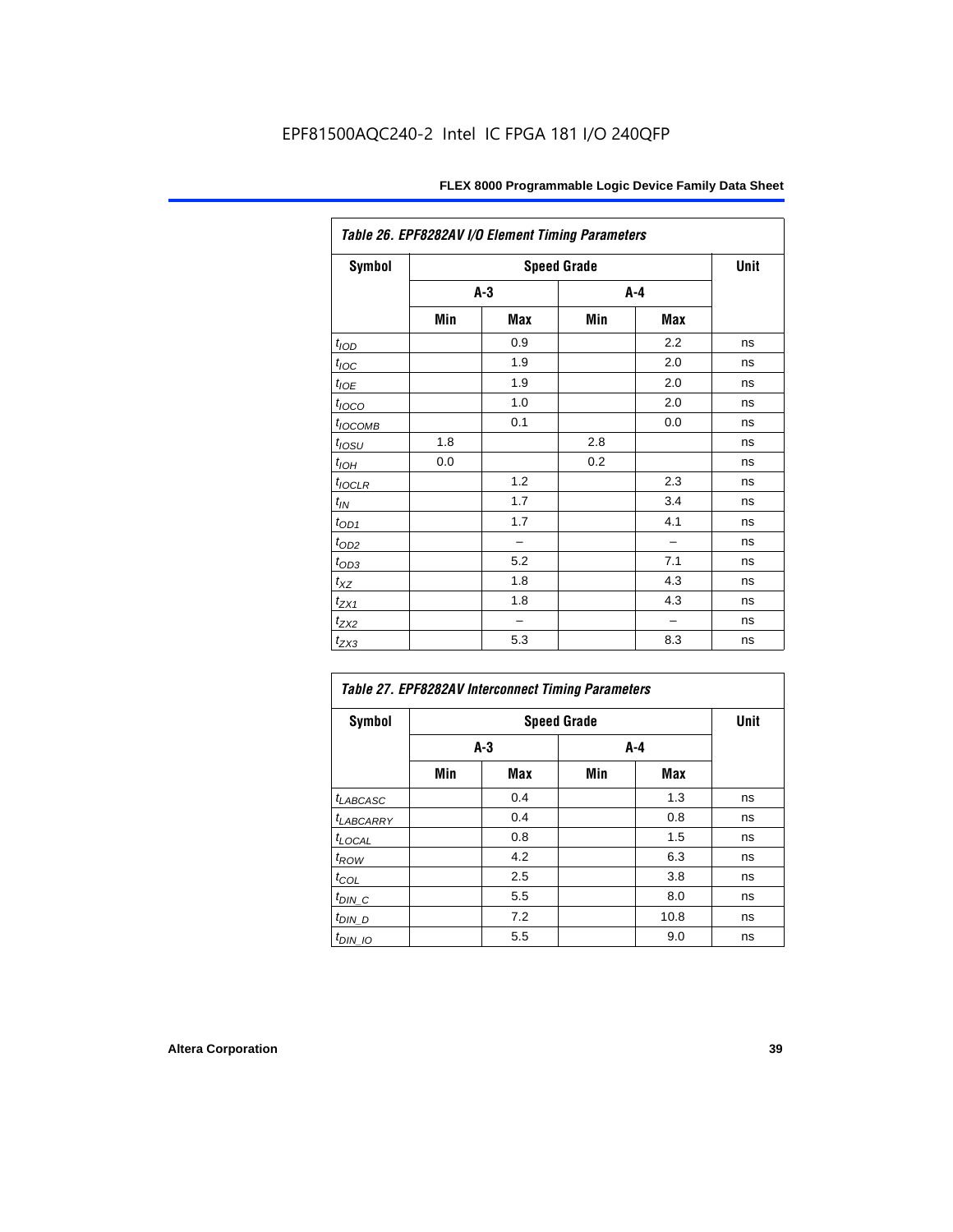| Table 26. EPF8282AV I/O Element Timing Parameters |     |                          |     |                          |    |  |  |  |  |
|---------------------------------------------------|-----|--------------------------|-----|--------------------------|----|--|--|--|--|
| <b>Symbol</b>                                     |     | <b>Speed Grade</b>       |     |                          |    |  |  |  |  |
|                                                   |     | $A-3$                    |     | A-4                      |    |  |  |  |  |
|                                                   | Min | Max                      | Min | Max                      |    |  |  |  |  |
| t <sub>IOD</sub>                                  |     | 0.9                      |     | 2.2                      | ns |  |  |  |  |
| $t_{\text{loc}}$                                  |     | 1.9                      |     | 2.0                      | ns |  |  |  |  |
| $t_{IOE}$                                         |     | 1.9                      |     | 2.0                      | ns |  |  |  |  |
| $t_{\text{LOCO}}$                                 |     | 1.0                      |     | 2.0                      | ns |  |  |  |  |
| t <sub>IOCOMB</sub>                               |     | 0.1                      |     | 0.0                      | ns |  |  |  |  |
| t <sub>IOSU</sub>                                 | 1.8 |                          | 2.8 |                          | ns |  |  |  |  |
| $t_{IOH}$                                         | 0.0 |                          | 0.2 |                          | ns |  |  |  |  |
| $t_{IOCLR}$                                       |     | 1.2                      |     | 2.3                      | ns |  |  |  |  |
| $t_{\mathit{IN}}$                                 |     | 1.7                      |     | 3.4                      | ns |  |  |  |  |
| $t_{OD1}$                                         |     | 1.7                      |     | 4.1                      | ns |  |  |  |  |
| $t_{OD2}$                                         |     | $\overline{\phantom{0}}$ |     | $\overline{\phantom{0}}$ | ns |  |  |  |  |
| $t_{OD3}$                                         |     | 5.2                      |     | 7.1                      | ns |  |  |  |  |
| $t_{XZ}$                                          |     | 1.8                      |     | 4.3                      | ns |  |  |  |  |
| $t_{ZX1}$                                         |     | 1.8                      |     | 4.3                      | ns |  |  |  |  |
| $t_{ZX2}$                                         |     |                          |     |                          | ns |  |  |  |  |
| $t_{ZX3}$                                         |     | 5.3                      |     | 8.3                      | ns |  |  |  |  |

| <b>Symbol</b>              |     | <b>Speed Grade</b> |     |      |    |  |  |  |  |
|----------------------------|-----|--------------------|-----|------|----|--|--|--|--|
|                            |     | $A-3$              | A-4 |      |    |  |  |  |  |
|                            | Min | Max                | Min | Max  |    |  |  |  |  |
| t <sub>LABCASC</sub>       |     | 0.4                |     | 1.3  | ns |  |  |  |  |
| t <sub>LABCARRY</sub>      |     | 0.4                |     | 0.8  | ns |  |  |  |  |
| t <sub>LOCAL</sub>         |     | 0.8                |     | 1.5  | ns |  |  |  |  |
| $t_{\mathcal{R}\text{OW}}$ |     | 4.2                |     | 6.3  | ns |  |  |  |  |
| $t_{COL}$                  |     | 2.5                |     | 3.8  | ns |  |  |  |  |
| $t_{DIN\_C}$               |     | 5.5                |     | 8.0  | ns |  |  |  |  |
| t <sub>DIN_D</sub>         |     | 7.2                |     | 10.8 | ns |  |  |  |  |
| $t_{DIN\_IO}$              |     | 5.5                |     | 9.0  | ns |  |  |  |  |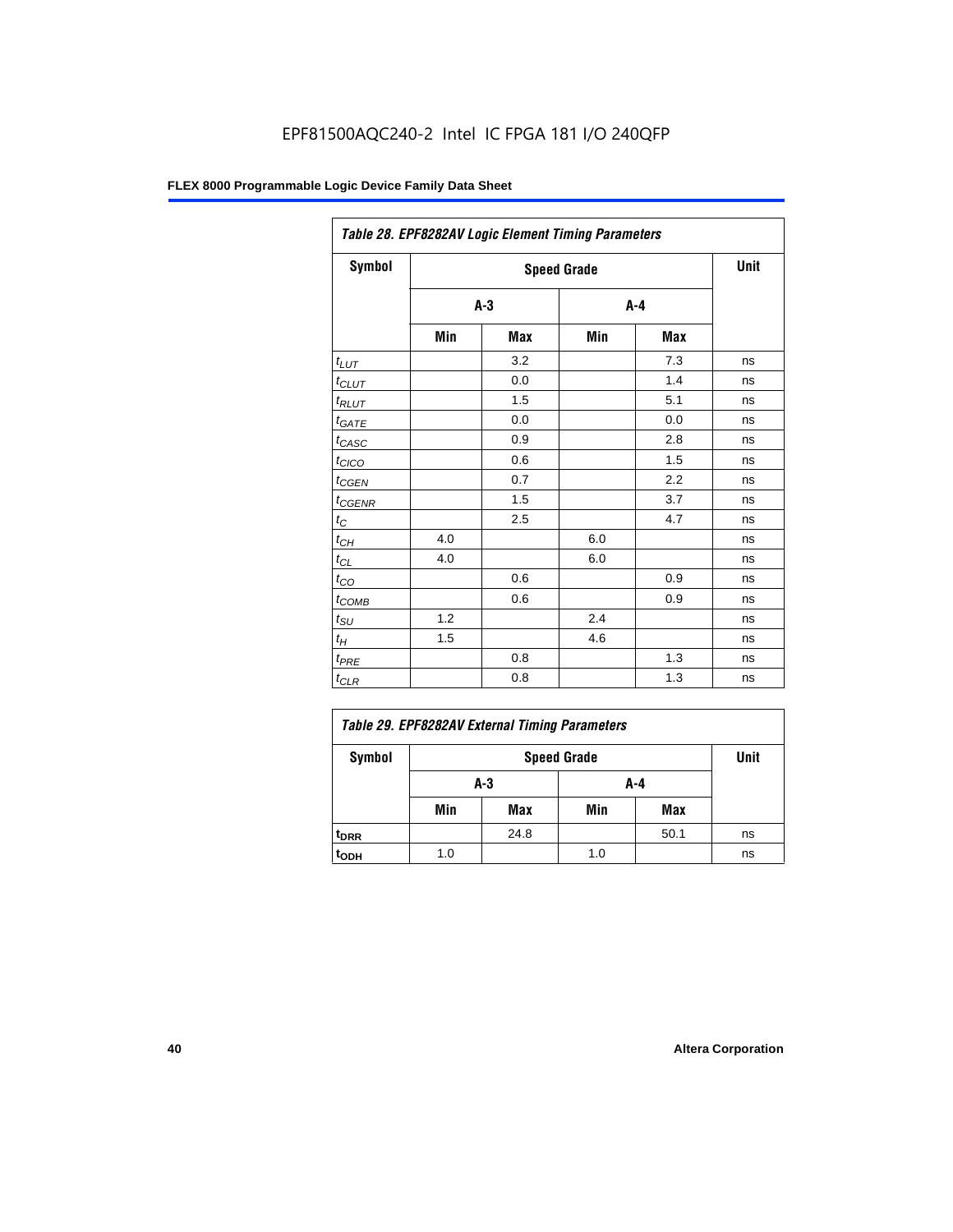| Table 28. EPF8282AV Logic Element Timing Parameters |       |      |     |         |    |  |  |
|-----------------------------------------------------|-------|------|-----|---------|----|--|--|
| Symbol                                              |       | Unit |     |         |    |  |  |
|                                                     | $A-3$ |      |     | $A - 4$ |    |  |  |
|                                                     | Min   | Max  | Min | Max     |    |  |  |
| $t_{LUT}$                                           |       | 3.2  |     | 7.3     | ns |  |  |
| $t_{CLUT}$                                          |       | 0.0  |     | 1.4     | ns |  |  |
| $t_{RLUT}$                                          |       | 1.5  |     | 5.1     | ns |  |  |
| $t_{GATE}$                                          |       | 0.0  |     | 0.0     | ns |  |  |
| $t_{CASC}$                                          |       | 0.9  |     | 2.8     | ns |  |  |
| $t_{CICO}$                                          |       | 0.6  |     | 1.5     | ns |  |  |
| $t_{CGEN}$                                          |       | 0.7  |     | 2.2     | ns |  |  |
| $t_{CGENR}$                                         |       | 1.5  |     | 3.7     | ns |  |  |
| $t_C$                                               |       | 2.5  |     | 4.7     | ns |  |  |
| $t_{CH}$                                            | 4.0   |      | 6.0 |         | ns |  |  |
| $t_{CL}$                                            | 4.0   |      | 6.0 |         | ns |  |  |
| $t_{CO}$                                            |       | 0.6  |     | 0.9     | ns |  |  |
| $t_{COMB}$                                          |       | 0.6  |     | 0.9     | ns |  |  |
| $t_{\text{SU}}$                                     | 1.2   |      | 2.4 |         | ns |  |  |
| $t_H$                                               | 1.5   |      | 4.6 |         | ns |  |  |
| $t_{PRE}$                                           |       | 0.8  |     | 1.3     | ns |  |  |
| $t_{\text{CLR}}$                                    |       | 0.8  |     | 1.3     | ns |  |  |

| Table 29. EPF8282AV External Timing Parameters |     |                    |     |      |    |  |  |
|------------------------------------------------|-----|--------------------|-----|------|----|--|--|
| Symbol                                         |     | <b>Speed Grade</b> |     |      |    |  |  |
|                                                |     | A-3                | A-4 |      |    |  |  |
|                                                | Min | Max                | Min | Max  |    |  |  |
| <sup>t</sup> DRR                               |     | 24.8               |     | 50.1 | ns |  |  |
| t <sub>орн</sub>                               | 1.0 |                    | 1.0 |      | ns |  |  |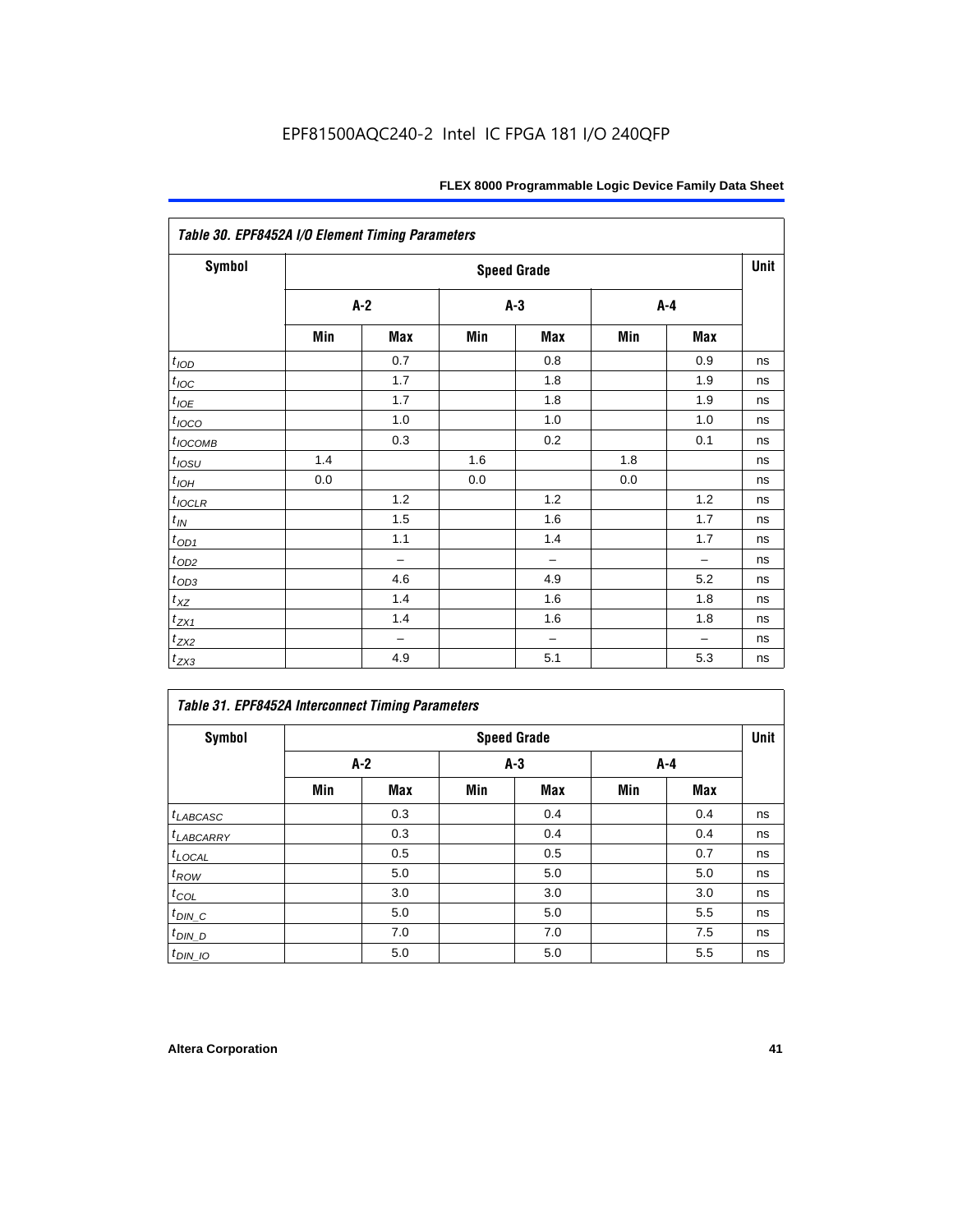| Table 30. EPF8452A I/O Element Timing Parameters |       |                          |       |                          |     |                          |      |  |  |
|--------------------------------------------------|-------|--------------------------|-------|--------------------------|-----|--------------------------|------|--|--|
| Symbol                                           |       |                          |       | <b>Speed Grade</b>       |     |                          | Unit |  |  |
|                                                  | $A-2$ |                          | $A-3$ |                          |     | $A-4$                    |      |  |  |
|                                                  | Min   | Max                      | Min   | Max                      | Min | Max                      |      |  |  |
| t <sub>IOD</sub>                                 |       | 0.7                      |       | 0.8                      |     | 0.9                      | ns   |  |  |
| $t_{\text{IOC}}$                                 |       | 1.7                      |       | 1.8                      |     | 1.9                      | ns   |  |  |
| $t_{IOE}$                                        |       | 1.7                      |       | 1.8                      |     | 1.9                      | ns   |  |  |
| $t_{IOCO}$                                       |       | 1.0                      |       | 1.0                      |     | 1.0                      | ns   |  |  |
| $t_{IOCOMB}$                                     |       | 0.3                      |       | 0.2                      |     | 0.1                      | ns   |  |  |
| $t_{IOSU}$                                       | 1.4   |                          | 1.6   |                          | 1.8 |                          | ns   |  |  |
| $t_{IOH}$                                        | 0.0   |                          | 0.0   |                          | 0.0 |                          | ns   |  |  |
| $t_{IOCLR}$                                      |       | 1.2                      |       | 1.2                      |     | 1.2                      | ns   |  |  |
| $t_{I\!N}$                                       |       | 1.5                      |       | 1.6                      |     | 1.7                      | ns   |  |  |
| $t_{OD1}$                                        |       | 1.1                      |       | 1.4                      |     | 1.7                      | ns   |  |  |
| $t_{\rm OD2}$                                    |       | $\overline{\phantom{0}}$ |       | $\qquad \qquad -$        |     | $\overline{\phantom{0}}$ | ns   |  |  |
| $t_{OD3}$                                        |       | 4.6                      |       | 4.9                      |     | 5.2                      | ns   |  |  |
| $t_{XZ}$                                         |       | 1.4                      |       | 1.6                      |     | 1.8                      | ns   |  |  |
| $t_{ZX1}$                                        |       | 1.4                      |       | 1.6                      |     | 1.8                      | ns   |  |  |
| $t_{ZX2}$                                        |       | $\overline{\phantom{0}}$ |       | $\overline{\phantom{0}}$ |     | $\overline{\phantom{0}}$ | ns   |  |  |
| $t_{ZX3}$                                        |       | 4.9                      |       | 5.1                      |     | 5.3                      | ns   |  |  |

## *Table 31. EPF8452A Interconnect Timing Parameters*

| Symbol             |     | <b>Speed Grade</b> |       |            |     |       |    |  |  |  |
|--------------------|-----|--------------------|-------|------------|-----|-------|----|--|--|--|
|                    | A-2 |                    | $A-3$ |            |     | $A-4$ |    |  |  |  |
|                    | Min | Max                | Min   | <b>Max</b> | Min | Max   |    |  |  |  |
| $t_{LABCASC}$      |     | 0.3                |       | 0.4        |     | 0.4   | ns |  |  |  |
| $t_{LABCARRY}$     |     | 0.3                |       | 0.4        |     | 0.4   | ns |  |  |  |
| $t_{\text{LOCAL}}$ |     | 0.5                |       | 0.5        |     | 0.7   | ns |  |  |  |
| $t_{\mathit{ROW}}$ |     | 5.0                |       | 5.0        |     | 5.0   | ns |  |  |  |
| $t_{COL}$          |     | 3.0                |       | 3.0        |     | 3.0   | ns |  |  |  |
| $t_{DIN\_C}$       |     | 5.0                |       | 5.0        |     | 5.5   | ns |  |  |  |
| $t_{DI N_D}$       |     | 7.0                |       | 7.0        |     | 7.5   | ns |  |  |  |
| $t_{DIN\_IO}$      |     | 5.0                |       | 5.0        |     | 5.5   | ns |  |  |  |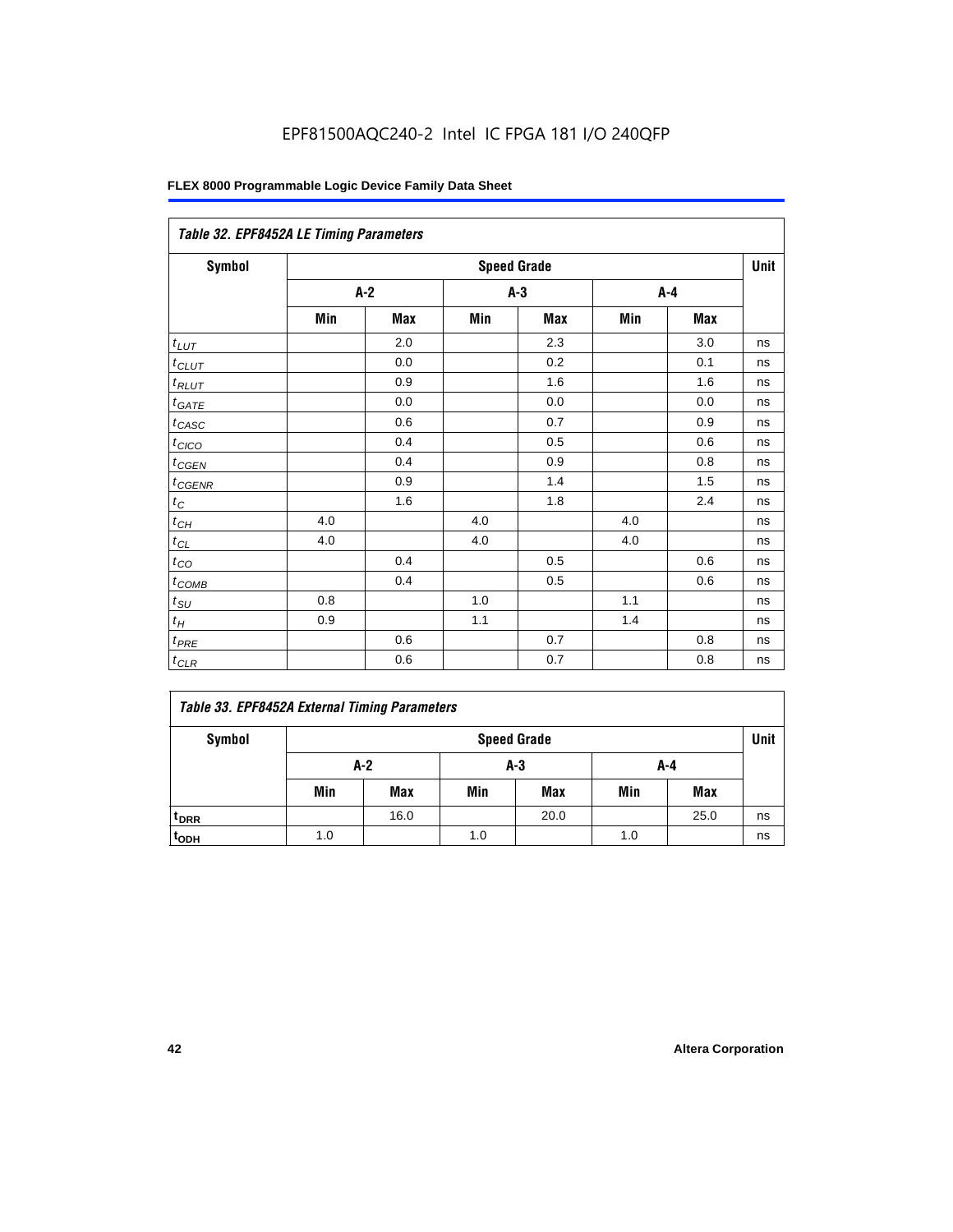|                       | Table 32. EPF8452A LE Timing Parameters |                    |       |     |       |     |    |  |  |  |
|-----------------------|-----------------------------------------|--------------------|-------|-----|-------|-----|----|--|--|--|
| <b>Symbol</b>         |                                         | <b>Speed Grade</b> |       |     |       |     |    |  |  |  |
|                       | $A-2$                                   |                    | $A-3$ |     | $A-4$ |     |    |  |  |  |
|                       | Min                                     | <b>Max</b>         | Min   | Max | Min   | Max |    |  |  |  |
| $t_{L\underline{UT}}$ |                                         | 2.0                |       | 2.3 |       | 3.0 | ns |  |  |  |
| $t$ CLUT              |                                         | 0.0                |       | 0.2 |       | 0.1 | ns |  |  |  |
| $t_{RLUT}$            |                                         | 0.9                |       | 1.6 |       | 1.6 | ns |  |  |  |
| $t_{GATE}$            |                                         | 0.0                |       | 0.0 |       | 0.0 | ns |  |  |  |
| $t_{CASC}$            |                                         | 0.6                |       | 0.7 |       | 0.9 | ns |  |  |  |
| $t_{CICO}$            |                                         | 0.4                |       | 0.5 |       | 0.6 | ns |  |  |  |
| $t_{GFN}$             |                                         | 0.4                |       | 0.9 |       | 0.8 | ns |  |  |  |
| $t_{CGENR}$           |                                         | 0.9                |       | 1.4 |       | 1.5 | ns |  |  |  |
| $t_C$                 |                                         | 1.6                |       | 1.8 |       | 2.4 | ns |  |  |  |
| $t_{CH}$              | 4.0                                     |                    | 4.0   |     | 4.0   |     | ns |  |  |  |
| $t_{CL}$              | 4.0                                     |                    | 4.0   |     | 4.0   |     | ns |  |  |  |
| $t_{CQ}$              |                                         | 0.4                |       | 0.5 |       | 0.6 | ns |  |  |  |
| $t_{\text{COMB}}$     |                                         | 0.4                |       | 0.5 |       | 0.6 | ns |  |  |  |
| $t_{$                 | 0.8                                     |                    | 1.0   |     | 1.1   |     | ns |  |  |  |
| $t_H\,$               | 0.9                                     |                    | 1.1   |     | 1.4   |     | ns |  |  |  |
| $t_{PRE}$             |                                         | 0.6                |       | 0.7 |       | 0.8 | ns |  |  |  |
| $t_{CLR}$             |                                         | 0.6                |       | 0.7 |       | 0.8 | ns |  |  |  |

## *Table 33. EPF8452A External Timing Parameters*

| Symbol                      | <b>Speed Grade</b> |      |       |            |     |            |    |  |
|-----------------------------|--------------------|------|-------|------------|-----|------------|----|--|
|                             |                    | A-2  | $A-3$ |            | A-4 |            |    |  |
|                             | Min                | Max  | Min   | <b>Max</b> | Min | <b>Max</b> |    |  |
| <sup>t</sup> <sub>DRR</sub> |                    | 16.0 |       | 20.0       |     | 25.0       | ns |  |
| t <sub>ODH</sub>            | 1.0                |      | 1.0   |            | 1.0 |            | ns |  |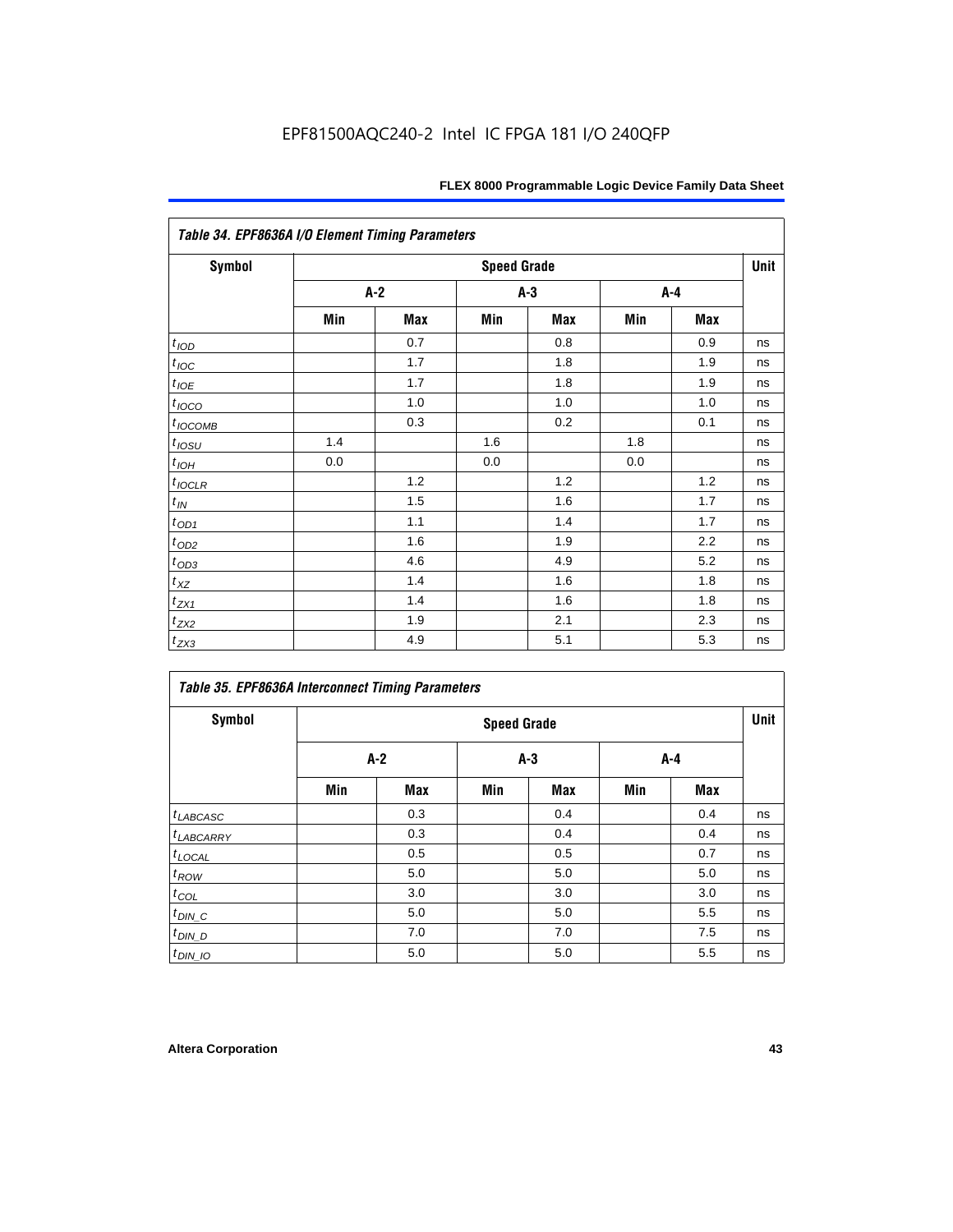| Table 34. EPF8636A I/O Element Timing Parameters |       |     |                    |       |     |     |      |  |  |
|--------------------------------------------------|-------|-----|--------------------|-------|-----|-----|------|--|--|
| Symbol                                           |       |     | <b>Speed Grade</b> |       |     |     | Unit |  |  |
|                                                  | $A-2$ |     |                    | $A-3$ |     | A-4 |      |  |  |
|                                                  | Min   | Max | Min                | Max   | Min | Max |      |  |  |
| $t_{IQD}$                                        |       | 0.7 |                    | 0.8   |     | 0.9 | ns   |  |  |
| $t_{\textit{IOC}}$                               |       | 1.7 |                    | 1.8   |     | 1.9 | ns   |  |  |
| $t_{IOE}$                                        |       | 1.7 |                    | 1.8   |     | 1.9 | ns   |  |  |
| $t_{IOCO}$                                       |       | 1.0 |                    | 1.0   |     | 1.0 | ns   |  |  |
| $t_{IOCOMB}$                                     |       | 0.3 |                    | 0.2   |     | 0.1 | ns   |  |  |
| $t_{IQSU}$                                       | 1.4   |     | 1.6                |       | 1.8 |     | ns   |  |  |
| $t_{IOH}$                                        | 0.0   |     | 0.0                |       | 0.0 |     | ns   |  |  |
| $t_{\text{IOCLR}}$                               |       | 1.2 |                    | 1.2   |     | 1.2 | ns   |  |  |
| $t_{I\!N}$                                       |       | 1.5 |                    | 1.6   |     | 1.7 | ns   |  |  |
| $t_{\text{OD1}}$                                 |       | 1.1 |                    | 1.4   |     | 1.7 | ns   |  |  |
| $t_{\underline{OD2}}$                            |       | 1.6 |                    | 1.9   |     | 2.2 | ns   |  |  |
| $t_{OD3}$                                        |       | 4.6 |                    | 4.9   |     | 5.2 | ns   |  |  |
| $t_{XZ}$                                         |       | 1.4 |                    | 1.6   |     | 1.8 | ns   |  |  |
| $t_{ZX1}$                                        |       | 1.4 |                    | 1.6   |     | 1.8 | ns   |  |  |
| $t_{Z\!X\!Z}$                                    |       | 1.9 |                    | 2.1   |     | 2.3 | ns   |  |  |
| $t_{ZX3}$                                        |       | 4.9 |                    | 5.1   |     | 5.3 | ns   |  |  |

| <b>Table 35. EPF8636A Interconnect Timing Parameters</b> |     |                    |       |     |     |            |    |  |  |
|----------------------------------------------------------|-----|--------------------|-------|-----|-----|------------|----|--|--|
| <b>Symbol</b>                                            |     | <b>Speed Grade</b> |       |     |     |            |    |  |  |
|                                                          | A-2 |                    | $A-3$ |     | A-4 |            |    |  |  |
|                                                          | Min | <b>Max</b>         | Min   | Max | Min | <b>Max</b> |    |  |  |
| $t_{LABCASC}$                                            |     | 0.3                |       | 0.4 |     | 0.4        | ns |  |  |
| $t_{LABCARY}$                                            |     | 0.3                |       | 0.4 |     | 0.4        | ns |  |  |
| $t_{\text{LOCAL}}$                                       |     | 0.5                |       | 0.5 |     | 0.7        | ns |  |  |
| $t_{ROW}$                                                |     | 5.0                |       | 5.0 |     | 5.0        | ns |  |  |
| $t_{COL}$                                                |     | 3.0                |       | 3.0 |     | 3.0        | ns |  |  |
| $t_{DIN\_C}$                                             |     | 5.0                |       | 5.0 |     | 5.5        | ns |  |  |
| $t$ <sub>DIN_D</sub>                                     |     | 7.0                |       | 7.0 |     | 7.5        | ns |  |  |
| $t_{DIN_1O}$                                             |     | 5.0                |       | 5.0 |     | 5.5        | ns |  |  |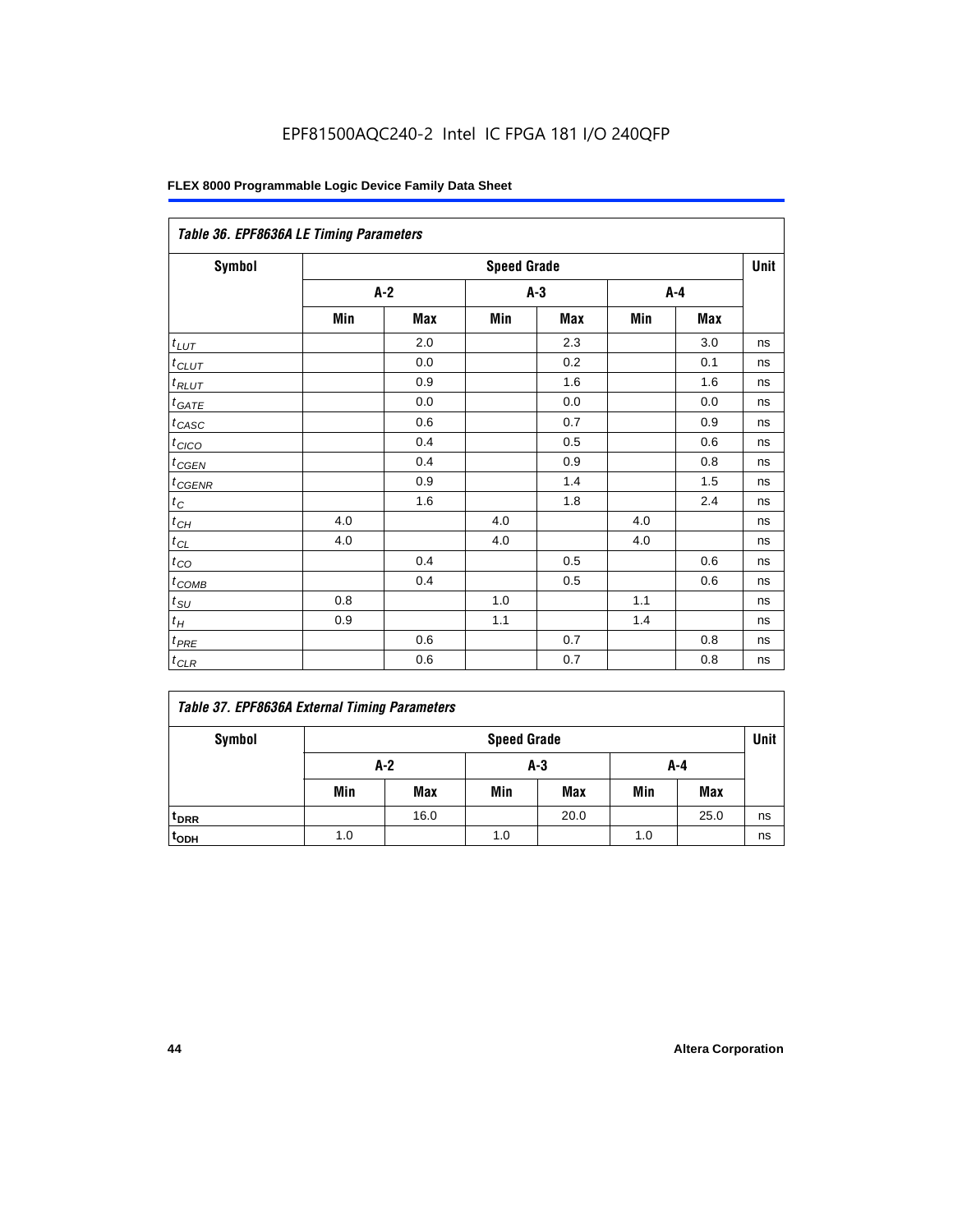| Table 36. EPF8636A LE Timing Parameters |       |     |                    |     |         |     |      |  |  |
|-----------------------------------------|-------|-----|--------------------|-----|---------|-----|------|--|--|
| Symbol                                  |       |     | <b>Speed Grade</b> |     |         |     | Unit |  |  |
|                                         | $A-2$ |     | $A-3$              |     | $A - 4$ |     |      |  |  |
|                                         | Min   | Max | Min                | Max | Min     | Max |      |  |  |
| $t_{LUT}$                               |       | 2.0 |                    | 2.3 |         | 3.0 | ns   |  |  |
| $t_{CLUT}$                              |       | 0.0 |                    | 0.2 |         | 0.1 | ns   |  |  |
| $t_{RLUT}$                              |       | 0.9 |                    | 1.6 |         | 1.6 | ns   |  |  |
| $t_{GATE}$                              |       | 0.0 |                    | 0.0 |         | 0.0 | ns   |  |  |
| $t_{CASC}$                              |       | 0.6 |                    | 0.7 |         | 0.9 | ns   |  |  |
| $t_{CICO}$                              |       | 0.4 |                    | 0.5 |         | 0.6 | ns   |  |  |
| $t_{GEN}$                               |       | 0.4 |                    | 0.9 |         | 0.8 | ns   |  |  |
| $t_{CGENR}$                             |       | 0.9 |                    | 1.4 |         | 1.5 | ns   |  |  |
| $t_C$                                   |       | 1.6 |                    | 1.8 |         | 2.4 | ns   |  |  |
| $t_{CH}$                                | 4.0   |     | 4.0                |     | 4.0     |     | ns   |  |  |
| $t_{CL}$                                | 4.0   |     | 4.0                |     | 4.0     |     | ns   |  |  |
| $t_{CO}$                                |       | 0.4 |                    | 0.5 |         | 0.6 | ns   |  |  |
| $t_{\text{COMB}}$                       |       | 0.4 |                    | 0.5 |         | 0.6 | ns   |  |  |
| $t_{SU}$                                | 0.8   |     | 1.0                |     | 1.1     |     | ns   |  |  |
| $t_H$                                   | 0.9   |     | $1.1$              |     | 1.4     |     | ns   |  |  |
| $t_{PRE}$                               |       | 0.6 |                    | 0.7 |         | 0.8 | ns   |  |  |
| $t_{CLR}$                               |       | 0.6 |                    | 0.7 |         | 0.8 | ns   |  |  |

## *Table 37. EPF8636A External Timing Parameters*

| Symbol           | <b>Speed Grade</b> |            |     |            |     |            |    |
|------------------|--------------------|------------|-----|------------|-----|------------|----|
|                  | $A-2$<br>A-3       |            |     | A-4        |     |            |    |
|                  | Min                | <b>Max</b> | Min | <b>Max</b> | Min | <b>Max</b> |    |
| t <sub>DRR</sub> |                    | 16.0       |     | 20.0       |     | 25.0       | ns |
| t <sub>ODH</sub> | 1.0                |            | 1.0 |            | 1.0 |            | ns |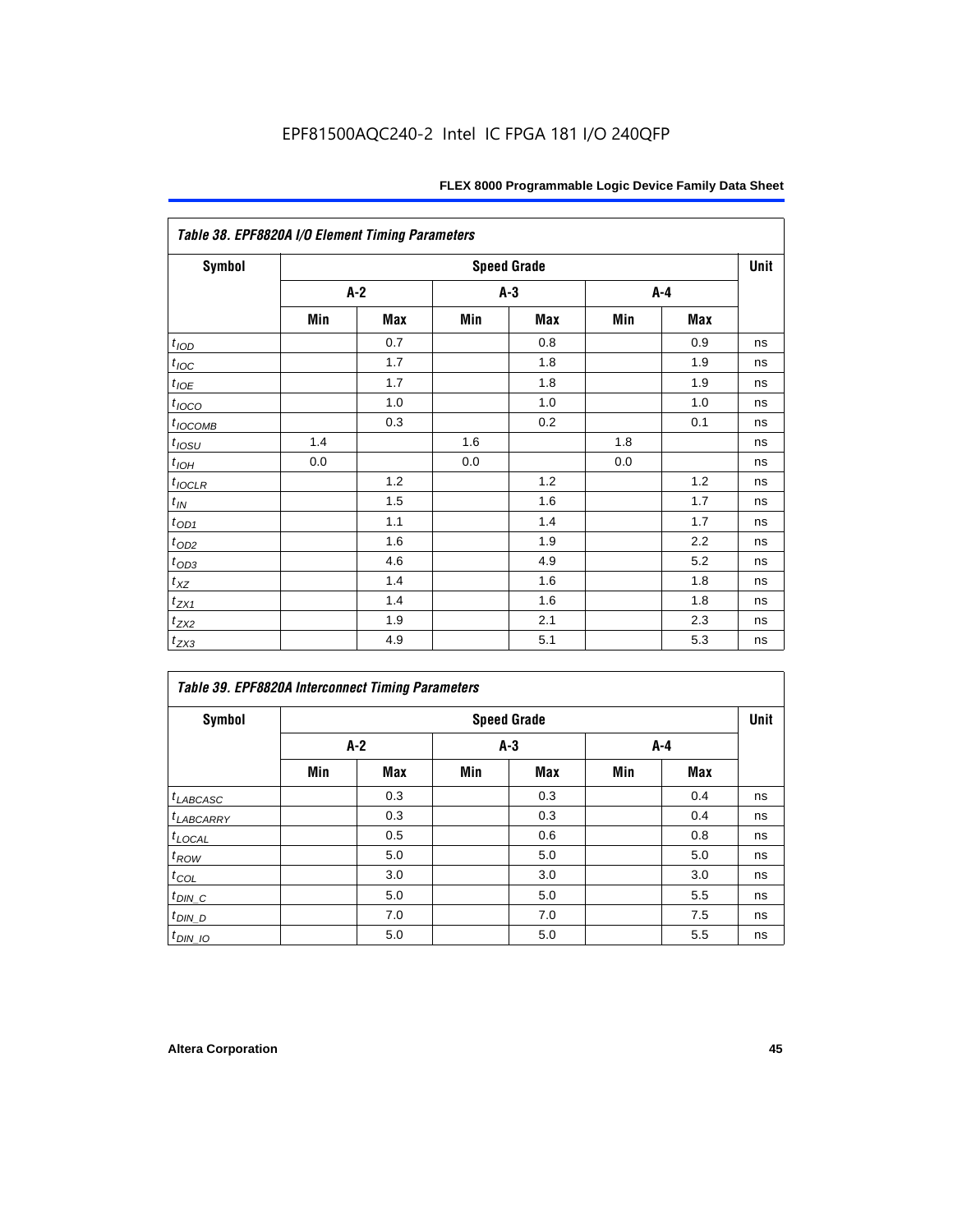| Table 38. EPF8820A I/O Element Timing Parameters |     |       |     |                    |     |            |      |  |  |
|--------------------------------------------------|-----|-------|-----|--------------------|-----|------------|------|--|--|
| <b>Symbol</b>                                    |     |       |     | <b>Speed Grade</b> |     |            | Unit |  |  |
|                                                  |     | $A-2$ |     | A-3                |     | A-4        |      |  |  |
|                                                  | Min | Max   | Min | <b>Max</b>         | Min | <b>Max</b> |      |  |  |
| t <sub>IOD</sub>                                 |     | 0.7   |     | 0.8                |     | 0.9        | ns   |  |  |
| $t_{\text{loc}}$                                 |     | 1.7   |     | 1.8                |     | 1.9        | ns   |  |  |
| $t_{IOE}$                                        |     | 1.7   |     | 1.8                |     | 1.9        | ns   |  |  |
| $t_{IOCO}$                                       |     | 1.0   |     | 1.0                |     | 1.0        | ns   |  |  |
| $t_{IOCOMB}$                                     |     | 0.3   |     | 0.2                |     | 0.1        | ns   |  |  |
| $t_{IOSU}$                                       | 1.4 |       | 1.6 |                    | 1.8 |            | ns   |  |  |
| $t_{IOH}$                                        | 0.0 |       | 0.0 |                    | 0.0 |            | ns   |  |  |
| $t_{IOCLR}$                                      |     | 1.2   |     | 1.2                |     | 1.2        | ns   |  |  |
| $t_{I\!N}$                                       |     | 1.5   |     | 1.6                |     | 1.7        | ns   |  |  |
| $t_{OD1}$                                        |     | 1.1   |     | 1.4                |     | 1.7        | ns   |  |  |
| $t_{OD2}$                                        |     | 1.6   |     | 1.9                |     | 2.2        | ns   |  |  |
| $t_{OD3}$                                        |     | 4.6   |     | 4.9                |     | 5.2        | ns   |  |  |
| $t_{\text{XZ}}$                                  |     | 1.4   |     | 1.6                |     | 1.8        | ns   |  |  |
| $t_{ZX1}$                                        |     | 1.4   |     | 1.6                |     | 1.8        | ns   |  |  |
| $t_{ZX2}$                                        |     | 1.9   |     | 2.1                |     | 2.3        | ns   |  |  |
| $t_{ZX3}$                                        |     | 4.9   |     | 5.1                |     | 5.3        | ns   |  |  |

| <b>Table 39. EPF8820A Interconnect Timing Parameters</b> |       |                    |     |            |     |       |    |  |  |  |
|----------------------------------------------------------|-------|--------------------|-----|------------|-----|-------|----|--|--|--|
| Symbol                                                   |       | <b>Speed Grade</b> |     |            |     |       |    |  |  |  |
|                                                          | $A-2$ |                    |     | $A-3$      |     | $A-4$ |    |  |  |  |
|                                                          | Min   | Max                | Min | <b>Max</b> | Min | Max   |    |  |  |  |
| $t_{LABCASC}$                                            |       | 0.3                |     | 0.3        |     | 0.4   | ns |  |  |  |
| <sup>t</sup> LABCARRY                                    |       | 0.3                |     | 0.3        |     | 0.4   | ns |  |  |  |
| $t_{\text{LOCAL}}$                                       |       | 0.5                |     | 0.6        |     | 0.8   | ns |  |  |  |
| $t_{ROW}$                                                |       | 5.0                |     | 5.0        |     | 5.0   | ns |  |  |  |
| $t_{COL}$                                                |       | 3.0                |     | 3.0        |     | 3.0   | ns |  |  |  |
| $t_{DIN\_C}$                                             |       | 5.0                |     | 5.0        |     | 5.5   | ns |  |  |  |
| $t$ <sub>DIN_D</sub>                                     |       | 7.0                |     | 7.0        |     | 7.5   | ns |  |  |  |
| $t_{DIN_1O}$                                             |       | 5.0                |     | 5.0        |     | 5.5   | ns |  |  |  |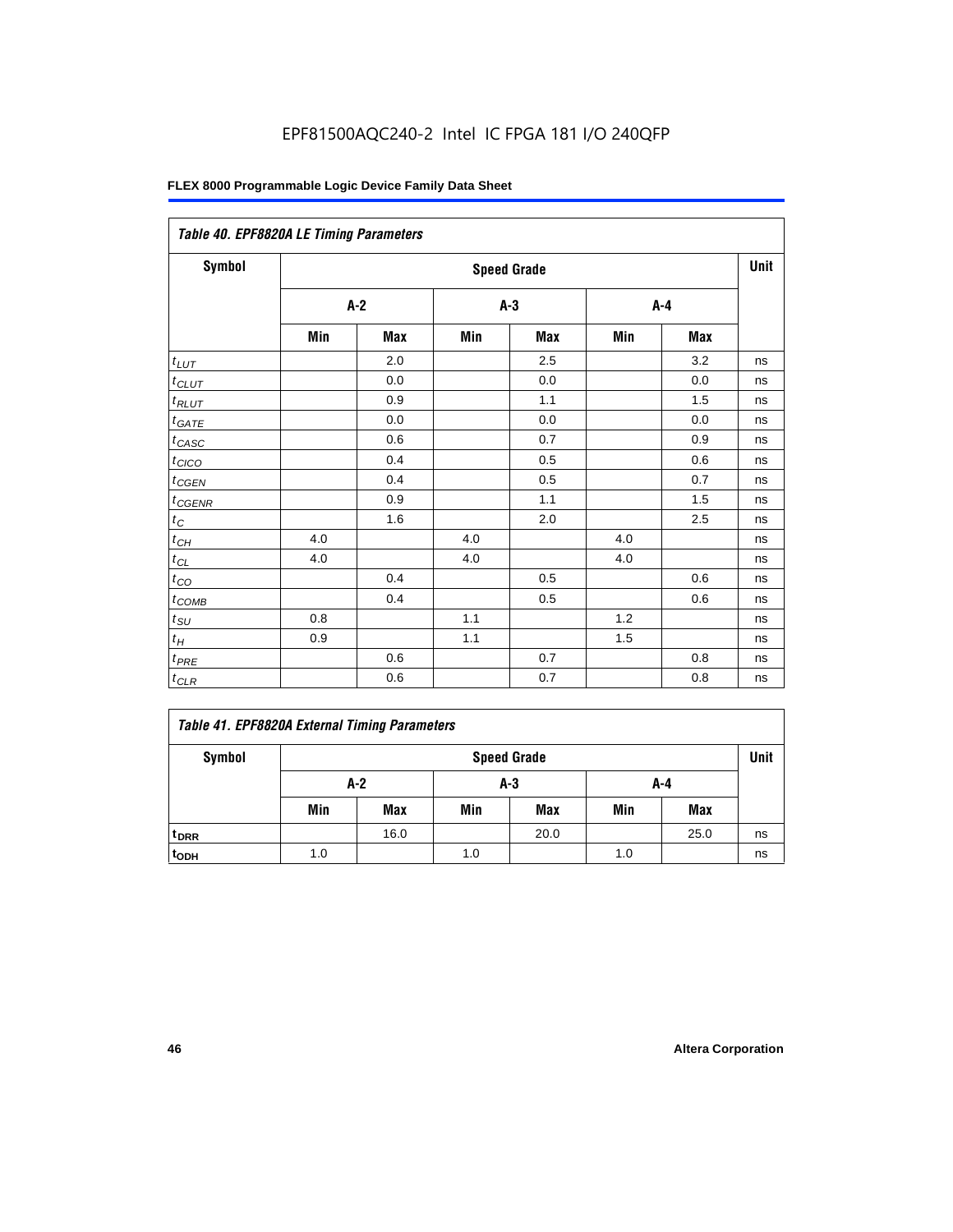| Table 40. EPF8820A LE Timing Parameters |     |                    |     |       |     |         |    |  |  |  |
|-----------------------------------------|-----|--------------------|-----|-------|-----|---------|----|--|--|--|
| Symbol                                  |     | <b>Speed Grade</b> |     |       |     |         |    |  |  |  |
|                                         |     | $A-2$              |     | $A-3$ |     | $A - 4$ |    |  |  |  |
|                                         | Min | Max                | Min | Max   | Min | Max     |    |  |  |  |
| $t_{LUT}$                               |     | 2.0                |     | 2.5   |     | 3.2     | ns |  |  |  |
| $t_{CLUT}$                              |     | 0.0                |     | 0.0   |     | 0.0     | ns |  |  |  |
| $t_{RLUT}$                              |     | 0.9                |     | 1.1   |     | 1.5     | ns |  |  |  |
| $t_{GATE}$                              |     | 0.0                |     | 0.0   |     | 0.0     | ns |  |  |  |
| $t_{CASC}$                              |     | 0.6                |     | 0.7   |     | 0.9     | ns |  |  |  |
| $t_{CICO}$                              |     | 0.4                |     | 0.5   |     | 0.6     | ns |  |  |  |
| $t_{GEN}$                               |     | 0.4                |     | 0.5   |     | 0.7     | ns |  |  |  |
| $t_{GENR}$                              |     | 0.9                |     | 1.1   |     | 1.5     | ns |  |  |  |
| $t_C$                                   |     | 1.6                |     | 2.0   |     | 2.5     | ns |  |  |  |
| $t_{CH}$                                | 4.0 |                    | 4.0 |       | 4.0 |         | ns |  |  |  |
| $t_{CL}$                                | 4.0 |                    | 4.0 |       | 4.0 |         | ns |  |  |  |
| $t_{CO}$                                |     | 0.4                |     | 0.5   |     | 0.6     | ns |  |  |  |
| $t_{COMB}$                              |     | 0.4                |     | 0.5   |     | 0.6     | ns |  |  |  |
| $t_{SU$                                 | 0.8 |                    | 1.1 |       | 1.2 |         | ns |  |  |  |
| $t_H$                                   | 0.9 |                    | 1.1 |       | 1.5 |         | ns |  |  |  |
| $t_{PRE}$                               |     | 0.6                |     | 0.7   |     | 0.8     | ns |  |  |  |
| $t_{CLR}$                               |     | 0.6                |     | 0.7   |     | 0.8     | ns |  |  |  |

| Symbol           | <b>Speed Grade</b> |            |     |            |     |            | Unit |
|------------------|--------------------|------------|-----|------------|-----|------------|------|
|                  | A-2<br>$A-3$       |            |     | A-4        |     |            |      |
|                  | Min                | <b>Max</b> | Min | <b>Max</b> | Min | <b>Max</b> |      |
| t <sub>DRR</sub> |                    | 16.0       |     | 20.0       |     | 25.0       | ns   |
| t <sub>ODH</sub> | 1.0                |            | 1.0 |            | 1.0 |            | ns   |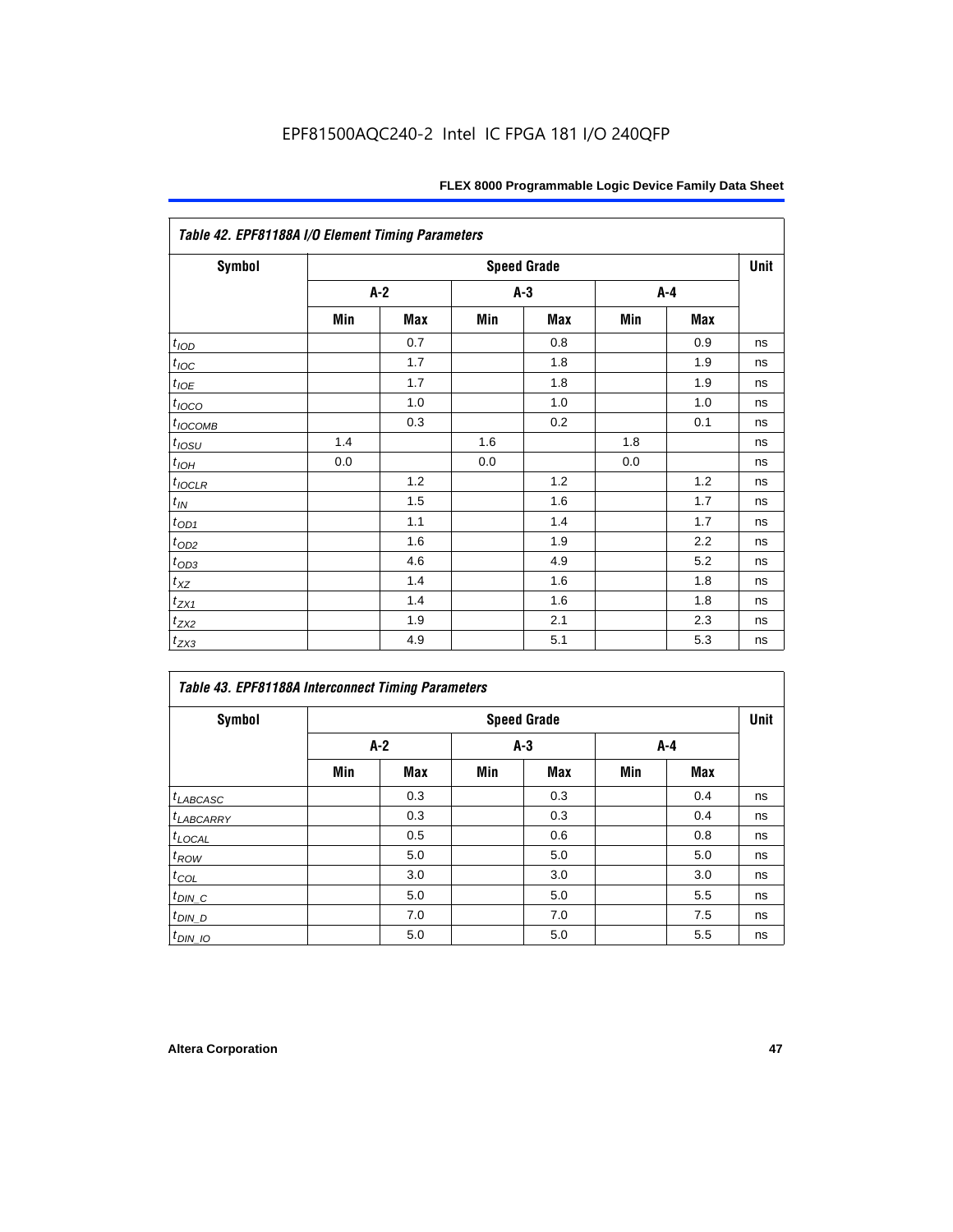| Table 42. EPF81188A I/O Element Timing Parameters |     |       |     |                    |     |     |      |  |  |
|---------------------------------------------------|-----|-------|-----|--------------------|-----|-----|------|--|--|
| <b>Symbol</b>                                     |     |       |     | <b>Speed Grade</b> |     |     | Unit |  |  |
|                                                   |     | $A-2$ |     | $A-3$              |     | A-4 |      |  |  |
|                                                   | Min | Max   | Min | <b>Max</b>         | Min | Max |      |  |  |
| $t_{\rm IOD}$                                     |     | 0.7   |     | 0.8                |     | 0.9 | ns   |  |  |
| $t_{\textit{IOC}}$                                |     | 1.7   |     | 1.8                |     | 1.9 | ns   |  |  |
| $t_{IOE}$                                         |     | 1.7   |     | 1.8                |     | 1.9 | ns   |  |  |
| $t_{IOCO}$                                        |     | 1.0   |     | 1.0                |     | 1.0 | ns   |  |  |
| $t_{IOCOMB}$                                      |     | 0.3   |     | 0.2                |     | 0.1 | ns   |  |  |
| $t_{IOSU}$                                        | 1.4 |       | 1.6 |                    | 1.8 |     | ns   |  |  |
| $t_{IOH}$                                         | 0.0 |       | 0.0 |                    | 0.0 |     | ns   |  |  |
| $t_{IOCLR}$                                       |     | 1.2   |     | 1.2                |     | 1.2 | ns   |  |  |
| $t_{I\!N}$                                        |     | 1.5   |     | 1.6                |     | 1.7 | ns   |  |  |
| $t_{OD1}$                                         |     | 1.1   |     | 1.4                |     | 1.7 | ns   |  |  |
| $t_{OD2}$                                         |     | 1.6   |     | 1.9                |     | 2.2 | ns   |  |  |
| $t_{OD3}$                                         |     | 4.6   |     | 4.9                |     | 5.2 | ns   |  |  |
| $t_{\text{XZ}}$                                   |     | 1.4   |     | 1.6                |     | 1.8 | ns   |  |  |
| $t_{ZX1}$                                         |     | 1.4   |     | 1.6                |     | 1.8 | ns   |  |  |
| $t_{ZX2}$                                         |     | 1.9   |     | 2.1                |     | 2.3 | ns   |  |  |
| $t_{ZX3}$                                         |     | 4.9   |     | 5.1                |     | 5.3 | ns   |  |  |

| Symbol               | <b>Speed Grade</b> |     |       |            |     |            |    |  |
|----------------------|--------------------|-----|-------|------------|-----|------------|----|--|
|                      | $A-2$              |     | $A-3$ |            | A-4 |            |    |  |
|                      | Min                | Max | Min   | <b>Max</b> | Min | <b>Max</b> |    |  |
| $t_{LABCASC}$        |                    | 0.3 |       | 0.3        |     | 0.4        | ns |  |
| $t_{LABCARY}$        |                    | 0.3 |       | 0.3        |     | 0.4        | ns |  |
| $t_{\text{LOCAL}}$   |                    | 0.5 |       | 0.6        |     | 0.8        | ns |  |
| $t_{ROW}$            |                    | 5.0 |       | 5.0        |     | 5.0        | ns |  |
| $t_{COL}$            |                    | 3.0 |       | 3.0        |     | 3.0        | ns |  |
| $t_{DIN\_C}$         |                    | 5.0 |       | 5.0        |     | 5.5        | ns |  |
| $t$ <sub>DIN_D</sub> |                    | 7.0 |       | 7.0        |     | 7.5        | ns |  |
| $t_{DIN\_IO}$        |                    | 5.0 |       | 5.0        |     | 5.5        | ns |  |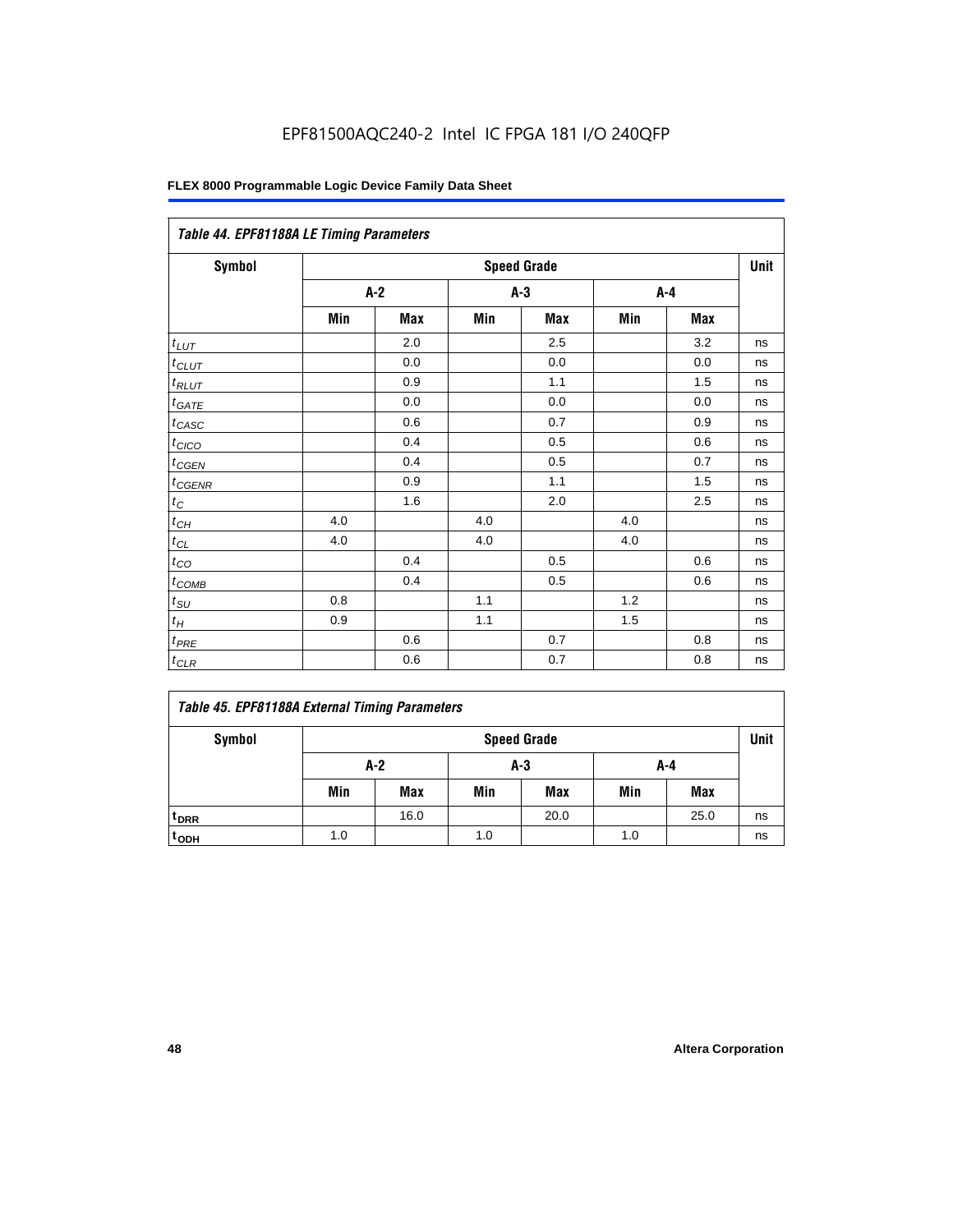| Table 44. EPF81188A LE Timing Parameters |       |     |       |                    |     |     |      |  |  |
|------------------------------------------|-------|-----|-------|--------------------|-----|-----|------|--|--|
| Symbol                                   |       |     |       | <b>Speed Grade</b> |     |     | Unit |  |  |
|                                          | $A-2$ |     | $A-3$ |                    | A-4 |     |      |  |  |
|                                          | Min   | Max | Min   | Max                | Min | Max |      |  |  |
| $t_{LUT}$                                |       | 2.0 |       | 2.5                |     | 3.2 | ns   |  |  |
| $t_{CLUT}$                               |       | 0.0 |       | 0.0                |     | 0.0 | ns   |  |  |
| $t_{RLUT}$                               |       | 0.9 |       | 1.1                |     | 1.5 | ns   |  |  |
| $t_{GATE}$                               |       | 0.0 |       | 0.0                |     | 0.0 | ns   |  |  |
| $t_{CASC}$                               |       | 0.6 |       | 0.7                |     | 0.9 | ns   |  |  |
| $t_{CICO}$                               |       | 0.4 |       | 0.5                |     | 0.6 | ns   |  |  |
| $t_{GEN}$                                |       | 0.4 |       | 0.5                |     | 0.7 | ns   |  |  |
| $t_{CGENR}$                              |       | 0.9 |       | 1.1                |     | 1.5 | ns   |  |  |
| $t_C$                                    |       | 1.6 |       | 2.0                |     | 2.5 | ns   |  |  |
| $t_{\mathit{CH}}$                        | 4.0   |     | 4.0   |                    | 4.0 |     | ns   |  |  |
| $t_{CL}$                                 | 4.0   |     | 4.0   |                    | 4.0 |     | ns   |  |  |
| $t_{CO}$                                 |       | 0.4 |       | 0.5                |     | 0.6 | ns   |  |  |
| $t_{\text{COMB}}$                        |       | 0.4 |       | 0.5                |     | 0.6 | ns   |  |  |
| $t_{SU}$                                 | 0.8   |     | 1.1   |                    | 1.2 |     | ns   |  |  |
| $t_H$                                    | 0.9   |     | 1.1   |                    | 1.5 |     | ns   |  |  |
| $t_{PRE}$                                |       | 0.6 |       | 0.7                |     | 0.8 | ns   |  |  |
| $t_{CLR}$                                |       | 0.6 |       | 0.7                |     | 0.8 | ns   |  |  |

|  |  |  |  | Table 45. EPF81188A External Timing Parameters |
|--|--|--|--|------------------------------------------------|
|--|--|--|--|------------------------------------------------|

| Symbol           | <b>Speed Grade</b> |            |     |            |     |            |    |  |
|------------------|--------------------|------------|-----|------------|-----|------------|----|--|
|                  | A-2<br>A-3<br>A-4  |            |     |            |     |            |    |  |
|                  | Min                | <b>Max</b> | Min | <b>Max</b> | Min | <b>Max</b> |    |  |
| <sup>t</sup> DRR |                    | 16.0       |     | 20.0       |     | 25.0       | ns |  |
| t <sub>ODH</sub> | 1.0                |            | 1.0 |            | 1.0 |            | ns |  |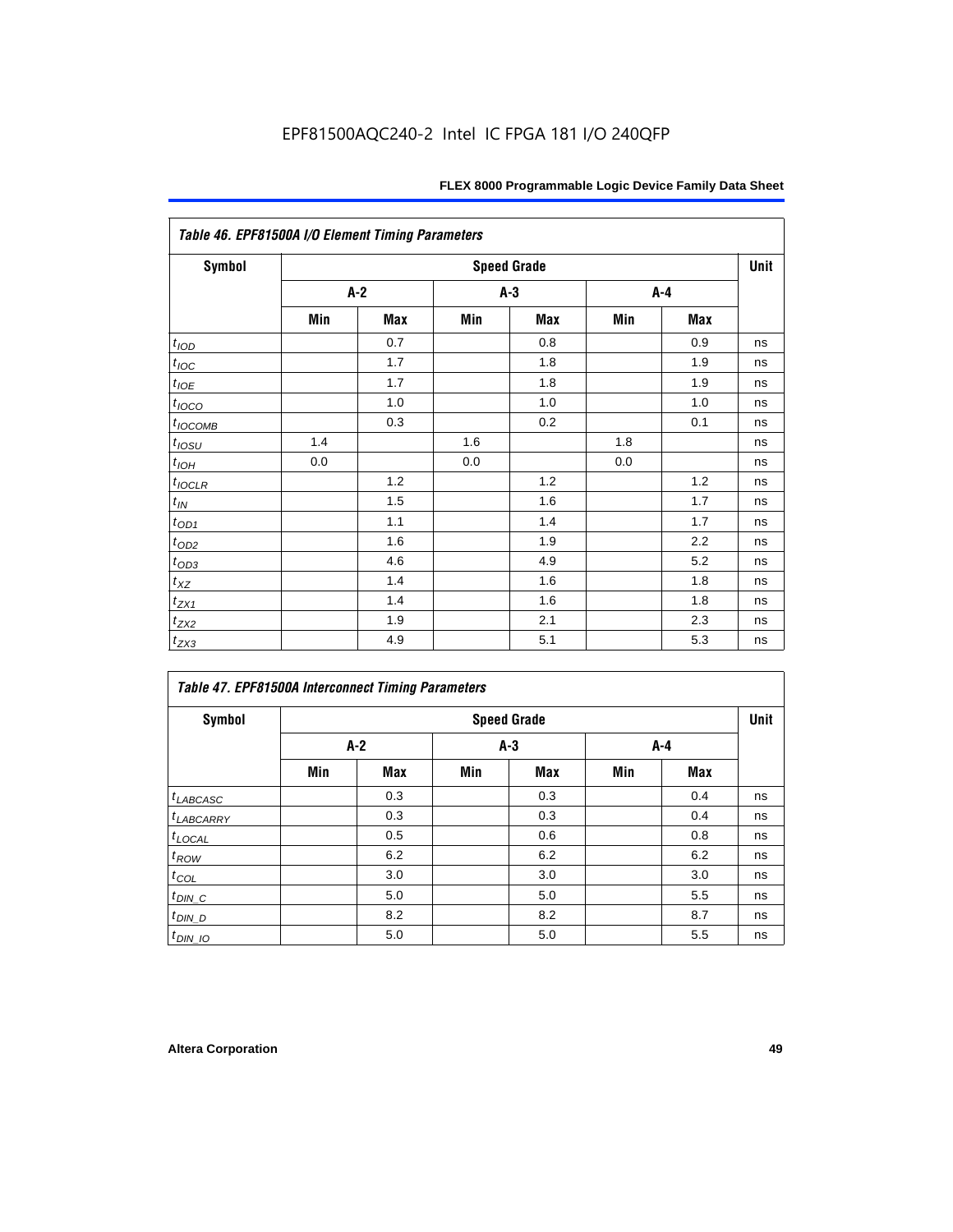| Table 46. EPF81500A I/O Element Timing Parameters |                    |       |     |     |     |     |    |  |  |
|---------------------------------------------------|--------------------|-------|-----|-----|-----|-----|----|--|--|
| <b>Symbol</b>                                     | <b>Speed Grade</b> |       |     |     |     |     |    |  |  |
|                                                   |                    | $A-2$ | A-3 |     |     | A-4 |    |  |  |
|                                                   | Min                | Max   | Min | Max | Min | Max |    |  |  |
| $t_{\underline{IOD}}$                             |                    | 0.7   |     | 0.8 |     | 0.9 | ns |  |  |
| $t_{\text{IOC}}$                                  |                    | 1.7   |     | 1.8 |     | 1.9 | ns |  |  |
| $t_{IOE}$                                         |                    | 1.7   |     | 1.8 |     | 1.9 | ns |  |  |
| $t_{IOCO}$                                        |                    | 1.0   |     | 1.0 |     | 1.0 | ns |  |  |
| t <sub>IOCOMB</sub>                               |                    | 0.3   |     | 0.2 |     | 0.1 | ns |  |  |
| $t_{IQSU}$                                        | 1.4                |       | 1.6 |     | 1.8 |     | ns |  |  |
| $t_{IOH}$                                         | 0.0                |       | 0.0 |     | 0.0 |     | ns |  |  |
| $t_{IOCLR}$                                       |                    | 1.2   |     | 1.2 |     | 1.2 | ns |  |  |
| $t_{IN}$                                          |                    | 1.5   |     | 1.6 |     | 1.7 | ns |  |  |
| $t_{\text{OD1}}$                                  |                    | 1.1   |     | 1.4 |     | 1.7 | ns |  |  |
| $t_{OD2}$                                         |                    | 1.6   |     | 1.9 |     | 2.2 | ns |  |  |
| $t_{OD3}$                                         |                    | 4.6   |     | 4.9 |     | 5.2 | ns |  |  |
| $t_{\mathsf{XZ}}$                                 |                    | 1.4   |     | 1.6 |     | 1.8 | ns |  |  |
| $t_{ZX1}$                                         |                    | 1.4   |     | 1.6 |     | 1.8 | ns |  |  |
| $t_{ZX2}$                                         |                    | 1.9   |     | 2.1 |     | 2.3 | ns |  |  |
| $t_{ZX3}$                                         |                    | 4.9   |     | 5.1 |     | 5.3 | ns |  |  |

| Symbol                |     |       |       | <b>Speed Grade</b> |       |     | Unit |
|-----------------------|-----|-------|-------|--------------------|-------|-----|------|
|                       |     | $A-2$ | $A-3$ |                    | $A-4$ |     |      |
|                       | Min | Max   | Min   | <b>Max</b>         | Min   | Max |      |
| $t_{LABCASC}$         |     | 0.3   |       | 0.3                |       | 0.4 | ns   |
| <sup>t</sup> LABCARRY |     | 0.3   |       | 0.3                |       | 0.4 | ns   |
| $t_{\text{LOCAL}}$    |     | 0.5   |       | 0.6                |       | 0.8 | ns   |
| $t_{ROW}$             |     | 6.2   |       | 6.2                |       | 6.2 | ns   |
| $t_{COL}$             |     | 3.0   |       | 3.0                |       | 3.0 | ns   |
| $t_{DIN\_C}$          |     | 5.0   |       | 5.0                |       | 5.5 | ns   |
| $t_{DIN\_D}$          |     | 8.2   |       | 8.2                |       | 8.7 | ns   |
| $t_{DIN\_IO}$         |     | 5.0   |       | 5.0                |       | 5.5 | ns   |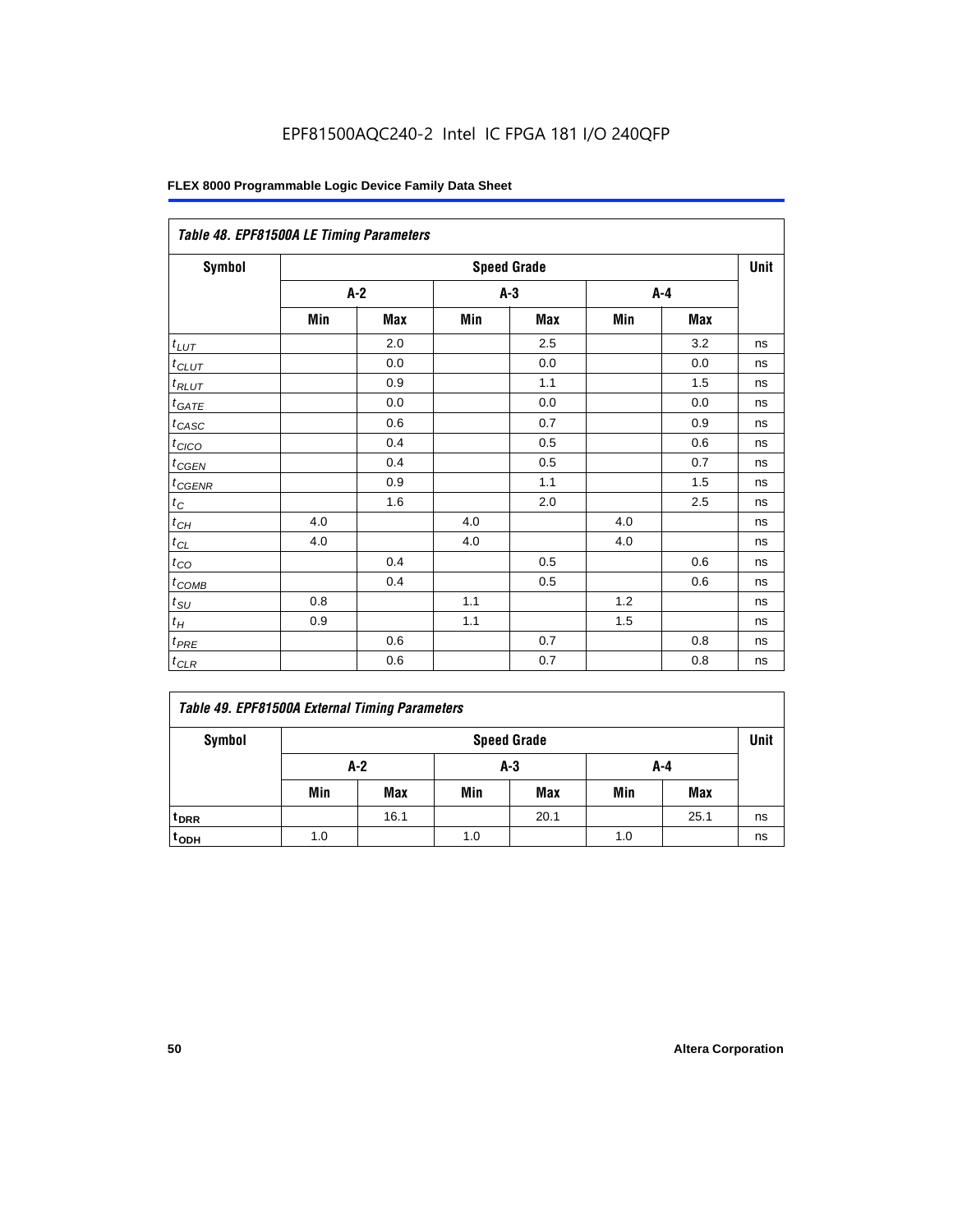| Table 48. EPF81500A LE Timing Parameters |                    |            |       |     |     |            |    |  |  |
|------------------------------------------|--------------------|------------|-------|-----|-----|------------|----|--|--|
| <b>Symbol</b>                            | <b>Speed Grade</b> |            |       |     |     |            |    |  |  |
|                                          | $A-2$              |            | $A-3$ |     | A-4 |            |    |  |  |
|                                          | Min                | <b>Max</b> | Min   | Max | Min | <b>Max</b> |    |  |  |
| $t_{LUT}$                                |                    | 2.0        |       | 2.5 |     | 3.2        | ns |  |  |
| $t_{CLUT}$                               |                    | 0.0        |       | 0.0 |     | 0.0        | ns |  |  |
| $t_{RLUT}$                               |                    | 0.9        |       | 1.1 |     | 1.5        | ns |  |  |
| $t_{GATE}$                               |                    | 0.0        |       | 0.0 |     | 0.0        | ns |  |  |
| $t_{CASC}$                               |                    | 0.6        |       | 0.7 |     | 0.9        | ns |  |  |
| $t_{CICO}$                               |                    | 0.4        |       | 0.5 |     | 0.6        | ns |  |  |
| $t_{CGEN}$                               |                    | 0.4        |       | 0.5 |     | 0.7        | ns |  |  |
| $t_{CGENR}$                              |                    | 0.9        |       | 1.1 |     | 1.5        | ns |  |  |
| $t_C$                                    |                    | 1.6        |       | 2.0 |     | 2.5        | ns |  |  |
| $t_{CH}$                                 | 4.0                |            | 4.0   |     | 4.0 |            | ns |  |  |
| $t_{CL}$                                 | 4.0                |            | 4.0   |     | 4.0 |            | ns |  |  |
| $t_{CO}$                                 |                    | 0.4        |       | 0.5 |     | 0.6        | ns |  |  |
| $t_{\text{COMB}}$                        |                    | 0.4        |       | 0.5 |     | 0.6        | ns |  |  |
| $t_{SU}$                                 | 0.8                |            | 1.1   |     | 1.2 |            | ns |  |  |
| $t_H$                                    | 0.9                |            | 1.1   |     | 1.5 |            | ns |  |  |
| $t_{PRE}$                                |                    | 0.6        |       | 0.7 |     | 0.8        | ns |  |  |
| $t_{CLR}$                                |                    | 0.6        |       | 0.7 |     | 0.8        | ns |  |  |

|  |  |  |  | Table 49. EPF81500A External Timing Parameters |
|--|--|--|--|------------------------------------------------|
|--|--|--|--|------------------------------------------------|

| Symbol             | <b>Speed Grade</b> |                   |     |            |     |            |    |  |  |  |
|--------------------|--------------------|-------------------|-----|------------|-----|------------|----|--|--|--|
|                    |                    | A-2<br>A-3<br>A-4 |     |            |     |            |    |  |  |  |
|                    | Min                | <b>Max</b>        | Min | <b>Max</b> | Min | <b>Max</b> |    |  |  |  |
| t <sub>DRR</sub>   |                    | 16.1              |     | 20.1       |     | 25.1       | ns |  |  |  |
| $t$ <sub>ODH</sub> | 1.0                |                   | 1.0 |            | 1.0 |            | ns |  |  |  |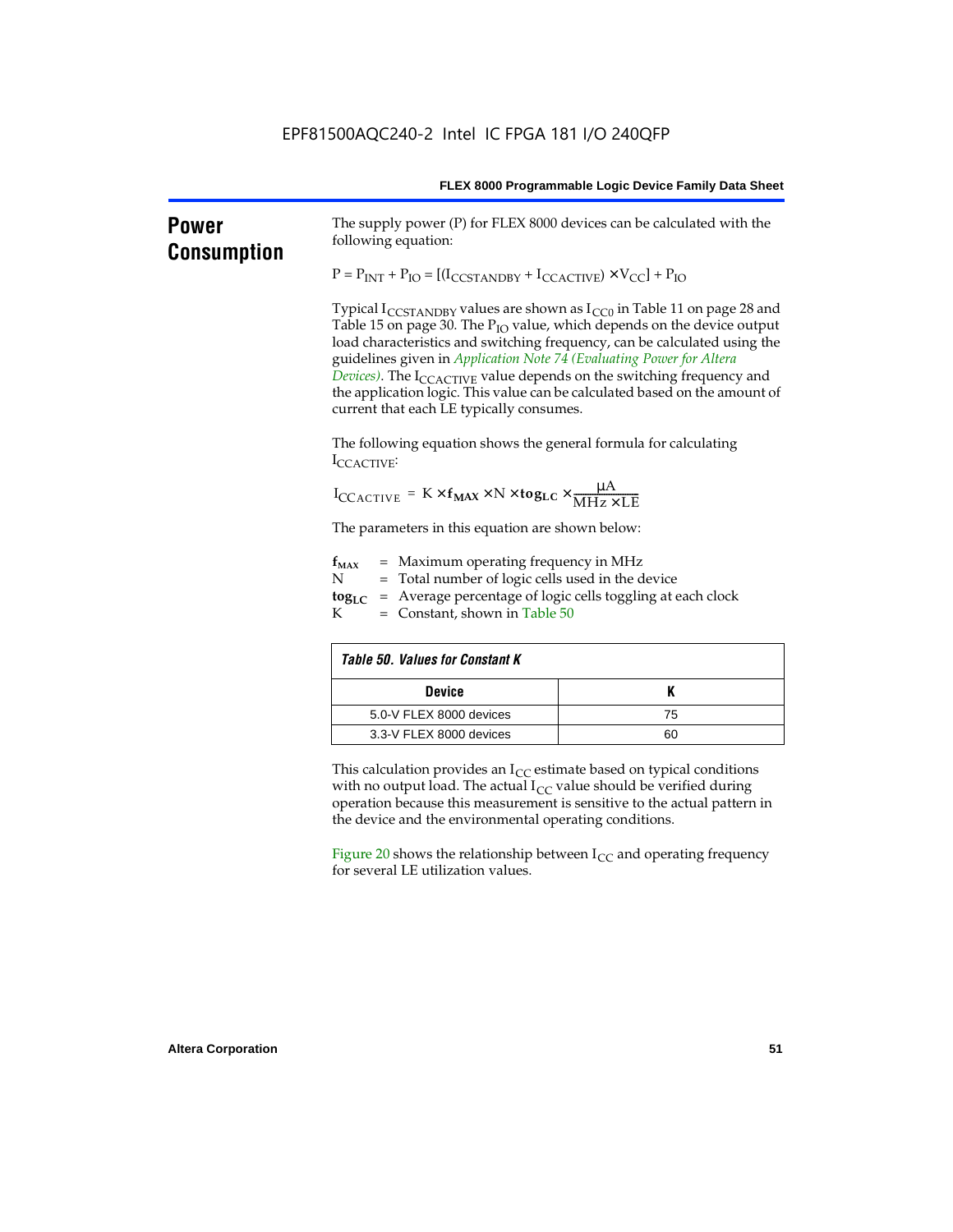| <b>Power</b><br><b>Consumption</b> | The supply power (P) for FLEX 8000 devices can be calculated with the<br>following equation:                                                                                                                                                                                                                                                                                                                                                                                                                                                            |    |  |  |  |  |
|------------------------------------|---------------------------------------------------------------------------------------------------------------------------------------------------------------------------------------------------------------------------------------------------------------------------------------------------------------------------------------------------------------------------------------------------------------------------------------------------------------------------------------------------------------------------------------------------------|----|--|--|--|--|
|                                    | $P = PINT + PIO = [(ICCSTANDBY + ICCACTIVE) × VCC] + PIO$                                                                                                                                                                                                                                                                                                                                                                                                                                                                                               |    |  |  |  |  |
|                                    | Typical $I_{\text{CCSTANDBY}}$ values are shown as $I_{\text{CC0}}$ in Table 11 on page 28 and<br>Table 15 on page 30. The P <sub>IO</sub> value, which depends on the device output<br>load characteristics and switching frequency, can be calculated using the<br>guidelines given in Application Note 74 (Evaluating Power for Altera<br>Devices). The $I_{\text{CCACTIVE}}$ value depends on the switching frequency and<br>the application logic. This value can be calculated based on the amount of<br>current that each LE typically consumes. |    |  |  |  |  |
|                                    | The following equation shows the general formula for calculating<br>ICCACTIVE                                                                                                                                                                                                                                                                                                                                                                                                                                                                           |    |  |  |  |  |
|                                    | $I_{\text{CCACTIVE}} = K \times f_{\text{MAX}} \times N \times \text{togLC} \times \frac{\mu A}{\text{MHz} \times \text{LE}}$                                                                                                                                                                                                                                                                                                                                                                                                                           |    |  |  |  |  |
|                                    | The parameters in this equation are shown below:                                                                                                                                                                                                                                                                                                                                                                                                                                                                                                        |    |  |  |  |  |
|                                    | = Maximum operating frequency in MHz<br>$f_{MAX}$<br>N<br>= Total number of logic cells used in the device<br>$\text{tog}_{\text{LC}}$ = Average percentage of logic cells toggling at each clock<br>K<br>$=$ Constant, shown in Table 50                                                                                                                                                                                                                                                                                                               |    |  |  |  |  |
|                                    | <b>Table 50. Values for Constant K</b>                                                                                                                                                                                                                                                                                                                                                                                                                                                                                                                  |    |  |  |  |  |
|                                    | <b>Device</b>                                                                                                                                                                                                                                                                                                                                                                                                                                                                                                                                           | Κ  |  |  |  |  |
|                                    | 5.0-V FLEX 8000 devices                                                                                                                                                                                                                                                                                                                                                                                                                                                                                                                                 | 75 |  |  |  |  |
|                                    | 3.3-V FLEX 8000 devices                                                                                                                                                                                                                                                                                                                                                                                                                                                                                                                                 | 60 |  |  |  |  |
|                                    | This calculation provides an $I_{CC}$ estimate based on typical conditions<br>with no output load. The actual $I_{CC}$ value should be verified during<br>operation because this measurement is sensitive to the actual pattern in<br>the device and the environmental operating conditions.                                                                                                                                                                                                                                                            |    |  |  |  |  |
|                                    | Figure 20 shows the relationship between $I_{CC}$ and operating frequency<br>for several LE utilization values.                                                                                                                                                                                                                                                                                                                                                                                                                                         |    |  |  |  |  |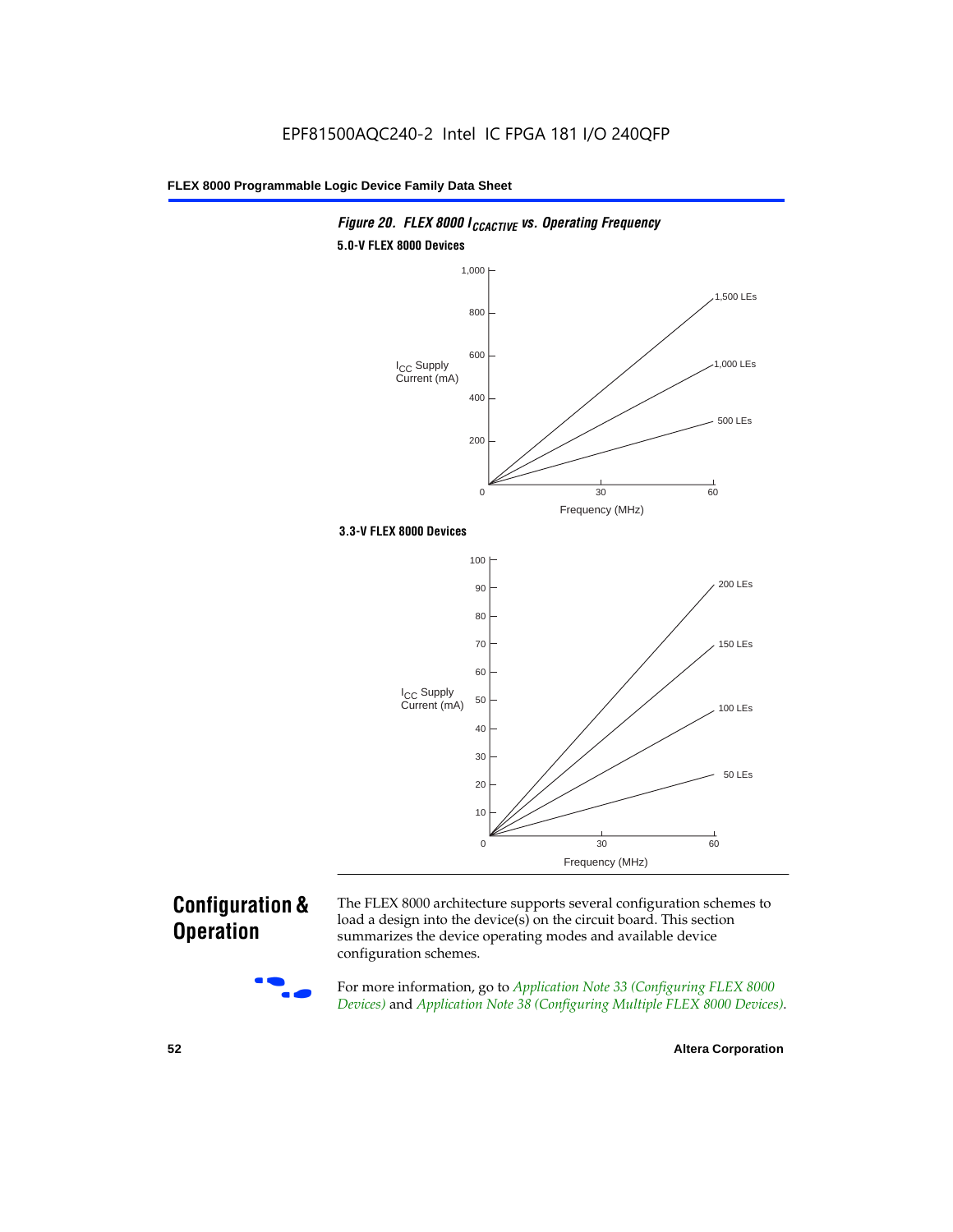

## **Configuration & Operation**

The FLEX 8000 architecture supports several configuration schemes to load a design into the device(s) on the circuit board. This section summarizes the device operating modes and available device configuration schemes.

For more information, go to *Application Note 33 (Configuring FLEX 8000 Devices)* and *Application Note 38 (Configuring Multiple FLEX 8000 Devices)*.

**52 Altera Corporation**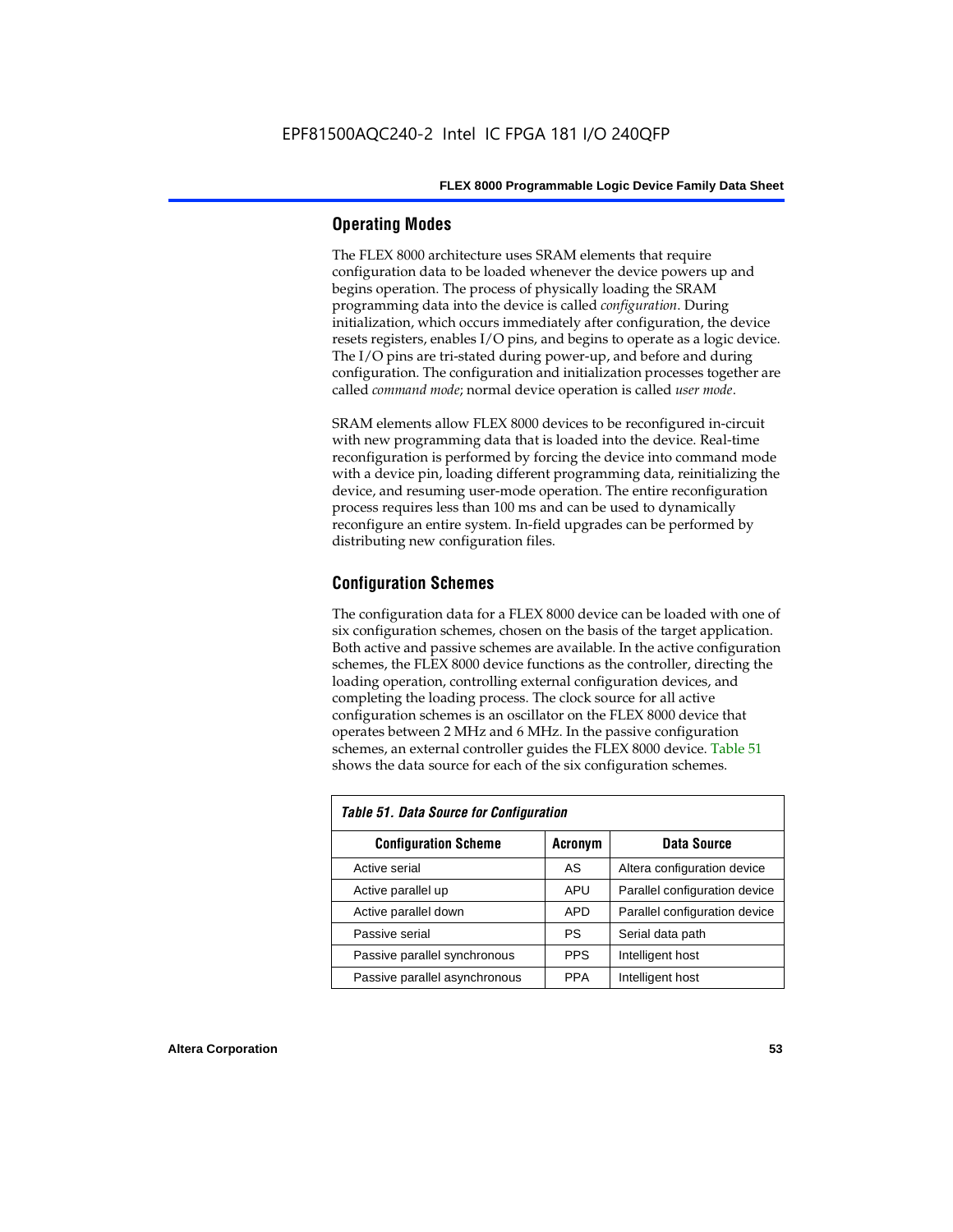## **Operating Modes**

The FLEX 8000 architecture uses SRAM elements that require configuration data to be loaded whenever the device powers up and begins operation. The process of physically loading the SRAM programming data into the device is called *configuration*. During initialization, which occurs immediately after configuration, the device resets registers, enables I/O pins, and begins to operate as a logic device. The I/O pins are tri-stated during power-up, and before and during configuration. The configuration and initialization processes together are called *command mode*; normal device operation is called *user mode*.

SRAM elements allow FLEX 8000 devices to be reconfigured in-circuit with new programming data that is loaded into the device. Real-time reconfiguration is performed by forcing the device into command mode with a device pin, loading different programming data, reinitializing the device, and resuming user-mode operation. The entire reconfiguration process requires less than 100 ms and can be used to dynamically reconfigure an entire system. In-field upgrades can be performed by distributing new configuration files.

## **Configuration Schemes**

The configuration data for a FLEX 8000 device can be loaded with one of six configuration schemes, chosen on the basis of the target application. Both active and passive schemes are available. In the active configuration schemes, the FLEX 8000 device functions as the controller, directing the loading operation, controlling external configuration devices, and completing the loading process. The clock source for all active configuration schemes is an oscillator on the FLEX 8000 device that operates between 2 MHz and 6 MHz. In the passive configuration schemes, an external controller guides the FLEX 8000 device. Table 51 shows the data source for each of the six configuration schemes.

| <b>Table 51. Data Source for Configuration</b> |             |                               |  |  |  |  |  |  |  |
|------------------------------------------------|-------------|-------------------------------|--|--|--|--|--|--|--|
| <b>Configuration Scheme</b>                    | Data Source |                               |  |  |  |  |  |  |  |
| Active serial                                  | AS          | Altera configuration device   |  |  |  |  |  |  |  |
| Active parallel up                             | <b>APU</b>  | Parallel configuration device |  |  |  |  |  |  |  |
| Active parallel down                           | <b>APD</b>  | Parallel configuration device |  |  |  |  |  |  |  |
| Passive serial                                 | PS          | Serial data path              |  |  |  |  |  |  |  |
| Passive parallel synchronous                   | <b>PPS</b>  | Intelligent host              |  |  |  |  |  |  |  |
| Passive parallel asynchronous                  | <b>PPA</b>  | Intelligent host              |  |  |  |  |  |  |  |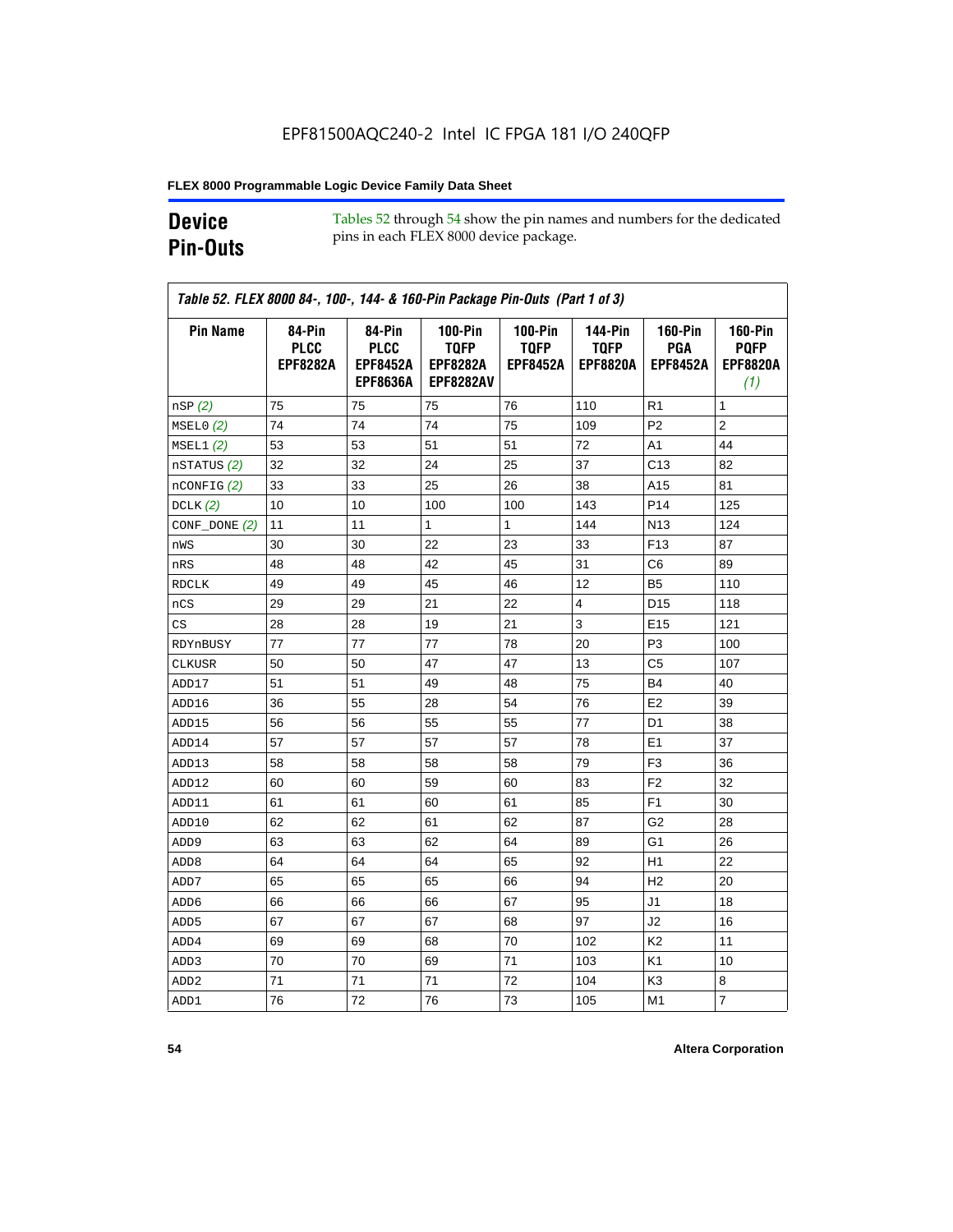## **Device Pin-Outs**

Tables 52 through 54 show the pin names and numbers for the dedicated pins in each FLEX 8000 device package.

| <b>Pin Name</b>  | 84-Pin<br><b>PLCC</b><br><b>EPF8282A</b> | 84-Pin<br><b>PLCC</b><br><b>EPF8452A</b><br><b>EPF8636A</b> | <b>100-Pin</b><br><b>TQFP</b><br><b>EPF8282A</b><br><b>EPF8282AV</b> | <b>100-Pin</b><br><b>TQFP</b><br><b>EPF8452A</b> | <b>144-Pin</b><br><b>TQFP</b><br><b>EPF8820A</b> | <b>160-Pin</b><br>PGA<br><b>EPF8452A</b> | <b>160-Pin</b><br><b>PQFP</b><br><b>EPF8820A</b><br>(1) |
|------------------|------------------------------------------|-------------------------------------------------------------|----------------------------------------------------------------------|--------------------------------------------------|--------------------------------------------------|------------------------------------------|---------------------------------------------------------|
| nSP(2)           | 75                                       | 75                                                          | 75                                                                   | 76                                               | 110                                              | R1                                       | 1                                                       |
| MSELO(2)         | 74                                       | 74                                                          | 74                                                                   | 75                                               | 109                                              | P <sub>2</sub>                           | $\overline{2}$                                          |
| MSEL1(2)         | 53                                       | 53                                                          | 51                                                                   | 51                                               | 72                                               | A <sub>1</sub>                           | 44                                                      |
| nSTATUS (2)      | 32                                       | 32                                                          | 24                                                                   | 25                                               | 37                                               | C13                                      | 82                                                      |
| $n$ CONFIG $(2)$ | 33                                       | 33                                                          | 25                                                                   | 26                                               | 38                                               | A15                                      | 81                                                      |
| DCLK $(2)$       | 10                                       | 10                                                          | 100                                                                  | 100                                              | 143                                              | P <sub>14</sub>                          | 125                                                     |
| $CONF\_DONE(2)$  | 11                                       | 11                                                          | 1                                                                    | 1                                                | 144                                              | N <sub>13</sub>                          | 124                                                     |
| nWS              | 30                                       | 30                                                          | 22                                                                   | 23                                               | 33                                               | F <sub>13</sub>                          | 87                                                      |
| nRS              | 48                                       | 48                                                          | 42                                                                   | 45                                               | 31                                               | C6                                       | 89                                                      |
| <b>RDCLK</b>     | 49                                       | 49                                                          | 45                                                                   | 46                                               | 12                                               | B5                                       | 110                                                     |
| nCS              | 29                                       | 29                                                          | 21                                                                   | 22                                               | $\overline{4}$                                   | D <sub>15</sub>                          | 118                                                     |
| CS               | 28                                       | 28                                                          | 19                                                                   | 21                                               | 3                                                | E <sub>15</sub>                          | 121                                                     |
| RDYnBUSY         | 77                                       | 77                                                          | 77                                                                   | 78                                               | 20                                               | P3                                       | 100                                                     |
| CLKUSR           | 50                                       | 50                                                          | 47                                                                   | 47                                               | 13                                               | C <sub>5</sub>                           | 107                                                     |
| ADD17            | 51                                       | 51                                                          | 49                                                                   | 48                                               | 75                                               | <b>B4</b>                                | 40                                                      |
| ADD16            | 36                                       | 55                                                          | 28                                                                   | 54                                               | 76                                               | E <sub>2</sub>                           | 39                                                      |
| ADD15            | 56                                       | 56                                                          | 55                                                                   | 55                                               | 77                                               | D <sub>1</sub>                           | 38                                                      |
| ADD14            | 57                                       | 57                                                          | 57                                                                   | 57                                               | 78                                               | E <sub>1</sub>                           | 37                                                      |
| ADD13            | 58                                       | 58                                                          | 58                                                                   | 58                                               | 79                                               | F <sub>3</sub>                           | 36                                                      |
| ADD12            | 60                                       | 60                                                          | 59                                                                   | 60                                               | 83                                               | F <sub>2</sub>                           | 32                                                      |
| ADD11            | 61                                       | 61                                                          | 60                                                                   | 61                                               | 85                                               | F <sub>1</sub>                           | 30                                                      |
| ADD10            | 62                                       | 62                                                          | 61                                                                   | 62                                               | 87                                               | G2                                       | 28                                                      |
| ADD <sub>9</sub> | 63                                       | 63                                                          | 62                                                                   | 64                                               | 89                                               | G1                                       | 26                                                      |
| ADD <sub>8</sub> | 64                                       | 64                                                          | 64                                                                   | 65                                               | 92                                               | H1                                       | 22                                                      |
| ADD7             | 65                                       | 65                                                          | 65                                                                   | 66                                               | 94                                               | H <sub>2</sub>                           | 20                                                      |
| ADD <sub>6</sub> | 66                                       | 66                                                          | 66                                                                   | 67                                               | 95                                               | J1                                       | 18                                                      |
| ADD <sub>5</sub> | 67                                       | 67                                                          | 67                                                                   | 68                                               | 97                                               | J2                                       | 16                                                      |
| ADD4             | 69                                       | 69                                                          | 68                                                                   | 70                                               | 102                                              | K <sub>2</sub>                           | 11                                                      |
| ADD3             | 70                                       | 70                                                          | 69                                                                   | 71                                               | 103                                              | K <sub>1</sub>                           | 10                                                      |
| ADD <sub>2</sub> | 71                                       | 71                                                          | 71                                                                   | 72                                               | 104                                              | K3                                       | 8                                                       |
| ADD1             | 76                                       | 72                                                          | 76                                                                   | 73                                               | 105                                              | M1                                       | $\overline{7}$                                          |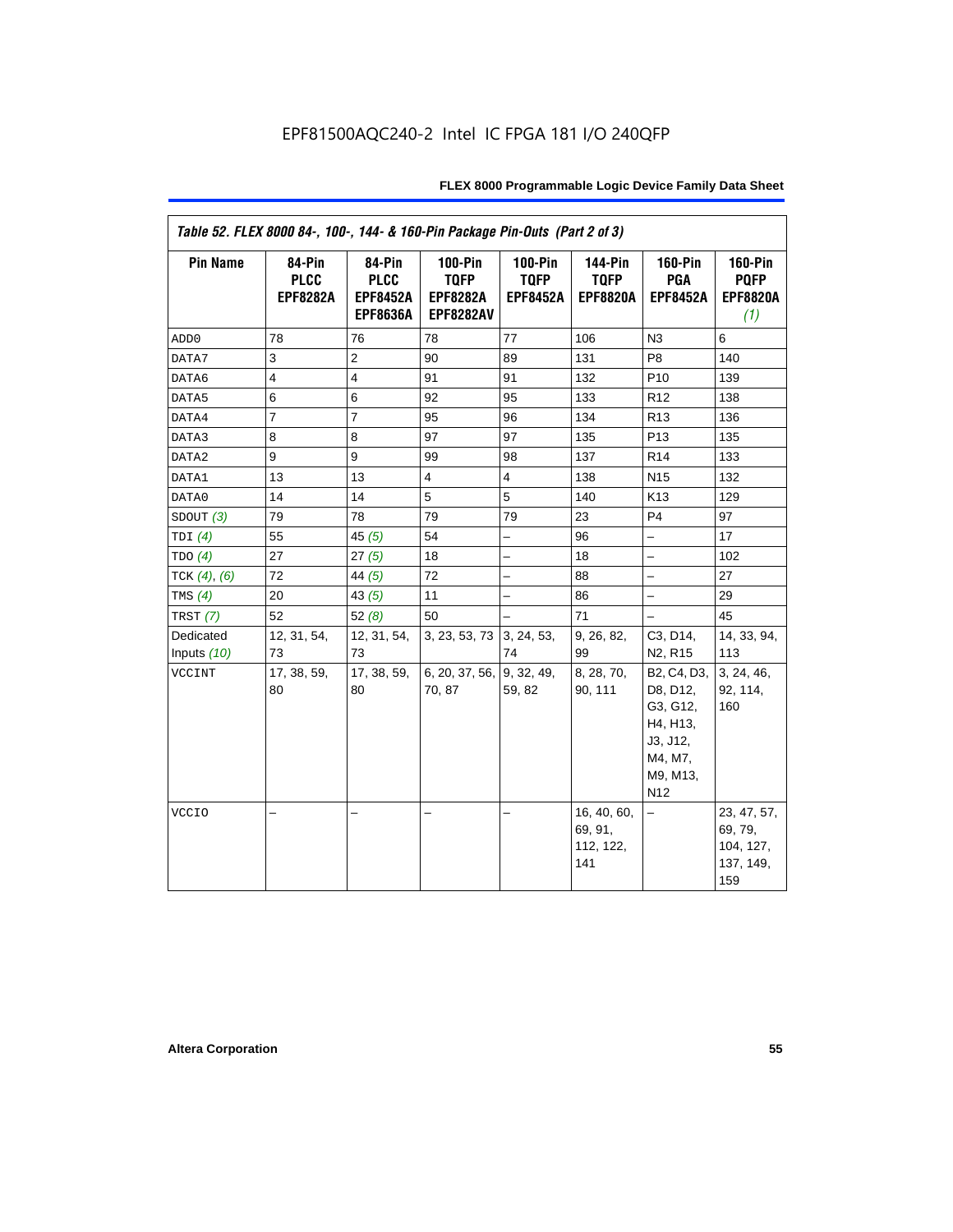| Table 52. FLEX 8000 84-, 100-, 144- & 160-Pin Package Pin-Outs (Part 2 of 3) |                                          |                                                             |                                                                      |                                                  |                                                  |                                                                                                       |                                                         |  |  |
|------------------------------------------------------------------------------|------------------------------------------|-------------------------------------------------------------|----------------------------------------------------------------------|--------------------------------------------------|--------------------------------------------------|-------------------------------------------------------------------------------------------------------|---------------------------------------------------------|--|--|
| <b>Pin Name</b>                                                              | 84-Pin<br><b>PLCC</b><br><b>EPF8282A</b> | 84-Pin<br><b>PLCC</b><br><b>EPF8452A</b><br><b>EPF8636A</b> | <b>100-Pin</b><br><b>TQFP</b><br><b>EPF8282A</b><br><b>EPF8282AV</b> | <b>100-Pin</b><br><b>TQFP</b><br><b>EPF8452A</b> | <b>144-Pin</b><br><b>TQFP</b><br><b>EPF8820A</b> | <b>160-Pin</b><br>PGA<br><b>EPF8452A</b>                                                              | <b>160-Pin</b><br><b>PQFP</b><br><b>EPF8820A</b><br>(1) |  |  |
| ADD <sub>0</sub>                                                             | 78                                       | 76                                                          | 78                                                                   | 77                                               | 106                                              | N3                                                                                                    | 6                                                       |  |  |
| DATA7                                                                        | 3                                        | $\overline{c}$                                              | 90                                                                   | 89                                               | 131                                              | P <sub>8</sub>                                                                                        | 140                                                     |  |  |
| DATA6                                                                        | $\overline{\mathbf{4}}$                  | $\overline{4}$                                              | 91                                                                   | 91                                               | 132                                              | P <sub>10</sub>                                                                                       | 139                                                     |  |  |
| DATA5                                                                        | 6                                        | 6                                                           | 92                                                                   | 95                                               | 133                                              | R <sub>12</sub>                                                                                       | 138                                                     |  |  |
| DATA4                                                                        | $\overline{7}$                           | $\overline{7}$                                              | 95                                                                   | 96                                               | 134                                              | R <sub>13</sub>                                                                                       | 136                                                     |  |  |
| DATA3                                                                        | 8                                        | 8                                                           | 97                                                                   | 97                                               | 135                                              | P <sub>13</sub>                                                                                       | 135                                                     |  |  |
| DATA2                                                                        | $\boldsymbol{9}$                         | 9                                                           | 99                                                                   | 98                                               | 137                                              | R <sub>14</sub>                                                                                       | 133                                                     |  |  |
| DATA1                                                                        | 13                                       | 13                                                          | $\overline{4}$                                                       | $\overline{4}$                                   | 138                                              | N <sub>15</sub>                                                                                       | 132                                                     |  |  |
| DATA0                                                                        | 14                                       | 14                                                          | 5                                                                    | 5                                                | 140                                              | K13                                                                                                   | 129                                                     |  |  |
| SDOUT $(3)$                                                                  | 79                                       | 78                                                          | 79                                                                   | 79                                               | 23                                               | P <sub>4</sub>                                                                                        | 97                                                      |  |  |
| TDI $(4)$                                                                    | 55                                       | 45 $(5)$                                                    | 54                                                                   | ÷,                                               | 96                                               | $\overline{\phantom{0}}$                                                                              | 17                                                      |  |  |
| TDO(4)                                                                       | 27                                       | 27(5)                                                       | 18                                                                   | $\overline{\phantom{0}}$                         | 18                                               | $-$                                                                                                   | 102                                                     |  |  |
| TCK $(4)$ , $(6)$                                                            | 72                                       | 44 $(5)$                                                    | 72                                                                   | $\overline{a}$                                   | 88                                               | $\equiv$                                                                                              | 27                                                      |  |  |
| TMS $(4)$                                                                    | 20                                       | 43 $(5)$                                                    | 11                                                                   | $\overline{\phantom{0}}$                         | 86                                               | $\overline{\phantom{0}}$                                                                              | 29                                                      |  |  |
| TRST $(7)$                                                                   | 52                                       | 52(8)                                                       | 50                                                                   |                                                  | 71                                               | $\equiv$                                                                                              | 45                                                      |  |  |
| Dedicated                                                                    | 12, 31, 54,                              | 12, 31, 54,                                                 | 3, 23, 53, 73 3, 24, 53,                                             |                                                  | 9, 26, 82,                                       | C3, D14,                                                                                              | 14, 33, 94,                                             |  |  |
| Inputs (10)                                                                  | 73                                       | 73                                                          |                                                                      | 74                                               | 99                                               | N <sub>2</sub> , R <sub>15</sub>                                                                      | 113                                                     |  |  |
| VCCINT                                                                       | 17, 38, 59,<br>80                        | 17, 38, 59,<br>80                                           | 6, 20, 37, 56, 9, 32, 49,<br>70.87                                   | 59, 82                                           | 8, 28, 70,<br>90, 111                            | B2, C4, D3,<br>D8, D12,<br>G3, G12,<br>H4, H13,<br>J3, J12,<br>M4, M7,<br>M9, M13,<br>N <sub>12</sub> | 3, 24, 46,<br>92, 114,<br>160                           |  |  |
| <b>VCCIO</b>                                                                 |                                          |                                                             | -                                                                    |                                                  | 16, 40, 60,<br>69, 91,<br>112, 122,<br>141       | -                                                                                                     | 23, 47, 57,<br>69, 79,<br>104, 127,<br>137, 149,<br>159 |  |  |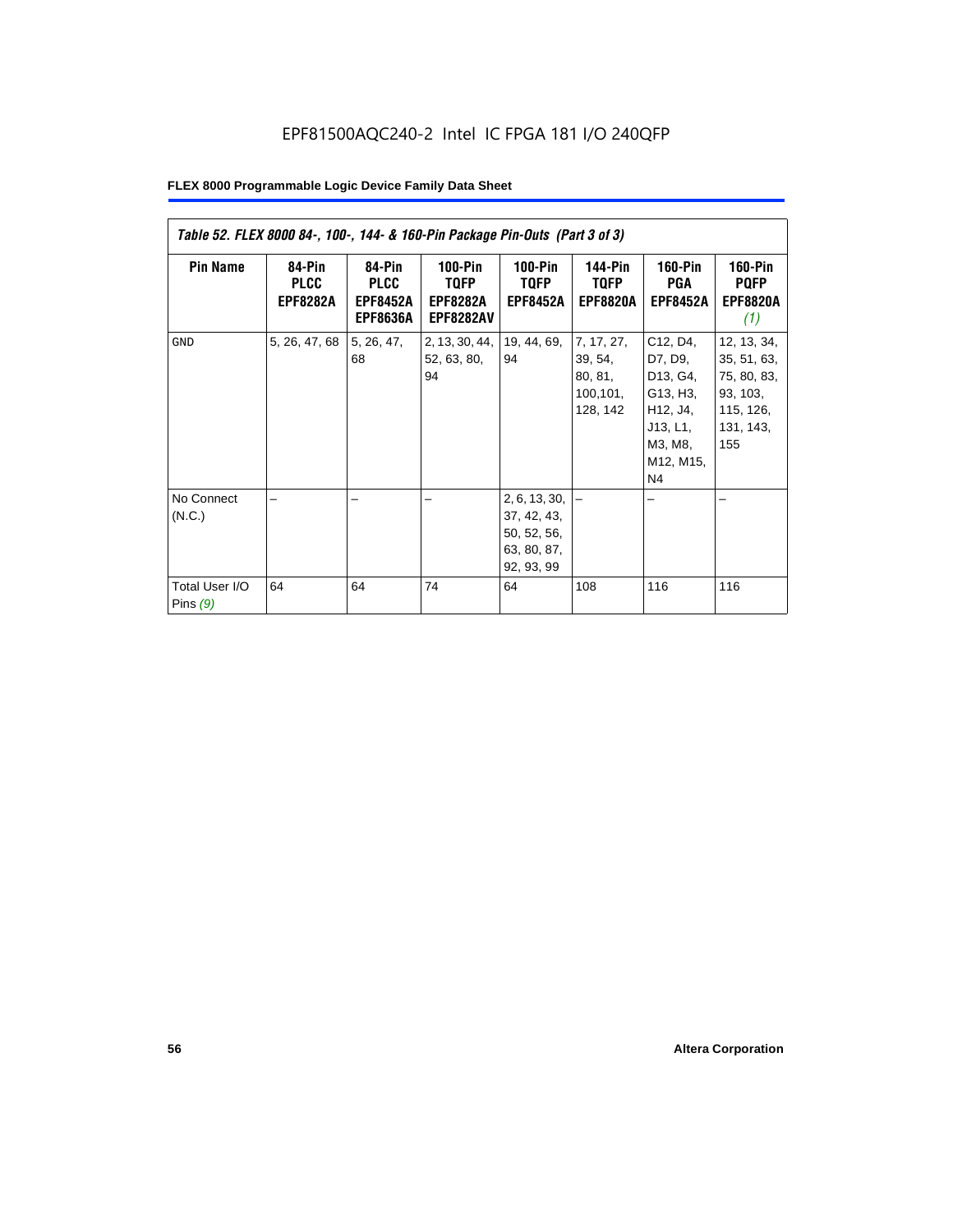| Table 52. FLEX 8000 84-, 100-, 144- & 160-Pin Package Pin-Outs (Part 3 of 3) |                                          |                                                             |                                                          |                                                                                |                                                           |                                                                                                               |                                                                                        |  |  |
|------------------------------------------------------------------------------|------------------------------------------|-------------------------------------------------------------|----------------------------------------------------------|--------------------------------------------------------------------------------|-----------------------------------------------------------|---------------------------------------------------------------------------------------------------------------|----------------------------------------------------------------------------------------|--|--|
| <b>Pin Name</b>                                                              | 84-Pin<br><b>PLCC</b><br><b>EPF8282A</b> | 84-Pin<br><b>PLCC</b><br><b>EPF8452A</b><br><b>EPF8636A</b> | $100-Pin$<br>TQFP<br><b>EPF8282A</b><br><b>EPF8282AV</b> | $100-Pin$<br><b>TQFP</b><br><b>EPF8452A</b>                                    | <b>144-Pin</b><br><b>TQFP</b><br><b>EPF8820A</b>          | <b>160-Pin</b><br>PGA<br><b>EPF8452A</b>                                                                      | <b>160-Pin</b><br><b>PQFP</b><br><b>EPF8820A</b><br>(1)                                |  |  |
| <b>GND</b>                                                                   | 5, 26, 47, 68                            | 5, 26, 47,<br>68                                            | 2, 13, 30, 44,<br>52, 63, 80,<br>94                      | 19, 44, 69,<br>94                                                              | 7, 17, 27,<br>39, 54,<br>80, 81,<br>100, 101,<br>128, 142 | C12, D4,<br>D7, D9,<br>D13, G4,<br>G13, H3,<br>H12, J4,<br>J13, L1,<br>M3, M8,<br>M12, M15,<br>N <sub>4</sub> | 12, 13, 34,<br>35, 51, 63,<br>75, 80, 83,<br>93, 103,<br>115, 126,<br>131, 143,<br>155 |  |  |
| No Connect<br>(N.C.)<br>Total User I/O<br>Pins $(9)$                         | 64                                       | 64                                                          | 74                                                       | 2, 6, 13, 30,<br>37, 42, 43,<br>50, 52, 56,<br>63, 80, 87,<br>92, 93, 99<br>64 | 108                                                       | 116                                                                                                           | 116                                                                                    |  |  |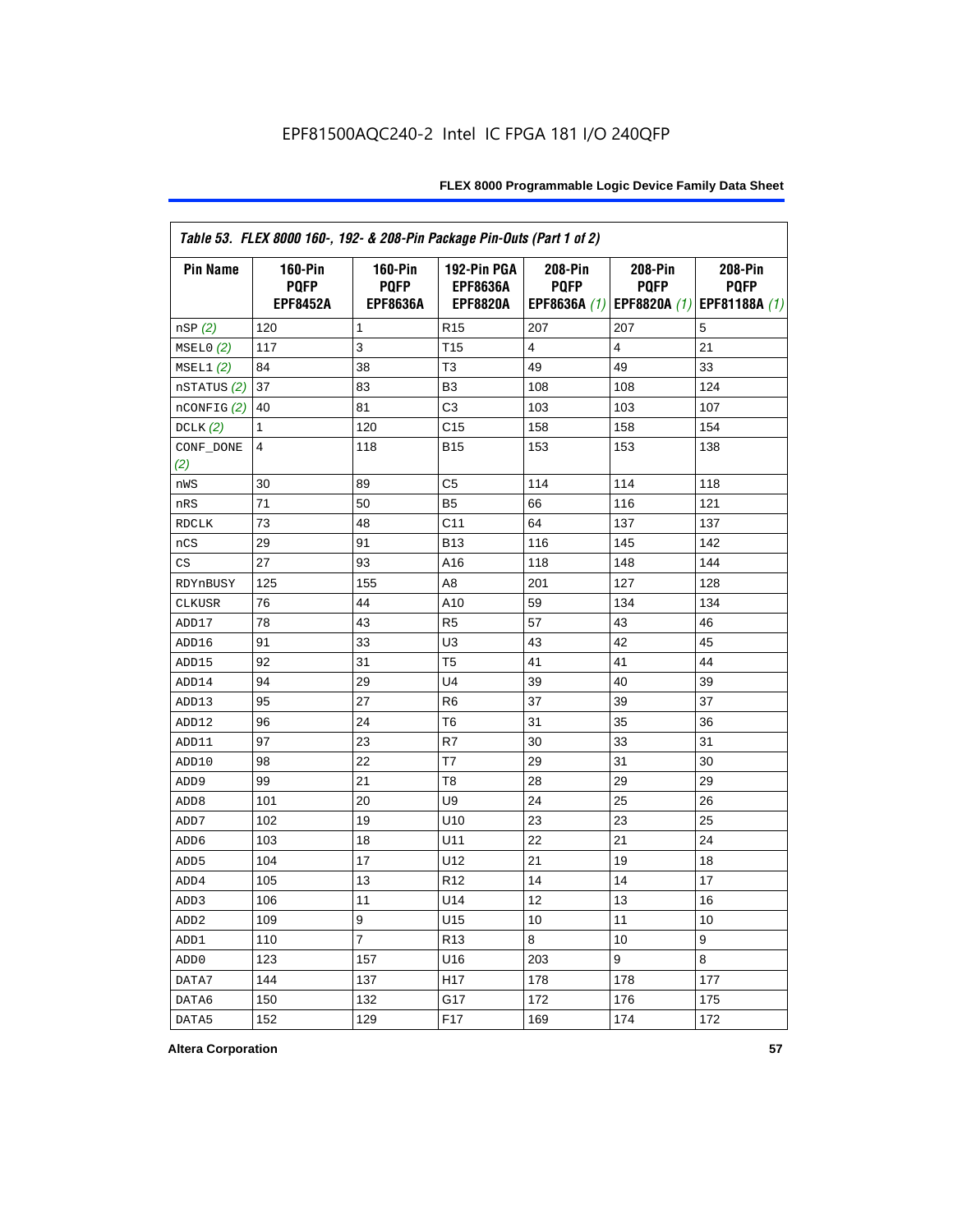| Table 53. FLEX 8000 160-, 192- & 208-Pin Package Pin-Outs (Part 1 of 2) |                                                  |                                                  |                                                   |                        |                        |                                                                   |
|-------------------------------------------------------------------------|--------------------------------------------------|--------------------------------------------------|---------------------------------------------------|------------------------|------------------------|-------------------------------------------------------------------|
| <b>Pin Name</b>                                                         | <b>160-Pin</b><br><b>PQFP</b><br><b>EPF8452A</b> | <b>160-Pin</b><br><b>PQFP</b><br><b>EPF8636A</b> | 192-Pin PGA<br><b>EPF8636A</b><br><b>EPF8820A</b> | 208-Pin<br><b>PQFP</b> | 208-Pin<br><b>PQFP</b> | 208-Pin<br><b>PQFP</b><br>EPF8636A (1) EPF8820A (1) EPF81188A (1) |
| nSP (2)                                                                 | 120                                              | 1                                                | R <sub>15</sub>                                   | 207                    | 207                    | 5                                                                 |
| MSELO(2)                                                                | 117                                              | 3                                                | T <sub>15</sub>                                   | 4                      | $\overline{4}$         | 21                                                                |
| MSEL1(2)                                                                | 84                                               | 38                                               | T <sub>3</sub>                                    | 49                     | 49                     | 33                                                                |
| nSTATUS (2)                                                             | 37                                               | 83                                               | B <sub>3</sub>                                    | 108                    | 108                    | 124                                                               |
| nCONFIG <sup>(2)</sup>                                                  | 40                                               | 81                                               | C3                                                | 103                    | 103                    | 107                                                               |
| DCLK(2)                                                                 | 1                                                | 120                                              | C <sub>15</sub>                                   | 158                    | 158                    | 154                                                               |
| CONF_DONE<br>(2)                                                        | 4                                                | 118                                              | <b>B15</b>                                        | 153                    | 153                    | 138                                                               |
| nWS                                                                     | 30                                               | 89                                               | C <sub>5</sub>                                    | 114                    | 114                    | 118                                                               |
| nRS                                                                     | 71                                               | 50                                               | B <sub>5</sub>                                    | 66                     | 116                    | 121                                                               |
| <b>RDCLK</b>                                                            | 73                                               | 48                                               | C <sub>11</sub>                                   | 64                     | 137                    | 137                                                               |
| nCS                                                                     | 29                                               | 91                                               | <b>B13</b>                                        | 116                    | 145                    | 142                                                               |
| CS                                                                      | 27                                               | 93                                               | A16                                               | 118                    | 148                    | 144                                                               |
| RDYnBUSY                                                                | 125                                              | 155                                              | A <sub>8</sub>                                    | 201                    | 127                    | 128                                                               |
| CLKUSR                                                                  | 76                                               | 44                                               | A10                                               | 59                     | 134                    | 134                                                               |
| ADD17                                                                   | 78                                               | 43                                               | R <sub>5</sub>                                    | 57                     | 43                     | 46                                                                |
| ADD16                                                                   | 91                                               | 33                                               | U <sub>3</sub>                                    | 43                     | 42                     | 45                                                                |
| ADD15                                                                   | 92                                               | 31                                               | T <sub>5</sub>                                    | 41                     | 41                     | 44                                                                |
| ADD14                                                                   | 94                                               | 29                                               | U <sub>4</sub>                                    | 39                     | 40                     | 39                                                                |
| ADD13                                                                   | 95                                               | 27                                               | R <sub>6</sub>                                    | 37                     | 39                     | 37                                                                |
| ADD12                                                                   | 96                                               | 24                                               | T6                                                | 31                     | 35                     | 36                                                                |
| ADD11                                                                   | 97                                               | 23                                               | R7                                                | 30                     | 33                     | 31                                                                |
| ADD10                                                                   | 98                                               | 22                                               | T7                                                | 29                     | 31                     | 30                                                                |
| ADD <sub>9</sub>                                                        | 99                                               | 21                                               | T <sub>8</sub>                                    | 28                     | 29                     | 29                                                                |
| ADD <sub>8</sub>                                                        | 101                                              | 20                                               | U9                                                | 24                     | 25                     | 26                                                                |
| ADD7                                                                    | 102                                              | 19                                               | U10                                               | 23                     | 23                     | 25                                                                |
| ADD6                                                                    | 103                                              | 18                                               | U11                                               | 22                     | 21                     | 24                                                                |
| ADD <sub>5</sub>                                                        | 104                                              | 17                                               | U12                                               | 21                     | 19                     | 18                                                                |
| ADD4                                                                    | 105                                              | 13                                               | R <sub>12</sub>                                   | 14                     | 14                     | 17                                                                |
| ADD <sub>3</sub>                                                        | 106                                              | 11                                               | U14                                               | 12                     | 13                     | 16                                                                |
| ADD <sub>2</sub>                                                        | 109                                              | 9                                                | U15                                               | 10                     | 11                     | 10                                                                |
| ADD1                                                                    | 110                                              | $\overline{7}$                                   | R <sub>13</sub>                                   | 8                      | 10                     | 9                                                                 |
| ADD <sub>0</sub>                                                        | 123                                              | 157                                              | U16                                               | 203                    | 9                      | 8                                                                 |
| DATA7                                                                   | 144                                              | 137                                              | H <sub>17</sub>                                   | 178                    | 178                    | 177                                                               |
| DATA6                                                                   | 150                                              | 132                                              | G17                                               | 172                    | 176                    | 175                                                               |
| DATA5                                                                   | 152                                              | 129                                              | F <sub>17</sub>                                   | 169                    | 174                    | 172                                                               |

**Altera Corporation 57**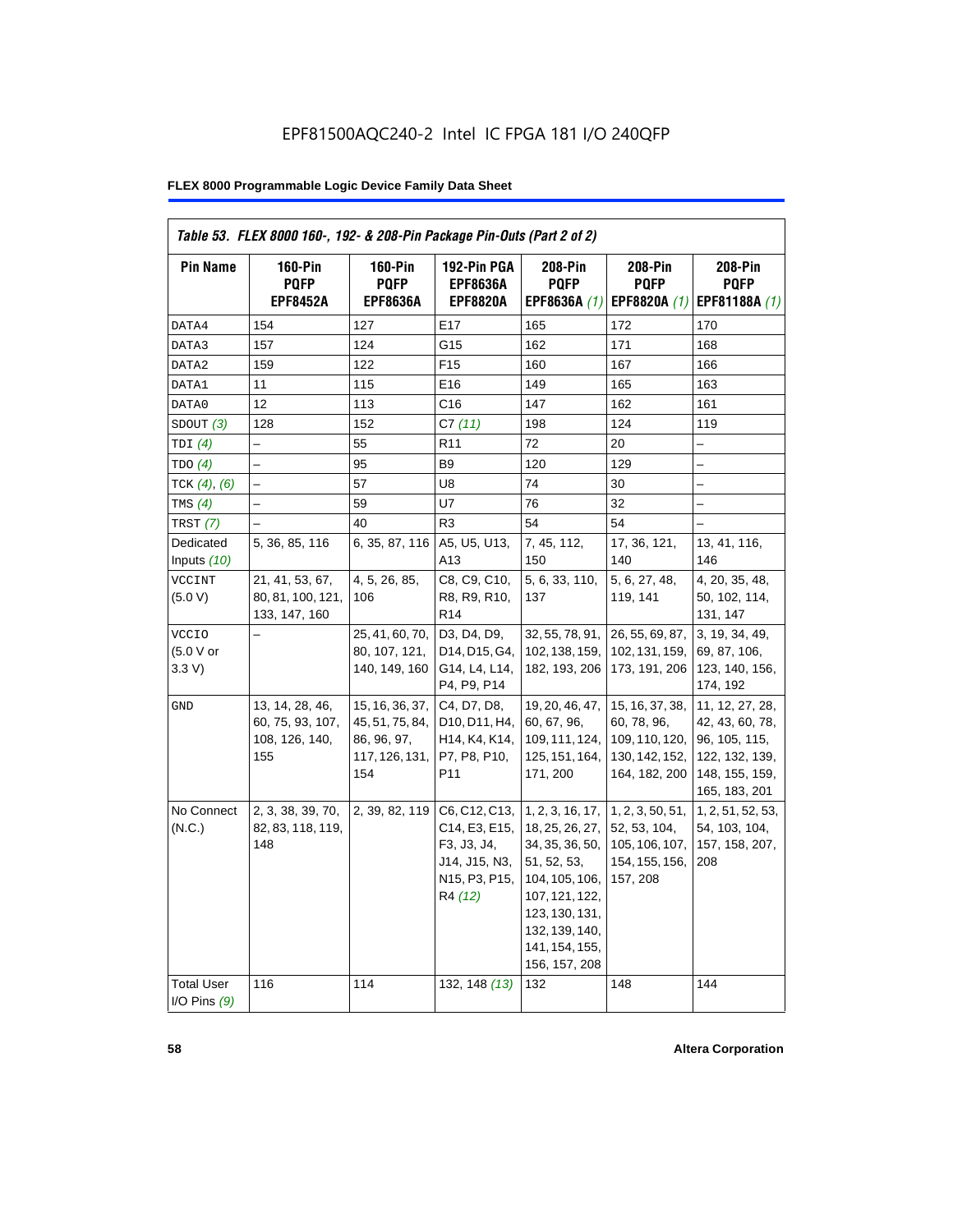| <b>Pin Name</b>                     | <b>160-Pin</b><br><b>PQFP</b>                                | $160-Pin$<br><b>PQFP</b>                                                   | 192-Pin PGA<br><b>EPF8636A</b>                                                                                                    | 208-Pin<br><b>PQFP</b>                                                                                                                                                           | 208-Pin<br><b>PQFP</b>                                                              | 208-Pin<br><b>PQFP</b>                                                                                   |
|-------------------------------------|--------------------------------------------------------------|----------------------------------------------------------------------------|-----------------------------------------------------------------------------------------------------------------------------------|----------------------------------------------------------------------------------------------------------------------------------------------------------------------------------|-------------------------------------------------------------------------------------|----------------------------------------------------------------------------------------------------------|
|                                     | <b>EPF8452A</b>                                              | <b>EPF8636A</b>                                                            | <b>EPF8820A</b>                                                                                                                   | EPF8636A (1)                                                                                                                                                                     | EPF8820A (1)                                                                        | EPF81188A (1)                                                                                            |
| DATA4                               | 154                                                          | 127                                                                        | E17                                                                                                                               | 165                                                                                                                                                                              | 172                                                                                 | 170                                                                                                      |
| DATA3                               | 157                                                          | 124                                                                        | G15                                                                                                                               | 162                                                                                                                                                                              | 171                                                                                 | 168                                                                                                      |
| DATA2                               | 159                                                          | 122                                                                        | F <sub>15</sub>                                                                                                                   | 160                                                                                                                                                                              | 167                                                                                 | 166                                                                                                      |
| DATA1                               | 11                                                           | 115                                                                        | E16                                                                                                                               | 149                                                                                                                                                                              | 165                                                                                 | 163                                                                                                      |
| DATA0                               | 12                                                           | 113                                                                        | C <sub>16</sub>                                                                                                                   | 147                                                                                                                                                                              | 162                                                                                 | 161                                                                                                      |
| SDOUT(3)                            | 128                                                          | 152                                                                        | C7(11)                                                                                                                            | 198                                                                                                                                                                              | 124                                                                                 | 119                                                                                                      |
| TDI(4)                              | $\overline{\phantom{0}}$                                     | 55                                                                         | R <sub>11</sub>                                                                                                                   | 72                                                                                                                                                                               | 20                                                                                  |                                                                                                          |
| TDO(4)                              |                                                              | 95                                                                         | B <sub>9</sub>                                                                                                                    | 120                                                                                                                                                                              | 129                                                                                 |                                                                                                          |
| TCK $(4)$ , $(6)$                   |                                                              | 57                                                                         | U8                                                                                                                                | 74                                                                                                                                                                               | 30                                                                                  |                                                                                                          |
| TMS $(4)$                           |                                                              | 59                                                                         | U7                                                                                                                                | 76                                                                                                                                                                               | 32                                                                                  | $\overline{\phantom{0}}$                                                                                 |
| TRST $(7)$                          |                                                              | 40                                                                         | R <sub>3</sub>                                                                                                                    | 54                                                                                                                                                                               | 54                                                                                  |                                                                                                          |
| Dedicated<br>Inputs $(10)$          | 5, 36, 85, 116                                               | 6, 35, 87, 116                                                             | A5, U5, U13,<br>A13                                                                                                               | 7, 45, 112,<br>150                                                                                                                                                               | 17, 36, 121,<br>140                                                                 | 13, 41, 116,<br>146                                                                                      |
| <b>VCCINT</b><br>(5.0 V)            | 21, 41, 53, 67,<br>80, 81, 100, 121,<br>133, 147, 160        | 4, 5, 26, 85,<br>106                                                       | C8, C9, C10,<br>R8, R9, R10,<br>R <sub>14</sub>                                                                                   | 5, 6, 33, 110,<br>137                                                                                                                                                            | 5, 6, 27, 48,<br>119, 141                                                           | 4, 20, 35, 48,<br>50, 102, 114,<br>131, 147                                                              |
| <b>VCCIO</b><br>(5.0 V or<br>3.3 V  |                                                              | 25, 41, 60, 70,<br>80, 107, 121,<br>140, 149, 160                          | D3, D4, D9,<br>D14, D15, G4,<br>G14, L4, L14,<br>P4, P9, P14                                                                      | 32, 55, 78, 91,<br>102, 138, 159,<br>182, 193, 206                                                                                                                               | 26, 55, 69, 87,<br>102, 131, 159,<br>173, 191, 206                                  | 3, 19, 34, 49,<br>69, 87, 106,<br>123, 140, 156,<br>174, 192                                             |
| GND                                 | 13, 14, 28, 46,<br>60, 75, 93, 107,<br>108, 126, 140,<br>155 | 15, 16, 36, 37,<br>45, 51, 75, 84,<br>86, 96, 97,<br>117, 126, 131,<br>154 | C4, D7, D8,<br>D10, D11, H4,<br>H <sub>14</sub> , K <sub>4</sub> , K <sub>14</sub> ,<br>P7, P8, P10,<br>P <sub>11</sub>           | 19, 20, 46, 47,<br>60, 67, 96,<br>109, 111, 124,<br>125, 151, 164,<br>171, 200                                                                                                   | 15, 16, 37, 38,<br>60, 78, 96,<br>109, 110, 120,<br>130, 142, 152,<br>164, 182, 200 | 11, 12, 27, 28,<br>42, 43, 60, 78,<br>96, 105, 115,<br>122, 132, 139,<br>148, 155, 159,<br>165, 183, 201 |
| No Connect<br>(N.C.)                | 2, 3, 38, 39, 70,<br>82, 83, 118, 119,<br>148                | 2, 39, 82, 119                                                             | C6, C12, C13,<br>C14, E3, E15,<br>F3, J3, J4,<br>J14, J15, N3,<br>N <sub>15</sub> , P <sub>3</sub> , P <sub>15</sub> ,<br>R4 (12) | 1, 2, 3, 16, 17,<br>18, 25, 26, 27,<br>34, 35, 36, 50,<br>51, 52, 53,<br>104, 105, 106,<br>107, 121, 122,<br>123, 130, 131,<br>132, 139, 140,<br>141, 154, 155,<br>156, 157, 208 | 1, 2, 3, 50, 51,<br>52, 53, 104,<br>105, 106, 107,<br>154, 155, 156,<br>157, 208    | 1, 2, 51, 52, 53,<br>54, 103, 104,<br>157, 158, 207,<br>208                                              |
| <b>Total User</b><br>I/O Pins $(9)$ | 116                                                          | 114                                                                        | 132, 148 (13)                                                                                                                     | 132                                                                                                                                                                              | 148                                                                                 | 144                                                                                                      |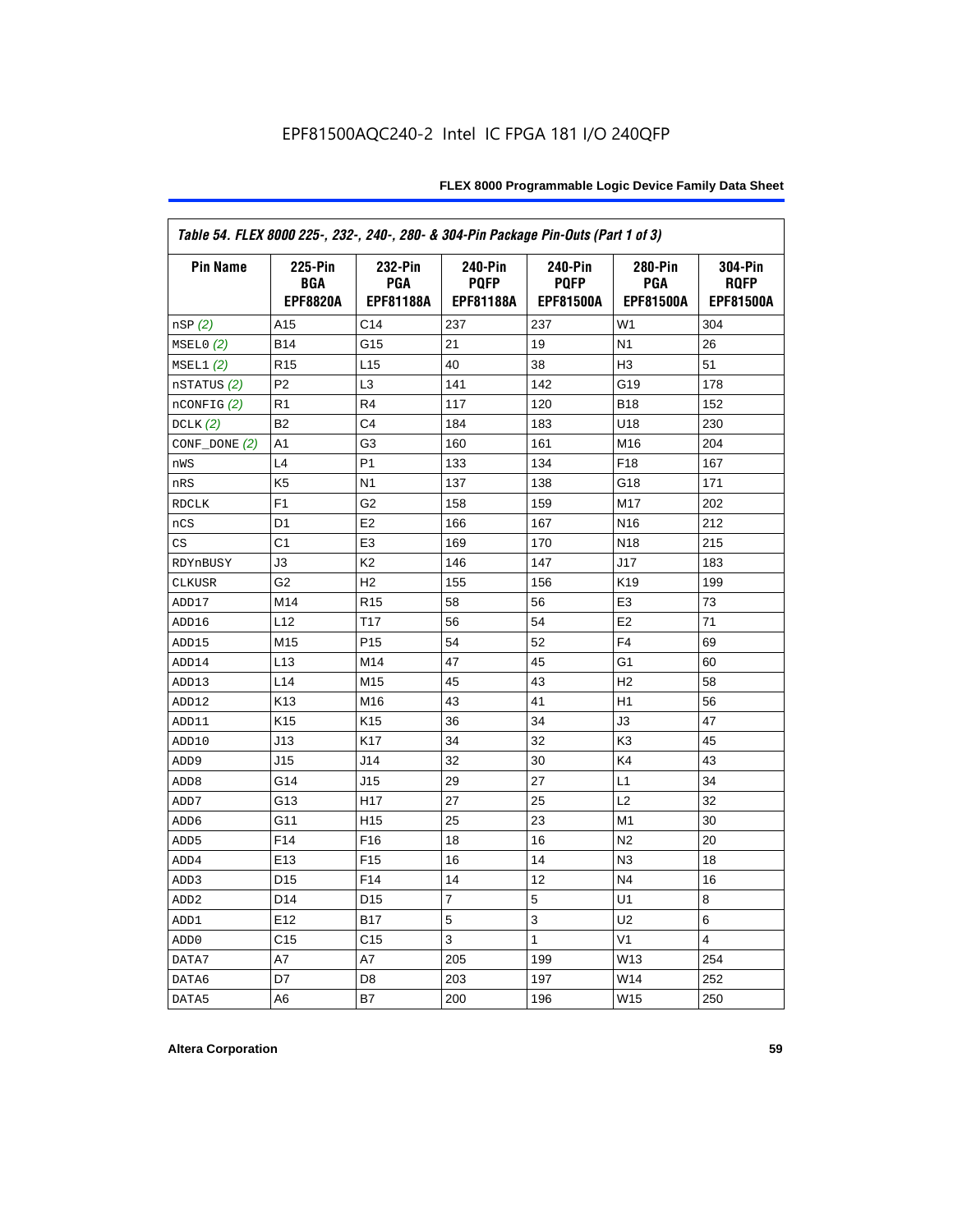| Table 54. FLEX 8000 225-, 232-, 240-, 280- & 304-Pin Package Pin-Outs (Part 1 of 3) |                                                 |                                           |                                                   |                                                   |                                    |                                            |
|-------------------------------------------------------------------------------------|-------------------------------------------------|-------------------------------------------|---------------------------------------------------|---------------------------------------------------|------------------------------------|--------------------------------------------|
| <b>Pin Name</b>                                                                     | <b>225-Pin</b><br><b>BGA</b><br><b>EPF8820A</b> | 232-Pin<br><b>PGA</b><br><b>EPF81188A</b> | <b>240-Pin</b><br><b>PQFP</b><br><b>EPF81188A</b> | <b>240-Pin</b><br><b>PQFP</b><br><b>EPF81500A</b> | 280-Pin<br><b>PGA</b><br>EPF81500A | 304-Pin<br><b>ROFP</b><br><b>EPF81500A</b> |
| nSP(2)                                                                              | A15                                             | C <sub>14</sub>                           | 237                                               | 237                                               | W <sub>1</sub>                     | 304                                        |
| MSELO(2)                                                                            | <b>B14</b>                                      | G15                                       | 21                                                | 19                                                | N <sub>1</sub>                     | 26                                         |
| MSEL1(2)                                                                            | R <sub>15</sub>                                 | L <sub>15</sub>                           | 40                                                | 38                                                | H <sub>3</sub>                     | 51                                         |
| nSTATUS (2)                                                                         | P <sub>2</sub>                                  | L <sub>3</sub>                            | 141                                               | 142                                               | G19                                | 178                                        |
| $n$ CONFIG $(2)$                                                                    | R <sub>1</sub>                                  | R <sub>4</sub>                            | 117                                               | 120                                               | <b>B18</b>                         | 152                                        |
| DCLK $(2)$                                                                          | B <sub>2</sub>                                  | C <sub>4</sub>                            | 184                                               | 183                                               | U18                                | 230                                        |
| $CONF\_DONE(2)$                                                                     | A1                                              | G3                                        | 160                                               | 161                                               | M16                                | 204                                        |
| nWS                                                                                 | L4                                              | P <sub>1</sub>                            | 133                                               | 134                                               | F <sub>18</sub>                    | 167                                        |
| nRS                                                                                 | K <sub>5</sub>                                  | N <sub>1</sub>                            | 137                                               | 138                                               | G18                                | 171                                        |
| <b>RDCLK</b>                                                                        | F <sub>1</sub>                                  | G <sub>2</sub>                            | 158                                               | 159                                               | M17                                | 202                                        |
| nCS                                                                                 | D <sub>1</sub>                                  | E <sub>2</sub>                            | 166                                               | 167                                               | N <sub>16</sub>                    | 212                                        |
| CS                                                                                  | C <sub>1</sub>                                  | E <sub>3</sub>                            | 169                                               | 170                                               | N <sub>18</sub>                    | 215                                        |
| RDYnBUSY                                                                            | J3                                              | K <sub>2</sub>                            | 146                                               | 147                                               | J17                                | 183                                        |
| <b>CLKUSR</b>                                                                       | G <sub>2</sub>                                  | H <sub>2</sub>                            | 155                                               | 156                                               | K <sub>19</sub>                    | 199                                        |
| ADD17                                                                               | M14                                             | R <sub>15</sub>                           | 58                                                | 56                                                | E <sub>3</sub>                     | 73                                         |
| ADD16                                                                               | L12                                             | T <sub>17</sub>                           | 56                                                | 54                                                | E <sub>2</sub>                     | 71                                         |
| ADD15                                                                               | M15                                             | P <sub>15</sub>                           | 54                                                | 52                                                | F4                                 | 69                                         |
| ADD14                                                                               | L13                                             | M14                                       | 47                                                | 45                                                | G1                                 | 60                                         |
| ADD13                                                                               | L <sub>14</sub>                                 | M15                                       | 45                                                | 43                                                | H <sub>2</sub>                     | 58                                         |
| ADD12                                                                               | K <sub>13</sub>                                 | M16                                       | 43                                                | 41                                                | H1                                 | 56                                         |
| ADD11                                                                               | K <sub>15</sub>                                 | K <sub>15</sub>                           | 36                                                | 34                                                | JЗ                                 | 47                                         |
| ADD10                                                                               | J13                                             | K <sub>17</sub>                           | 34                                                | 32                                                | K <sub>3</sub>                     | 45                                         |
| ADD <sub>9</sub>                                                                    | J15                                             | J14                                       | 32                                                | 30                                                | K4                                 | 43                                         |
| ADD <sub>8</sub>                                                                    | G14                                             | J15                                       | 29                                                | 27                                                | L1                                 | 34                                         |
| ADD7                                                                                | G13                                             | H <sub>17</sub>                           | 27                                                | 25                                                | L2                                 | 32                                         |
| ADD <sub>6</sub>                                                                    | G11                                             | H <sub>15</sub>                           | 25                                                | 23                                                | M1                                 | 30                                         |
| ADD <sub>5</sub>                                                                    | F <sub>14</sub>                                 | F <sub>16</sub>                           | 18                                                | 16                                                | N <sub>2</sub>                     | 20                                         |
| ADD4                                                                                | E <sub>13</sub>                                 | F <sub>15</sub>                           | 16                                                | 14                                                | N <sub>3</sub>                     | 18                                         |
| ADD3                                                                                | D <sub>15</sub>                                 | F <sub>14</sub>                           | 14                                                | 12                                                | N <sub>4</sub>                     | 16                                         |
| ADD <sub>2</sub>                                                                    | D <sub>14</sub>                                 | D <sub>15</sub>                           | 7                                                 | 5                                                 | U <sub>1</sub>                     | 8                                          |
| ADD1                                                                                | E12                                             | <b>B17</b>                                | 5                                                 | 3                                                 | U2                                 | 6                                          |
| ADD <sub>0</sub>                                                                    | C <sub>15</sub>                                 | C <sub>15</sub>                           | 3                                                 | 1                                                 | V <sub>1</sub>                     | 4                                          |
| DATA7                                                                               | A7                                              | A7                                        | 205                                               | 199                                               | W13                                | 254                                        |
| DATA6                                                                               | D7                                              | D8                                        | 203                                               | 197                                               | W14                                | 252                                        |
| DATA5                                                                               | A6                                              | B7                                        | 200                                               | 196                                               | W15                                | 250                                        |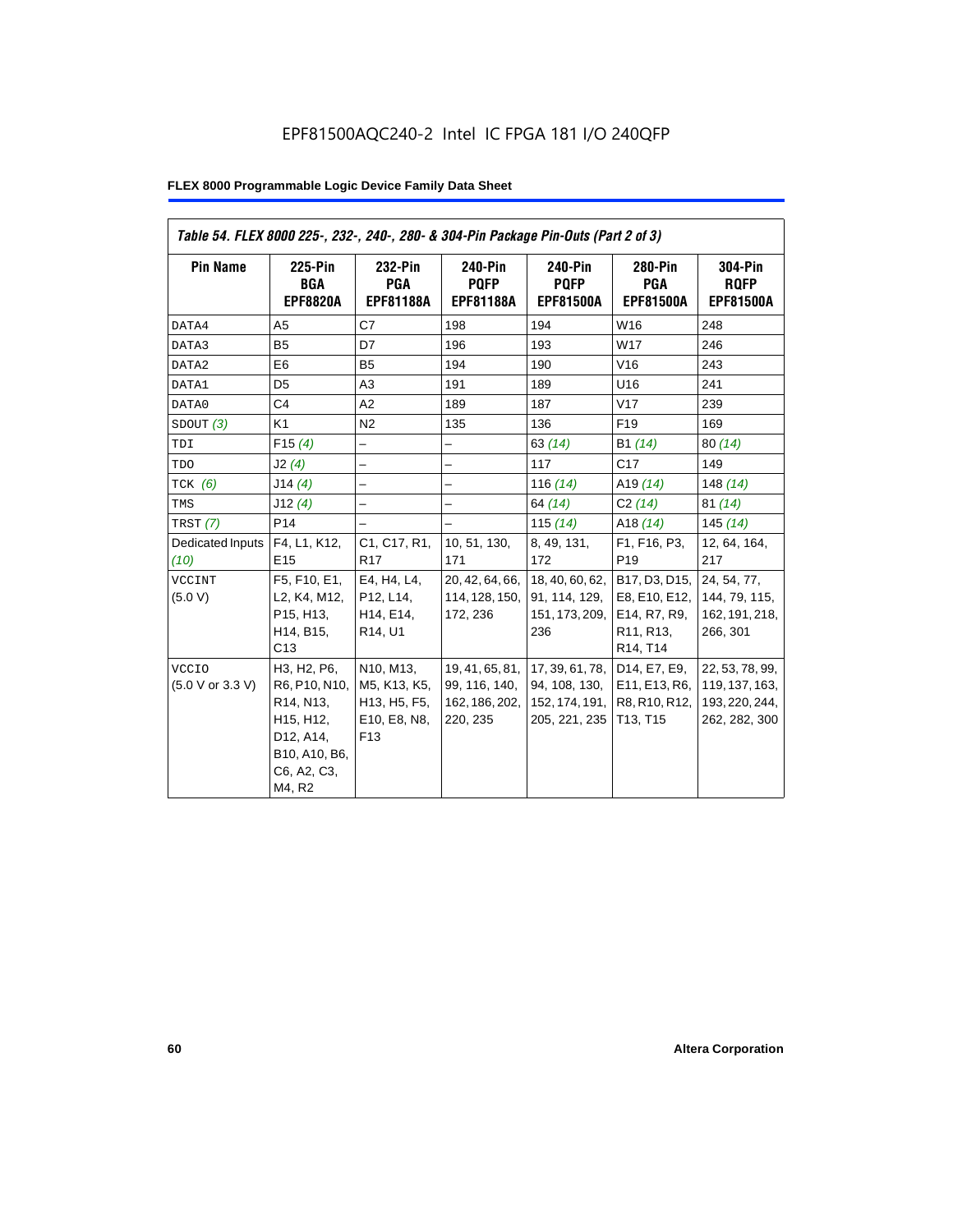| Table 54. FLEX 8000 225-, 232-, 240-, 280- & 304-Pin Package Pin-Outs (Part 2 of 3) |                                                                                                               |                                                                                                     |                                                                |                                                                                |                                                                                                                            |                                                                      |
|-------------------------------------------------------------------------------------|---------------------------------------------------------------------------------------------------------------|-----------------------------------------------------------------------------------------------------|----------------------------------------------------------------|--------------------------------------------------------------------------------|----------------------------------------------------------------------------------------------------------------------------|----------------------------------------------------------------------|
| <b>Pin Name</b>                                                                     | 225-Pin<br>BGA<br><b>EPF8820A</b>                                                                             | 232-Pin<br><b>PGA</b><br><b>EPF81188A</b>                                                           | 240-Pin<br><b>POFP</b><br><b>EPF81188A</b>                     | 240-Pin<br><b>POFP</b><br><b>EPF81500A</b>                                     | 280-Pin<br><b>PGA</b><br><b>EPF81500A</b>                                                                                  | <b>304-Pin</b><br><b>RQFP</b><br><b>EPF81500A</b>                    |
| DATA4                                                                               | A <sub>5</sub>                                                                                                | C7                                                                                                  | 198                                                            | 194                                                                            | W16                                                                                                                        | 248                                                                  |
| DATA3                                                                               | <b>B5</b>                                                                                                     | D7                                                                                                  | 196                                                            | 193                                                                            | W17                                                                                                                        | 246                                                                  |
| DATA2                                                                               | E <sub>6</sub>                                                                                                | B <sub>5</sub>                                                                                      | 194                                                            | 190                                                                            | V16                                                                                                                        | 243                                                                  |
| DATA1                                                                               | D <sub>5</sub>                                                                                                | A <sub>3</sub>                                                                                      | 191                                                            | 189                                                                            | U16                                                                                                                        | 241                                                                  |
| DATA0                                                                               | C <sub>4</sub>                                                                                                | A2                                                                                                  | 189                                                            | 187                                                                            | V17                                                                                                                        | 239                                                                  |
| SDOUT(3)                                                                            | K <sub>1</sub>                                                                                                | N <sub>2</sub>                                                                                      | 135                                                            | 136                                                                            | F <sub>19</sub>                                                                                                            | 169                                                                  |
| TDI                                                                                 | F15(4)                                                                                                        | $\qquad \qquad -$                                                                                   | $\overline{\phantom{0}}$                                       | 63(14)                                                                         | B1 (14)                                                                                                                    | 80(14)                                                               |
| TDO                                                                                 | J2(4)                                                                                                         |                                                                                                     |                                                                | 117                                                                            | C17                                                                                                                        | 149                                                                  |
| $TCK$ (6)                                                                           | J14(4)                                                                                                        | $\overline{a}$                                                                                      | $\overline{\phantom{0}}$                                       | 116 $(14)$                                                                     | A <sub>19</sub> $(14)$                                                                                                     | 148 $(14)$                                                           |
| TMS                                                                                 | J12(4)                                                                                                        | $\overline{\phantom{0}}$                                                                            | $\overline{\phantom{0}}$                                       | 64 (14)                                                                        | C2(14)                                                                                                                     | 81(14)                                                               |
| TRST (7)                                                                            | P <sub>14</sub>                                                                                               |                                                                                                     | $\overline{\phantom{0}}$                                       | 115 $(14)$                                                                     | A18 $(14)$                                                                                                                 | 145(14)                                                              |
| Dedicated Inputs<br>(10)                                                            | F4, L1, K12,<br>E <sub>15</sub>                                                                               | C1, C17, R1,<br><b>R17</b>                                                                          | 10, 51, 130,<br>171                                            | 8, 49, 131,<br>172                                                             | F1, F16, P3,<br>P <sub>19</sub>                                                                                            | 12, 64, 164,<br>217                                                  |
| <b>VCCINT</b><br>(5.0 V)                                                            | F5, F10, E1,<br>L2, K4, M12,<br>P15, H13,<br>H14, B15,<br>C13                                                 | E4, H4, L4,<br>P12, L14,<br>H <sub>14</sub> , E <sub>14</sub> ,<br>R <sub>14</sub> , U <sub>1</sub> | 20, 42, 64, 66,<br>114, 128, 150,<br>172, 236                  | 18, 40, 60, 62,<br>91, 114, 129,<br>151, 173, 209,<br>236                      | B17, D3, D15,<br>E8, E10, E12,<br>E14, R7, R9,<br>R <sub>11</sub> , R <sub>13</sub> ,<br>R <sub>14</sub> , T <sub>14</sub> | 24, 54, 77,<br>144, 79, 115,<br>162, 191, 218,<br>266, 301           |
| <b>VCCIO</b><br>(5.0 V or 3.3 V)                                                    | H3, H2, P6,<br>R6, P10, N10,<br>R14, N13,<br>H15, H12,<br>D12, A14,<br>B10, A10, B6,<br>C6, A2, C3,<br>M4, R2 | N10, M13,<br>M5, K13, K5,<br>H13, H5, F5,<br>E10, E8, N8,<br>F13                                    | 19, 41, 65, 81,<br>99, 116, 140,<br>162, 186, 202,<br>220, 235 | 17, 39, 61, 78,<br>94, 108, 130,<br>152, 174, 191,<br>205, 221, 235   T13, T15 | D14, E7, E9,<br>E11, E13, R6,<br>R8, R10, R12,                                                                             | 22, 53, 78, 99,<br>119, 137, 163,<br>193, 220, 244,<br>262, 282, 300 |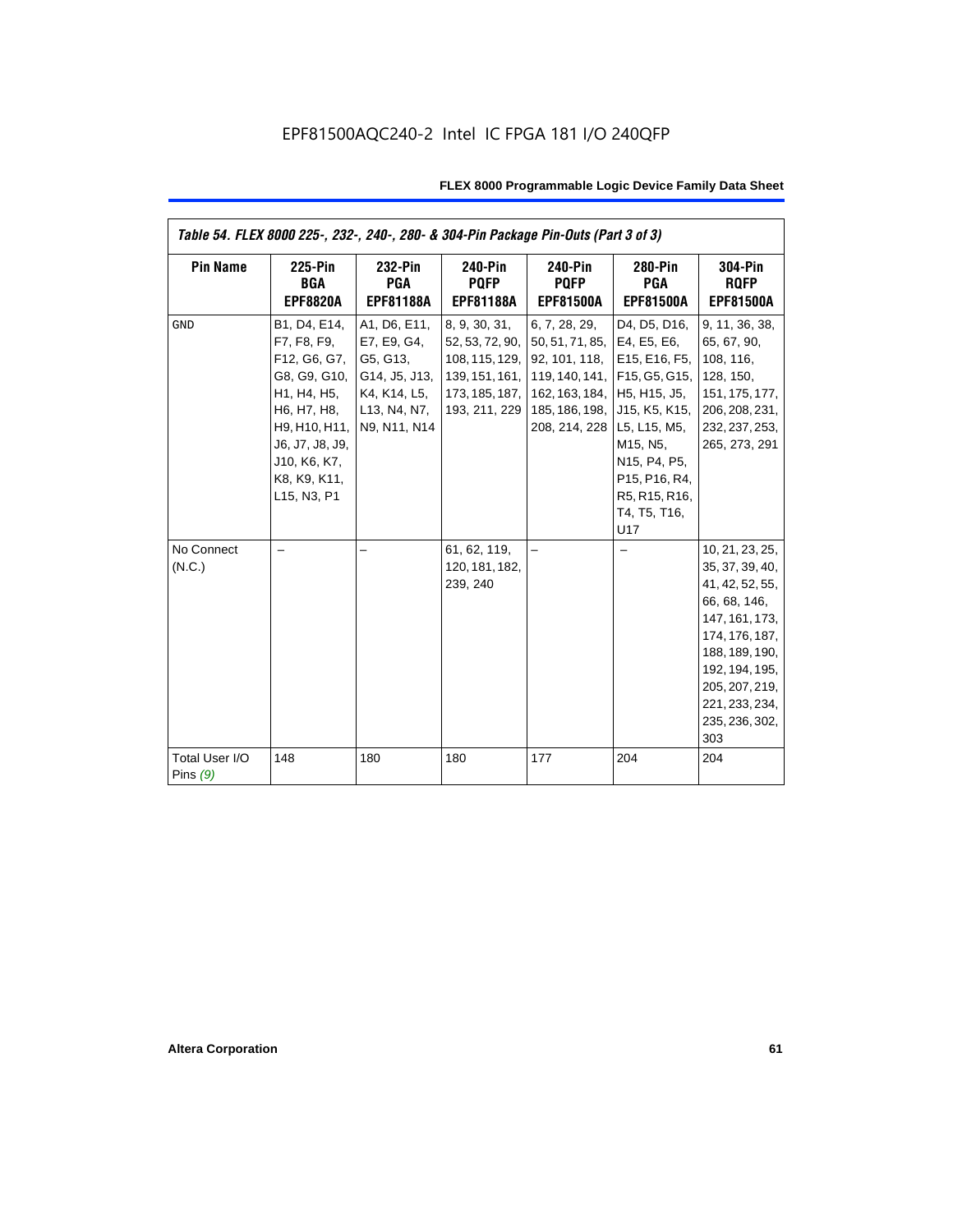| Table 54. FLEX 8000 225-, 232-, 240-, 280- & 304-Pin Package Pin-Outs (Part 3 of 3) |                                                                                                                                                                              |                                                                                                          |                                                                                                         |                                                                                                                                               |                                                                                                                                                                                                           |                                                                                                                                                                                                            |
|-------------------------------------------------------------------------------------|------------------------------------------------------------------------------------------------------------------------------------------------------------------------------|----------------------------------------------------------------------------------------------------------|---------------------------------------------------------------------------------------------------------|-----------------------------------------------------------------------------------------------------------------------------------------------|-----------------------------------------------------------------------------------------------------------------------------------------------------------------------------------------------------------|------------------------------------------------------------------------------------------------------------------------------------------------------------------------------------------------------------|
| <b>Pin Name</b>                                                                     | <b>225-Pin</b><br><b>BGA</b><br><b>EPF8820A</b>                                                                                                                              | 232-Pin<br><b>PGA</b><br><b>EPF81188A</b>                                                                | <b>240-Pin</b><br><b>PQFP</b><br><b>EPF81188A</b>                                                       | <b>240-Pin</b><br><b>PQFP</b><br><b>EPF81500A</b>                                                                                             | 280-Pin<br><b>PGA</b><br><b>EPF81500A</b>                                                                                                                                                                 | 304-Pin<br><b>ROFP</b><br><b>EPF81500A</b>                                                                                                                                                                 |
| <b>GND</b>                                                                          | B1, D4, E14,<br>F7, F8, F9,<br>F12, G6, G7,<br>G8, G9, G10,<br>H1, H4, H5,<br>H6, H7, H8,<br>H9, H10, H11,<br>J6, J7, J8, J9,<br>J10, K6, K7,<br>K8, K9, K11,<br>L15, N3, P1 | A1, D6, E11,<br>E7, E9, G4,<br>G5, G13,<br>G14, J5, J13,<br>K4, K14, L5,<br>L13, N4, N7,<br>N9, N11, N14 | 8, 9, 30, 31,<br>52, 53, 72, 90,<br>108, 115, 129,<br>139, 151, 161,<br>173, 185, 187,<br>193, 211, 229 | 6, 7, 28, 29,<br>50, 51, 71, 85, E4, E5, E6,<br>92, 101, 118,<br>162, 163, 184, H5, H15, J5,<br>185, 186, 198, J15, K5, K15,<br>208, 214, 228 | D4, D5, D16,<br>E15, E16, F5,<br>119, 140, 141, F15, G5, G15,<br>L5, L15, M5,<br>M15, N5,<br>N15, P4, P5,<br>P <sub>15</sub> , P <sub>16</sub> , R <sub>4</sub> ,<br>R5, R15, R16,<br>T4, T5, T16,<br>U17 | 9, 11, 36, 38,<br>65, 67, 90,<br>108, 116,<br>128, 150,<br>151, 175, 177,<br>206, 208, 231,<br>232, 237, 253,<br>265, 273, 291                                                                             |
| No Connect<br>(N.C.)                                                                |                                                                                                                                                                              |                                                                                                          | 61, 62, 119,<br>120, 181, 182,<br>239, 240                                                              |                                                                                                                                               |                                                                                                                                                                                                           | 10, 21, 23, 25,<br>35, 37, 39, 40,<br>41, 42, 52, 55,<br>66, 68, 146,<br>147, 161, 173,<br>174, 176, 187,<br>188, 189, 190,<br>192, 194, 195,<br>205, 207, 219,<br>221, 233, 234,<br>235, 236, 302,<br>303 |
| Total User I/O<br>Pins $(9)$                                                        | 148                                                                                                                                                                          | 180                                                                                                      | 180                                                                                                     | 177                                                                                                                                           | 204                                                                                                                                                                                                       | 204                                                                                                                                                                                                        |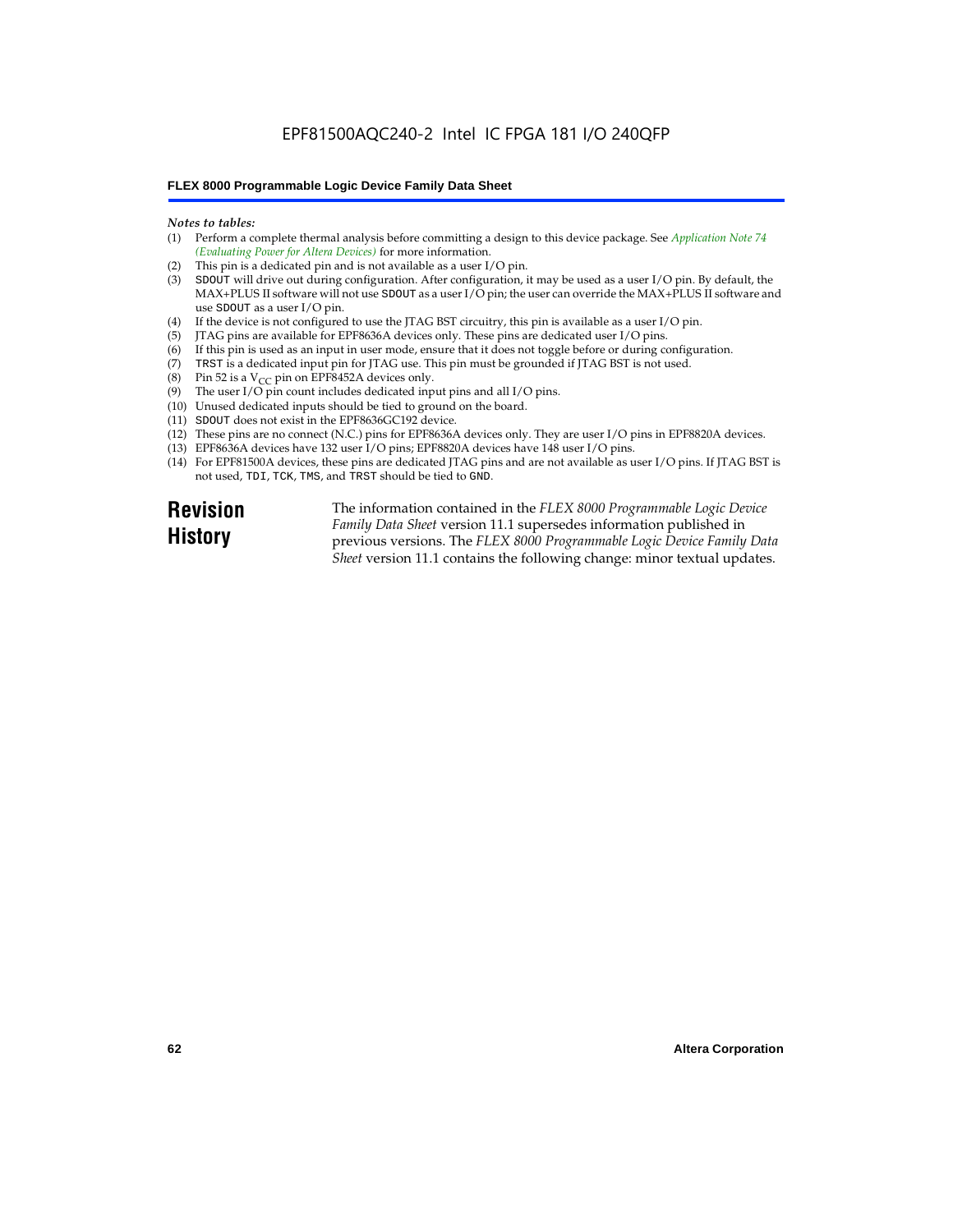## EPF81500AQC240-2 Intel IC FPGA 181 I/O 240QFP

## **FLEX 8000 Programmable Logic Device Family Data Sheet**

#### *Notes to tables:*

- (1) Perform a complete thermal analysis before committing a design to this device package. See *Application Note 74 (Evaluating Power for Altera Devices)* for more information.
- (2) This pin is a dedicated pin and is not available as a user I/O pin.
- (3) SDOUT will drive out during configuration. After configuration, it may be used as a user I/O pin. By default, the MAX+PLUS II software will not use SDOUT as a user I/O pin; the user can override the MAX+PLUS II software and use SDOUT as a user I/O pin.
- (4) If the device is not configured to use the JTAG BST circuitry, this pin is available as a user I/O pin.
- (5) JTAG pins are available for EPF8636A devices only. These pins are dedicated user I/O pins.
- $(6)$  If this pin is used as an input in user mode, ensure that it does not toggle before or during configuration.
- (7) TRST is a dedicated input pin for JTAG use. This pin must be grounded if JTAG BST is not used.
- (8) Pin 52 is a  $V_{CC}$  pin on EPF8452A devices only.
- (9) The user I/O pin count includes dedicated input pins and all I/O pins.
- (10) Unused dedicated inputs should be tied to ground on the board.
- (11) SDOUT does not exist in the EPF8636GC192 device.
- (12) These pins are no connect (N.C.) pins for EPF8636A devices only. They are user I/O pins in EPF8820A devices.
- (13) EPF8636A devices have 132 user I/O pins; EPF8820A devices have 148 user I/O pins.
- (14) For EPF81500A devices, these pins are dedicated JTAG pins and are not available as user I/O pins. If JTAG BST is not used, TDI, TCK, TMS, and TRST should be tied to GND.

**Revision History**

The information contained in the *FLEX 8000 Programmable Logic Device Family Data Sheet* version 11.1 supersedes information published in previous versions. The *FLEX 8000 Programmable Logic Device Family Data Sheet* version 11.1 contains the following change: minor textual updates.